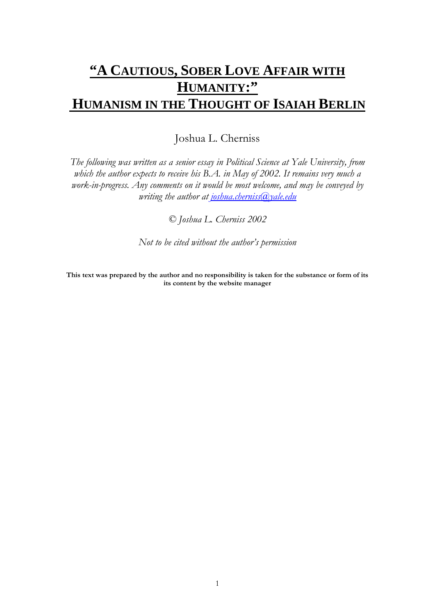# **"A CAUTIOUS, SOBER LOVE AFFAIR WITH HUMANITY:" HUMANISM IN THE THOUGHT OF ISAIAH BERLIN**

Joshua L. Cherniss

*The following was written as a senior essay in Political Science at Yale University, from which the author expects to receive his B.A. in May of 2002. It remains very much a work-in-progress. Any comments on it would be most welcome, and may be conveyed by writing the author at [joshua.cherniss@yale.edu](mailto:joshua.cherniss@yale.edu)*

*© Joshua L. Cherniss 2002*

*Not to be cited without the author's permission*

**This text was prepared by the author and no responsibility is taken for the substance or form of its its content by the website manager**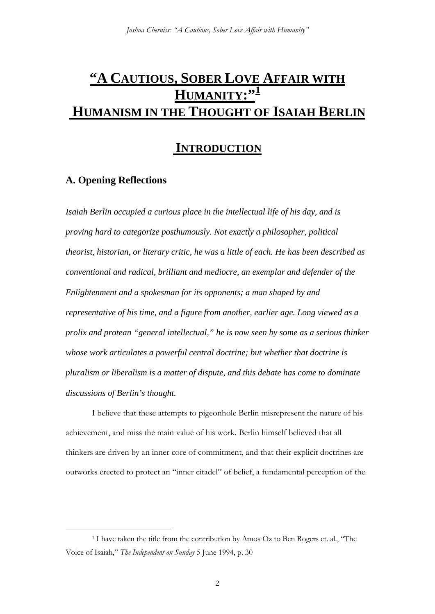# **"A CAUTIOUS, SOBER LOVE AFFAIR WITH HUMANITY:"[1](#page-1-0) HUMANISM IN THE THOUGHT OF ISAIAH BERLIN**

## **INTRODUCTION**

### **A. Opening Reflections**

*Isaiah Berlin occupied a curious place in the intellectual life of his day, and is proving hard to categorize posthumously. Not exactly a philosopher, political theorist, historian, or literary critic, he was a little of each. He has been described as conventional and radical, brilliant and mediocre, an exemplar and defender of the Enlightenment and a spokesman for its opponents; a man shaped by and representative of his time, and a figure from another, earlier age. Long viewed as a prolix and protean "general intellectual," he is now seen by some as a serious thinker whose work articulates a powerful central doctrine; but whether that doctrine is pluralism or liberalism is a matter of dispute, and this debate has come to dominate discussions of Berlin's thought.*

I believe that these attempts to pigeonhole Berlin misrepresent the nature of his achievement, and miss the main value of his work. Berlin himself believed that all thinkers are driven by an inner core of commitment, and that their explicit doctrines are outworks erected to protect an "inner citadel" of belief, a fundamental perception of the

<span id="page-1-0"></span><sup>&</sup>lt;sup>1</sup> I have taken the title from the contribution by Amos Oz to Ben Rogers et. al., "The Voice of Isaiah," *The Independent on Sunday* 5 June 1994, p. 30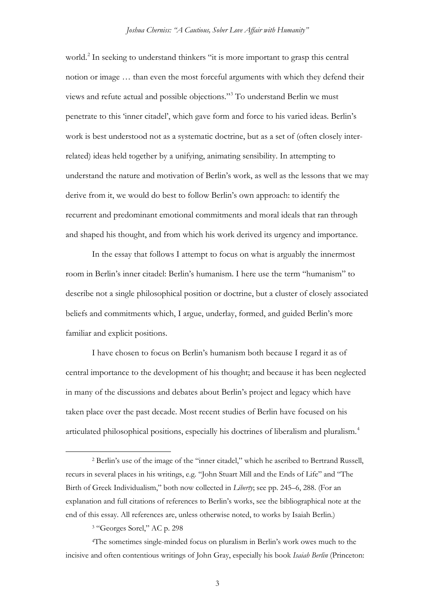world.<sup>[2](#page-2-0)</sup> In seeking to understand thinkers "it is more important to grasp this central notion or image … than even the most forceful arguments with which they defend their views and refute actual and possible objections."[3](#page-2-1) To understand Berlin we must penetrate to this 'inner citadel', which gave form and force to his varied ideas. Berlin's work is best understood not as a systematic doctrine, but as a set of (often closely interrelated) ideas held together by a unifying, animating sensibility. In attempting to understand the nature and motivation of Berlin's work, as well as the lessons that we may derive from it, we would do best to follow Berlin's own approach: to identify the recurrent and predominant emotional commitments and moral ideals that ran through and shaped his thought, and from which his work derived its urgency and importance.

In the essay that follows I attempt to focus on what is arguably the innermost room in Berlin's inner citadel: Berlin's humanism. I here use the term "humanism" to describe not a single philosophical position or doctrine, but a cluster of closely associated beliefs and commitments which, I argue, underlay, formed, and guided Berlin's more familiar and explicit positions.

I have chosen to focus on Berlin's humanism both because I regard it as of central importance to the development of his thought; and because it has been neglected in many of the discussions and debates about Berlin's project and legacy which have taken place over the past decade. Most recent studies of Berlin have focused on his articulated philosophical positions, especially his doctrines of liberalism and pluralism.[4](#page-2-2)

<span id="page-2-0"></span> <sup>2</sup> Berlin's use of the image of the "inner citadel," which he ascribed to Bertrand Russell, recurs in several places in his writings, e.g. "John Stuart Mill and the Ends of Life" and "The Birth of Greek Individualism," both now collected in *Liberty*; see pp. 245–6, 288. (For an explanation and full citations of references to Berlin's works, see the bibliographical note at the end of this essay. All references are, unless otherwise noted, to works by Isaiah Berlin.)

<sup>3</sup> "Georges Sorel," AC p. 298

<span id="page-2-2"></span><span id="page-2-1"></span><sup>4</sup>The sometimes single-minded focus on pluralism in Berlin's work owes much to the incisive and often contentious writings of John Gray, especially his book *Isaiah Berlin* (Princeton: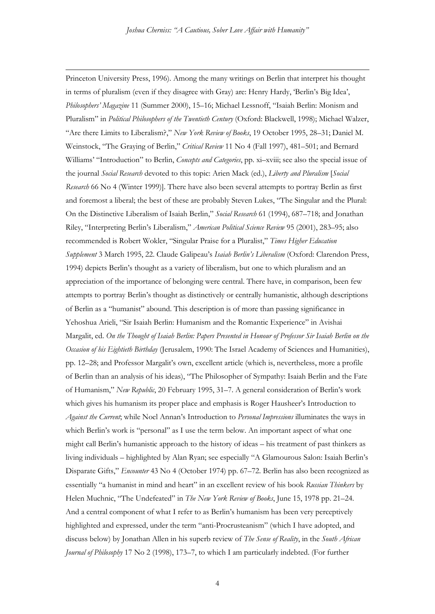$\overline{a}$ 

Princeton University Press, 1996). Among the many writings on Berlin that interpret his thought in terms of pluralism (even if they disagree with Gray) are: Henry Hardy, 'Berlin's Big Idea', *Philosophers' Magazine* 11 (Summer 2000), 15–16; Michael Lessnoff, "Isaiah Berlin: Monism and Pluralism" in *Political Philosophers of the Twentieth Century* (Oxford: Blackwell, 1998); Michael Walzer, "Are there Limits to Liberalism?," *New York Review of Books*, 19 October 1995, 28–31; Daniel M. Weinstock, "The Graying of Berlin," *Critical Review* 11 No 4 (Fall 1997), 481–501; and Bernard Williams' "Introduction" to Berlin, *Concepts and Categories*, pp. xi–xviii; see also the special issue of the journal *Social Research* devoted to this topic: Arien Mack (ed.), *Liberty and Pluralism* [*Social Research* 66 No 4 (Winter 1999)]. There have also been several attempts to portray Berlin as first and foremost a liberal; the best of these are probably Steven Lukes, "The Singular and the Plural: On the Distinctive Liberalism of Isaiah Berlin," *Social Research* 61 (1994), 687–718; and Jonathan Riley, "Interpreting Berlin's Liberalism," *American Political Science Review* 95 (2001), 283–95; also recommended is Robert Wokler, "Singular Praise for a Pluralist," *Times Higher Education Supplement* 3 March 1995, 22. Claude Galipeau's *Isaiah Berlin's Liberalism* (Oxford: Clarendon Press, 1994) depicts Berlin's thought as a variety of liberalism, but one to which pluralism and an appreciation of the importance of belonging were central. There have, in comparison, been few attempts to portray Berlin's thought as distinctively or centrally humanistic, although descriptions of Berlin as a "humanist" abound. This description is of more than passing significance in Yehoshua Arieli, "Sir Isaiah Berlin: Humanism and the Romantic Experience" in Avishai Margalit, ed. *On the Thought of Isaiah Berlin: Papers Presented in Honour of Professor Sir Isaiah Berlin on the Occasion of his Eightieth Birthday* (Jerusalem, 1990: The Israel Academy of Sciences and Humanities), pp. 12–28; and Professor Margalit's own, excellent article (which is, nevertheless, more a profile of Berlin than an analysis of his ideas), "The Philosopher of Sympathy: Isaiah Berlin and the Fate of Humanism," *New Republic*, 20 February 1995, 31–7. A general consideration of Berlin's work which gives his humanism its proper place and emphasis is Roger Hausheer's Introduction to *Against the Current*; while Noel Annan's Introduction to *Personal Impressions* illuminates the ways in which Berlin's work is "personal" as I use the term below. An important aspect of what one might call Berlin's humanistic approach to the history of ideas – his treatment of past thinkers as living individuals – highlighted by Alan Ryan; see especially "A Glamourous Salon: Isaiah Berlin's Disparate Gifts," *Encounter* 43 No 4 (October 1974) pp. 67–72. Berlin has also been recognized as essentially "a humanist in mind and heart" in an excellent review of his book *Russian Thinkers* by Helen Muchnic, "The Undefeated" in *The New York Review of Books*, June 15, 1978 pp. 21–24. And a central component of what I refer to as Berlin's humanism has been very perceptively highlighted and expressed, under the term "anti-Procrusteanism" (which I have adopted, and discuss below) by Jonathan Allen in his superb review of *The Sense of Reality*, in the *South African Journal of Philosophy* 17 No 2 (1998), 173–7, to which I am particularly indebted. (For further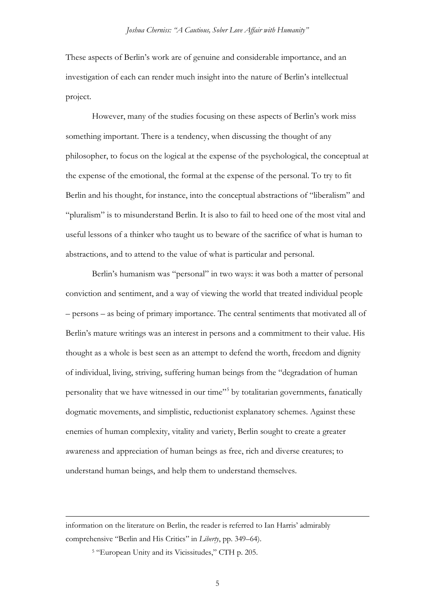These aspects of Berlin's work are of genuine and considerable importance, and an investigation of each can render much insight into the nature of Berlin's intellectual project.

However, many of the studies focusing on these aspects of Berlin's work miss something important. There is a tendency, when discussing the thought of any philosopher, to focus on the logical at the expense of the psychological, the conceptual at the expense of the emotional, the formal at the expense of the personal. To try to fit Berlin and his thought, for instance, into the conceptual abstractions of "liberalism" and "pluralism" is to misunderstand Berlin. It is also to fail to heed one of the most vital and useful lessons of a thinker who taught us to beware of the sacrifice of what is human to abstractions, and to attend to the value of what is particular and personal.

Berlin's humanism was "personal" in two ways: it was both a matter of personal conviction and sentiment, and a way of viewing the world that treated individual people – persons – as being of primary importance. The central sentiments that motivated all of Berlin's mature writings was an interest in persons and a commitment to their value. His thought as a whole is best seen as an attempt to defend the worth, freedom and dignity of individual, living, striving, suffering human beings from the "degradation of human personality that we have witnessed in our time"[5](#page-4-0) by totalitarian governments, fanatically dogmatic movements, and simplistic, reductionist explanatory schemes. Against these enemies of human complexity, vitality and variety, Berlin sought to create a greater awareness and appreciation of human beings as free, rich and diverse creatures; to understand human beings, and help them to understand themselves.

 $\overline{a}$ 

<span id="page-4-0"></span>information on the literature on Berlin, the reader is referred to Ian Harris' admirably comprehensive "Berlin and His Critics" in *Liberty*, pp. 349–64).

<sup>5</sup> "European Unity and its Vicissitudes," CTH p. 205.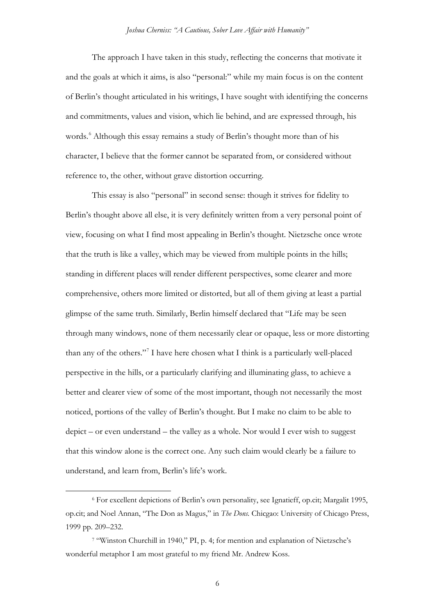The approach I have taken in this study, reflecting the concerns that motivate it and the goals at which it aims, is also "personal:" while my main focus is on the content of Berlin's thought articulated in his writings, I have sought with identifying the concerns and commitments, values and vision, which lie behind, and are expressed through, his words.<sup>[6](#page-5-0)</sup> Although this essay remains a study of Berlin's thought more than of his character, I believe that the former cannot be separated from, or considered without reference to, the other, without grave distortion occurring.

This essay is also "personal" in second sense: though it strives for fidelity to Berlin's thought above all else, it is very definitely written from a very personal point of view, focusing on what I find most appealing in Berlin's thought. Nietzsche once wrote that the truth is like a valley, which may be viewed from multiple points in the hills; standing in different places will render different perspectives, some clearer and more comprehensive, others more limited or distorted, but all of them giving at least a partial glimpse of the same truth. Similarly, Berlin himself declared that "Life may be seen through many windows, none of them necessarily clear or opaque, less or more distorting than any of the others."[7](#page-5-1) I have here chosen what I think is a particularly well-placed perspective in the hills, or a particularly clarifying and illuminating glass, to achieve a better and clearer view of some of the most important, though not necessarily the most noticed, portions of the valley of Berlin's thought. But I make no claim to be able to depict – or even understand – the valley as a whole. Nor would I ever wish to suggest that this window alone is the correct one. Any such claim would clearly be a failure to understand, and learn from, Berlin's life's work.

6

<span id="page-5-0"></span> <sup>6</sup> For excellent depictions of Berlin's own personality, see Ignatieff, op.cit; Margalit 1995, op.cit; and Noel Annan, "The Don as Magus," in *The Dons.* Chicgao: University of Chicago Press, 1999 pp. 209–232.

<span id="page-5-1"></span><sup>7</sup> "Winston Churchill in 1940," PI, p. 4; for mention and explanation of Nietzsche's wonderful metaphor I am most grateful to my friend Mr. Andrew Koss.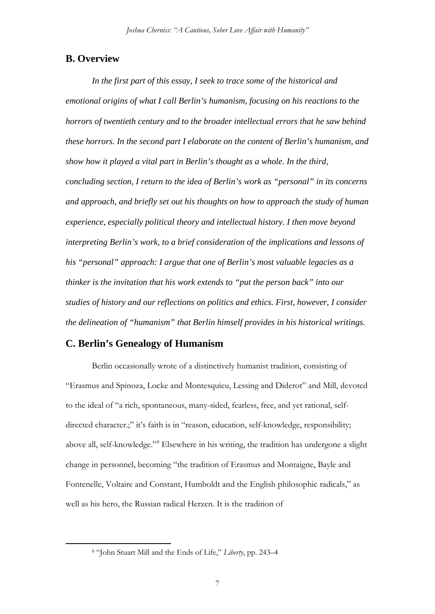#### **B. Overview**

*In the first part of this essay, I seek to trace some of the historical and emotional origins of what I call Berlin's humanism, focusing on his reactions to the horrors of twentieth century and to the broader intellectual errors that he saw behind these horrors. In the second part I elaborate on the content of Berlin's humanism, and show how it played a vital part in Berlin's thought as a whole. In the third, concluding section, I return to the idea of Berlin's work as "personal" in its concerns and approach, and briefly set out his thoughts on how to approach the study of human experience, especially political theory and intellectual history. I then move beyond interpreting Berlin's work, to a brief consideration of the implications and lessons of his "personal" approach: I argue that one of Berlin's most valuable legacies as a thinker is the invitation that his work extends to "put the person back" into our studies of history and our reflections on politics and ethics. First, however, I consider the delineation of "humanism" that Berlin himself provides in his historical writings.*

### **C. Berlin's Genealogy of Humanism**

Berlin occasionally wrote of a distinctively humanist tradition, consisting of "Erasmus and Spinoza, Locke and Montesquieu, Lessing and Diderot" and Mill, devoted to the ideal of "a rich, spontaneous, many-sided, fearless, free, and yet rational, selfdirected character.;" it's faith is in "reason, education, self-knowledge, responsibility; above all, self-knowledge."[8](#page-6-0) Elsewhere in his writing, the tradition has undergone a slight change in personnel, becoming "the tradition of Erasmus and Montaigne, Bayle and Fontenelle, Voltaire and Constant, Humboldt and the English philosophic radicals," as well as his hero, the Russian radical Herzen. It is the tradition of

<span id="page-6-0"></span> <sup>8</sup> "John Stuart Mill and the Ends of Life," *Liberty*, pp. 243–4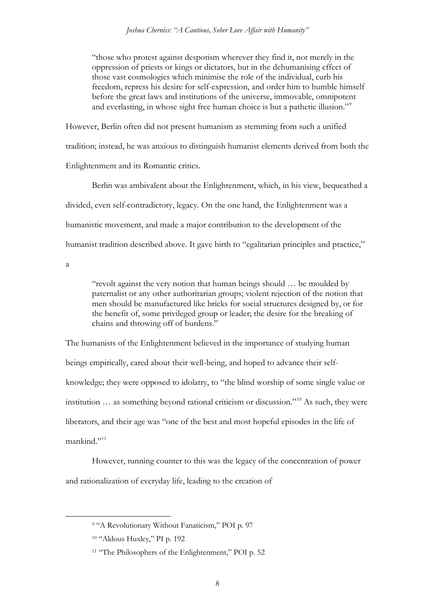"those who protest against despotism wherever they find it, not merely in the oppression of priests or kings or dictators, but in the dehumanising effect of those vast cosmologies which minimise the role of the individual, curb his freedom, repress his desire for self-expression, and order him to humble himself before the great laws and institutions of the universe, immovable, omnipotent and everlasting, in whose sight free human choice is but a pathetic illusion."<sup>[9](#page-7-0)</sup>

However, Berlin often did not present humanism as stemming from such a unified tradition; instead, he was anxious to distinguish humanist elements derived from both the Enlightenment and its Romantic critics.

Berlin was ambivalent about the Enlightenment, which, in his view, bequeathed a divided, even self-contradictory, legacy. On the one hand, the Enlightenment was a humanistic movement, and made a major contribution to the development of the humanist tradition described above. It gave birth to "egalitarian principles and practice,"

a

"revolt against the very notion that human beings should … be moulded by paternalist or any other authoritarian groups; violent rejection of the notion that men should be manufactured like bricks for social structures designed by, or for the benefit of, some privileged group or leader; the desire for the breaking of chains and throwing off of burdens."

The humanists of the Enlightenment believed in the importance of studying human beings empirically, cared about their well-being, and hoped to advance their selfknowledge; they were opposed to idolatry, to "the blind worship of some single value or institution … as something beyond rational criticism or discussion."[10](#page-7-1) As such, they were liberators, and their age was "one of the best and most hopeful episodes in the life of mankind<sup>"[11](#page-7-2)</sup>

However, running counter to this was the legacy of the concentration of power and rationalization of everyday life, leading to the creation of

<span id="page-7-0"></span> <sup>9</sup> "A Revolutionary Without Fanaticism," POI p. 97

<span id="page-7-1"></span><sup>10</sup> "Aldous Huxley," PI p. 192

<span id="page-7-2"></span><sup>&</sup>lt;sup>11</sup> "The Philosophers of the Enlightenment," POI p. 52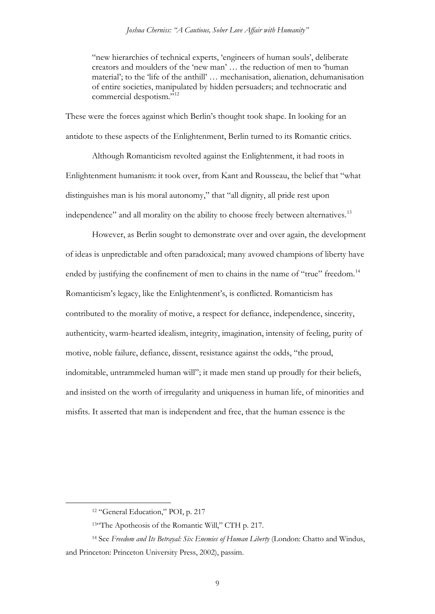"new hierarchies of technical experts, 'engineers of human souls', deliberate creators and moulders of the 'new man' … the reduction of men to 'human material'; to the 'life of the anthill' … mechanisation, alienation, dehumanisation of entire societies, manipulated by hidden persuaders; and technocratic and commercial despotism."<sup>[12](#page-8-0)</sup>

These were the forces against which Berlin's thought took shape. In looking for an antidote to these aspects of the Enlightenment, Berlin turned to its Romantic critics.

Although Romanticism revolted against the Enlightenment, it had roots in Enlightenment humanism: it took over, from Kant and Rousseau, the belief that "what distinguishes man is his moral autonomy," that "all dignity, all pride rest upon independence" and all morality on the ability to choose freely between alternatives.<sup>[13](#page-8-1)</sup>

However, as Berlin sought to demonstrate over and over again, the development of ideas is unpredictable and often paradoxical; many avowed champions of liberty have ended by justifying the confinement of men to chains in the name of "true" freedom.<sup>[14](#page-8-2)</sup> Romanticism's legacy, like the Enlightenment's, is conflicted. Romanticism has contributed to the morality of motive, a respect for defiance, independence, sincerity, authenticity, warm-hearted idealism, integrity, imagination, intensity of feeling, purity of motive, noble failure, defiance, dissent, resistance against the odds, "the proud, indomitable, untrammeled human will"; it made men stand up proudly for their beliefs, and insisted on the worth of irregularity and uniqueness in human life, of minorities and misfits. It asserted that man is independent and free, that the human essence is the

 <sup>12</sup> "General Education," POI, p. 217

<sup>13&</sup>quot;The Apotheosis of the Romantic Will," CTH p. 217.

<span id="page-8-2"></span><span id="page-8-1"></span><span id="page-8-0"></span><sup>14</sup> See *Freedom and Its Betrayal: Six Enemies of Human Liberty* (London: Chatto and Windus, and Princeton: Princeton University Press, 2002), passim.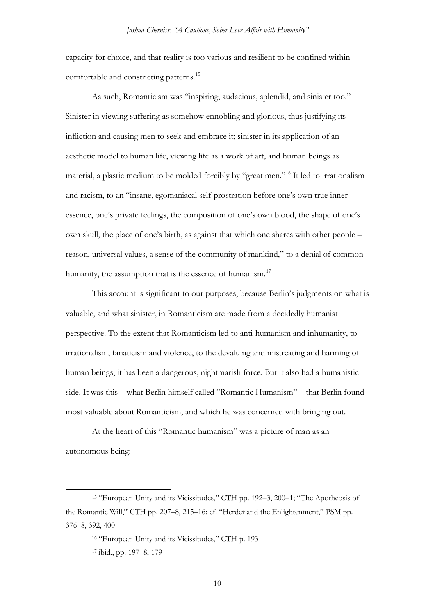capacity for choice, and that reality is too various and resilient to be confined within comfortable and constricting patterns.[15](#page-9-0)

As such, Romanticism was "inspiring, audacious, splendid, and sinister too." Sinister in viewing suffering as somehow ennobling and glorious, thus justifying its infliction and causing men to seek and embrace it; sinister in its application of an aesthetic model to human life, viewing life as a work of art, and human beings as material, a plastic medium to be molded forcibly by "great men.["16](#page-9-1) It led to irrationalism and racism, to an "insane, egomaniacal self-prostration before one's own true inner essence, one's private feelings, the composition of one's own blood, the shape of one's own skull, the place of one's birth, as against that which one shares with other people – reason, universal values, a sense of the community of mankind," to a denial of common humanity, the assumption that is the essence of humanism.<sup>[17](#page-9-2)</sup>

This account is significant to our purposes, because Berlin's judgments on what is valuable, and what sinister, in Romanticism are made from a decidedly humanist perspective. To the extent that Romanticism led to anti-humanism and inhumanity, to irrationalism, fanaticism and violence, to the devaluing and mistreating and harming of human beings, it has been a dangerous, nightmarish force. But it also had a humanistic side. It was this – what Berlin himself called "Romantic Humanism" – that Berlin found most valuable about Romanticism, and which he was concerned with bringing out.

At the heart of this "Romantic humanism" was a picture of man as an autonomous being:

<span id="page-9-2"></span><span id="page-9-1"></span><span id="page-9-0"></span> <sup>15</sup> "European Unity and its Vicissitudes," CTH pp. 192–3, 200–1; "The Apotheosis of the Romantic Will," CTH pp. 207–8, 215–16; cf. "Herder and the Enlightenment," PSM pp. 376–8, 392, 400

<sup>16</sup> "European Unity and its Vicissitudes," CTH p. 193

<sup>17</sup> ibid., pp. 197–8, 179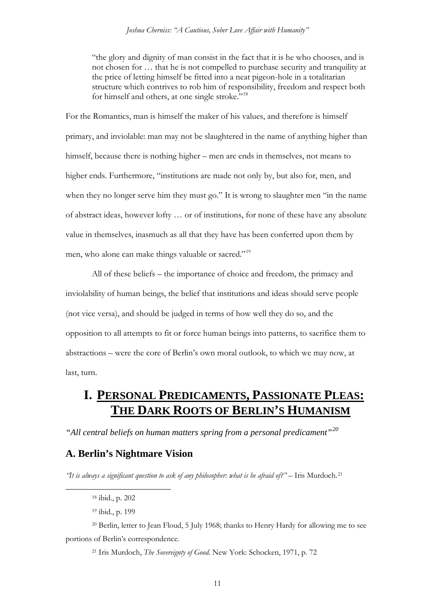"the glory and dignity of man consist in the fact that it is he who chooses, and is not chosen for … that he is not compelled to purchase security and tranquility at the price of letting himself be fitted into a neat pigeon-hole in a totalitarian structure which contrives to rob him of responsibility, freedom and respect both for himself and others, at one single stroke."<sup>[18](#page-10-0)</sup>

For the Romantics, man is himself the maker of his values, and therefore is himself primary, and inviolable: man may not be slaughtered in the name of anything higher than himself, because there is nothing higher – men are ends in themselves, not means to higher ends. Furthermore, "institutions are made not only by, but also for, men, and when they no longer serve him they must go." It is wrong to slaughter men "in the name of abstract ideas, however lofty … or of institutions, for none of these have any absolute value in themselves, inasmuch as all that they have has been conferred upon them by men, who alone can make things valuable or sacred."[19](#page-10-1)

All of these beliefs – the importance of choice and freedom, the primacy and inviolability of human beings, the belief that institutions and ideas should serve people (not vice versa), and should be judged in terms of how well they do so, and the opposition to all attempts to fit or force human beings into patterns, to sacrifice them to abstractions – were the core of Berlin's own moral outlook, to which we may now, at last, turn.

## **I. PERSONAL PREDICAMENTS, PASSIONATE PLEAS: THE DARK ROOTS OF BERLIN'S HUMANISM**

*"All central beliefs on human matters spring from a personal predicament"[20](#page-10-2)*

#### **A. Berlin's Nightmare Vision**

<span id="page-10-0"></span>*"It is always a significant question to ask of any philosopher: what is he afraid of?"* – Iris Murdoch.<sup>[21](#page-10-3)</sup>

<sup>21</sup> Iris Murdoch, *The Sovereignty of Good.* New York: Schocken, 1971, p. 72

 <sup>18</sup> ibid., p. 202

<sup>19</sup> ibid., p. 199

<span id="page-10-3"></span><span id="page-10-2"></span><span id="page-10-1"></span><sup>20</sup> Berlin, letter to Jean Floud, 5 July 1968; thanks to Henry Hardy for allowing me to see portions of Berlin's correspondence.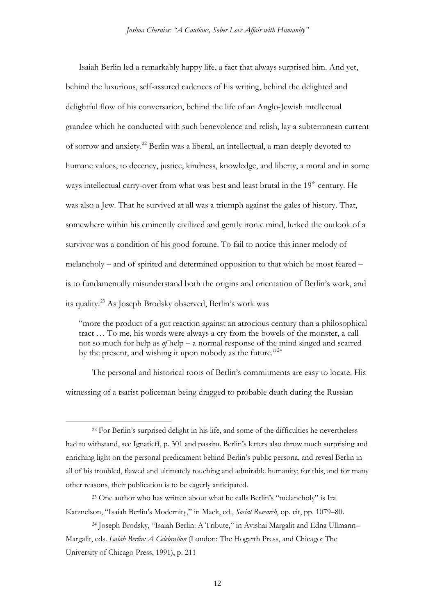Isaiah Berlin led a remarkably happy life, a fact that always surprised him. And yet, behind the luxurious, self-assured cadences of his writing, behind the delighted and delightful flow of his conversation, behind the life of an Anglo-Jewish intellectual grandee which he conducted with such benevolence and relish, lay a subterranean current of sorrow and anxiety[.22](#page-11-0) Berlin was a liberal, an intellectual, a man deeply devoted to humane values, to decency, justice, kindness, knowledge, and liberty, a moral and in some ways intellectual carry-over from what was best and least brutal in the 19<sup>th</sup> century. He was also a Jew. That he survived at all was a triumph against the gales of history. That, somewhere within his eminently civilized and gently ironic mind, lurked the outlook of a survivor was a condition of his good fortune. To fail to notice this inner melody of melancholy – and of spirited and determined opposition to that which he most feared – is to fundamentally misunderstand both the origins and orientation of Berlin's work, and its quality.[23](#page-11-1) As Joseph Brodsky observed, Berlin's work was

"more the product of a gut reaction against an atrocious century than a philosophical tract … To me, his words were always a cry from the bowels of the monster, a call not so much for help as *of* help – a normal response of the mind singed and scarred by the present, and wishing it upon nobody as the future."<sup>[24](#page-11-2)</sup>

The personal and historical roots of Berlin's commitments are easy to locate. His witnessing of a tsarist policeman being dragged to probable death during the Russian

<span id="page-11-0"></span> <sup>22</sup> For Berlin's surprised delight in his life, and some of the difficulties he nevertheless had to withstand, see Ignatieff, p. 301 and passim. Berlin's letters also throw much surprising and enriching light on the personal predicament behind Berlin's public persona, and reveal Berlin in all of his troubled, flawed and ultimately touching and admirable humanity; for this, and for many other reasons, their publication is to be eagerly anticipated.

<span id="page-11-1"></span><sup>23</sup> One author who has written about what he calls Berlin's "melancholy" is Ira Katznelson, "Isaiah Berlin's Modernity," in Mack, ed., *Social Research*, op. cit, pp. 1079–80.

<span id="page-11-2"></span><sup>24</sup> Joseph Brodsky, "Isaiah Berlin: A Tribute," in Avishai Margalit and Edna Ullmann– Margalit, eds. *Isaiah Berlin: A Celebration* (London: The Hogarth Press, and Chicago: The University of Chicago Press, 1991), p. 211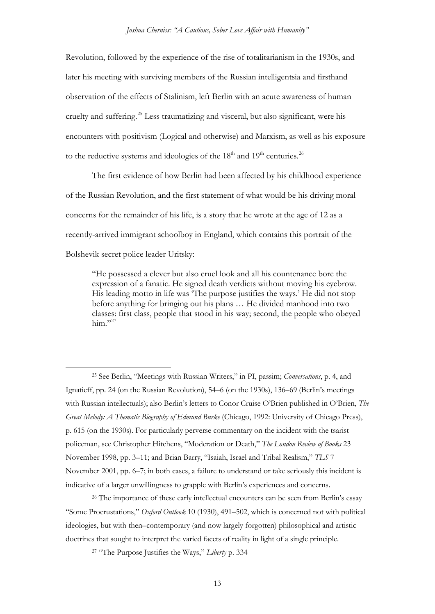Revolution, followed by the experience of the rise of totalitarianism in the 1930s, and later his meeting with surviving members of the Russian intelligentsia and firsthand observation of the effects of Stalinism, left Berlin with an acute awareness of human cruelty and suffering.[25](#page-12-0) Less traumatizing and visceral, but also significant, were his encounters with positivism (Logical and otherwise) and Marxism, as well as his exposure to the reductive systems and ideologies of the  $18<sup>th</sup>$  and  $19<sup>th</sup>$  centuries.<sup>[26](#page-12-1)</sup>

The first evidence of how Berlin had been affected by his childhood experience of the Russian Revolution, and the first statement of what would be his driving moral concerns for the remainder of his life, is a story that he wrote at the age of 12 as a recently-arrived immigrant schoolboy in England, which contains this portrait of the Bolshevik secret police leader Uritsky:

"He possessed a clever but also cruel look and all his countenance bore the expression of a fanatic. He signed death verdicts without moving his eyebrow. His leading motto in life was 'The purpose justifies the ways.' He did not stop before anything for bringing out his plans … He divided manhood into two classes: first class, people that stood in his way; second, the people who obeyed him." $^{27}$  $^{27}$  $^{27}$ 

<span id="page-12-2"></span><span id="page-12-1"></span><sup>26</sup> The importance of these early intellectual encounters can be seen from Berlin's essay "Some Procrustations," *Oxford Outlook* 10 (1930), 491–502, which is concerned not with political ideologies, but with then–contemporary (and now largely forgotten) philosophical and artistic doctrines that sought to interpret the varied facets of reality in light of a single principle.

<sup>27</sup> "The Purpose Justifies the Ways," *Liberty* p. 334

<span id="page-12-0"></span> <sup>25</sup> See Berlin, "Meetings with Russian Writers," in PI, passim; *Conversations*, p. 4, and Ignatieff, pp. 24 (on the Russian Revolution), 54–6 (on the 1930s), 136–69 (Berlin's meetings with Russian intellectuals); also Berlin's letters to Conor Cruise O'Brien published in O'Brien, *The Great Melody: A Thematic Biography of Edmund Burke* (Chicago, 1992: University of Chicago Press), p. 615 (on the 1930s). For particularly perverse commentary on the incident with the tsarist policeman, see Christopher Hitchens, "Moderation or Death," *The London Review of Books* 23 November 1998, pp. 3–11; and Brian Barry, "Isaiah, Israel and Tribal Realism," *TLS* 7 November 2001, pp. 6–7; in both cases, a failure to understand or take seriously this incident is indicative of a larger unwillingness to grapple with Berlin's experiences and concerns.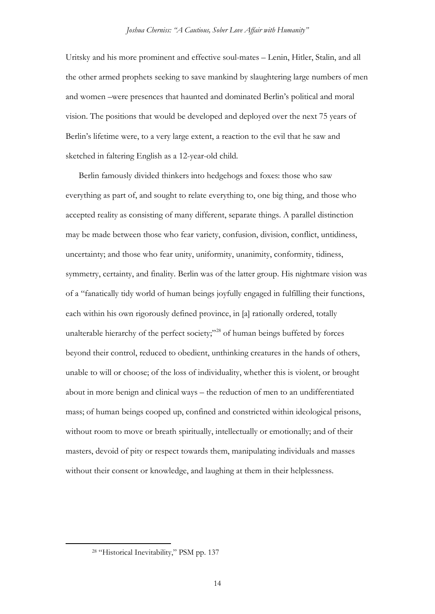Uritsky and his more prominent and effective soul-mates – Lenin, Hitler, Stalin, and all the other armed prophets seeking to save mankind by slaughtering large numbers of men and women –were presences that haunted and dominated Berlin's political and moral vision. The positions that would be developed and deployed over the next 75 years of Berlin's lifetime were, to a very large extent, a reaction to the evil that he saw and sketched in faltering English as a 12-year-old child.

Berlin famously divided thinkers into hedgehogs and foxes: those who saw everything as part of, and sought to relate everything to, one big thing, and those who accepted reality as consisting of many different, separate things. A parallel distinction may be made between those who fear variety, confusion, division, conflict, untidiness, uncertainty; and those who fear unity, uniformity, unanimity, conformity, tidiness, symmetry, certainty, and finality. Berlin was of the latter group. His nightmare vision was of a "fanatically tidy world of human beings joyfully engaged in fulfilling their functions, each within his own rigorously defined province, in [a] rationally ordered, totally unalterable hierarchy of the perfect society;"<sup>[28](#page-13-0)</sup> of human beings buffeted by forces beyond their control, reduced to obedient, unthinking creatures in the hands of others, unable to will or choose; of the loss of individuality, whether this is violent, or brought about in more benign and clinical ways – the reduction of men to an undifferentiated mass; of human beings cooped up, confined and constricted within ideological prisons, without room to move or breath spiritually, intellectually or emotionally; and of their masters, devoid of pity or respect towards them, manipulating individuals and masses without their consent or knowledge, and laughing at them in their helplessness.

<span id="page-13-0"></span> <sup>28</sup> "Historical Inevitability," PSM pp. 137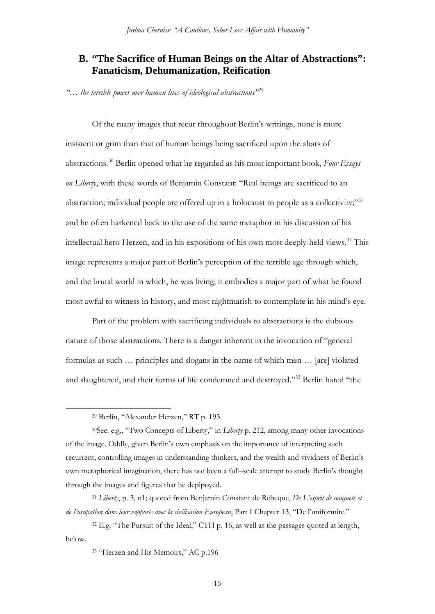## **B. "The Sacrifice of Human Beings on the Altar of Abstractions": Fanaticism, Dehumanization, Reification**

*"… the terrible power over human lives of ideological abstractions"[29](#page-14-0)*

Of the many images that recur throughout Berlin's writings, none is more insistent or grim than that of human beings being sacrificed upon the altars of abstractions.[30](#page-14-1) Berlin opened what he regarded as his most important book, *Four Essays on Liberty*, with these words of Benjamin Constant: "Real beings are sacrificed to an abstraction; individual people are offered up in a holocaust to people as a collectivity;"<sup>[31](#page-14-2)</sup> and he often harkened back to the use of the same metaphor in his discussion of his intellectual hero Herzen, and in his expositions of his own most deeply-held views.<sup>[32](#page-14-3)</sup> This image represents a major part of Berlin's perception of the terrible age through which, and the brutal world in which, he was living; it embodies a major part of what he found most awful to witness in history, and most nightmarish to contemplate in his mind's eye.

Part of the problem with sacrificing individuals to abstractions is the dubious nature of those abstractions. There is a danger inherent in the invocation of "general formulas as such … principles and slogans in the name of which men … [are] violated and slaughtered, and their forms of life condemned and destroyed."[33](#page-14-4) Berlin hated "the

 <sup>29</sup> Berlin, "Alexander Herzen," RT p. 193

<span id="page-14-1"></span><span id="page-14-0"></span><sup>30</sup>See. e.g., "Two Concepts of Liberty," in *Liberty* p. 212, among many other invocations of the image. Oddly, given Berlin's own emphasis on the importance of interpreting such recurrent, controlling images in understanding thinkers, and the wealth and vividness of Berlin's own metaphorical imagination, there has not been a full–scale attempt to study Berlin's thought through the images and figures that he deplpoyed.

<span id="page-14-2"></span><sup>31</sup> *Liberty*, p. 3, n1; quoted from Benjamin Constant de Rebeque, *De L'esprit de conquete et de l'usupation dans leur rapports avec la civilisation European*, Part I Chapter 13, "De l'uniformite."

<span id="page-14-4"></span><span id="page-14-3"></span><sup>&</sup>lt;sup>32</sup> E.g. "The Pursuit of the Ideal," CTH p. 16, as well as the passages quoted at length, below.

<sup>33</sup> "Herzen and His Memoirs," AC p.196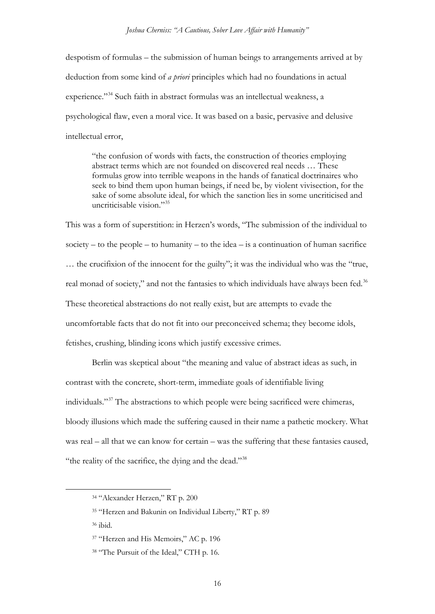despotism of formulas – the submission of human beings to arrangements arrived at by deduction from some kind of *a priori* principles which had no foundations in actual experience."<sup>[34](#page-15-0)</sup> Such faith in abstract formulas was an intellectual weakness, a psychological flaw, even a moral vice. It was based on a basic, pervasive and delusive intellectual error,

"the confusion of words with facts, the construction of theories employing abstract terms which are not founded on discovered real needs … These formulas grow into terrible weapons in the hands of fanatical doctrinaires who seek to bind them upon human beings, if need be, by violent vivisection, for the sake of some absolute ideal, for which the sanction lies in some uncriticised and uncriticisable vision $^{35}$  $^{35}$  $^{35}$ 

This was a form of superstition: in Herzen's words, "The submission of the individual to society – to the people – to humanity – to the idea – is a continuation of human sacrifice … the crucifixion of the innocent for the guilty"; it was the individual who was the "true, real monad of society," and not the fantasies to which individuals have always been fed.<sup>[36](#page-15-2)</sup> These theoretical abstractions do not really exist, but are attempts to evade the uncomfortable facts that do not fit into our preconceived schema; they become idols, fetishes, crushing, blinding icons which justify excessive crimes.

Berlin was skeptical about "the meaning and value of abstract ideas as such, in contrast with the concrete, short-term, immediate goals of identifiable living individuals."[37](#page-15-3) The abstractions to which people were being sacrificed were chimeras, bloody illusions which made the suffering caused in their name a pathetic mockery. What was real – all that we can know for certain – was the suffering that these fantasies caused, "the reality of the sacrifice, the dying and the dead."[38](#page-15-4)

<span id="page-15-0"></span> <sup>34</sup> "Alexander Herzen," RT p. 200

<span id="page-15-1"></span><sup>35</sup> "Herzen and Bakunin on Individual Liberty," RT p. 89

<span id="page-15-2"></span><sup>36</sup> ibid.

<span id="page-15-3"></span><sup>&</sup>lt;sup>37</sup> "Herzen and His Memoirs," AC p. 196

<span id="page-15-4"></span><sup>38</sup> "The Pursuit of the Ideal," CTH p. 16.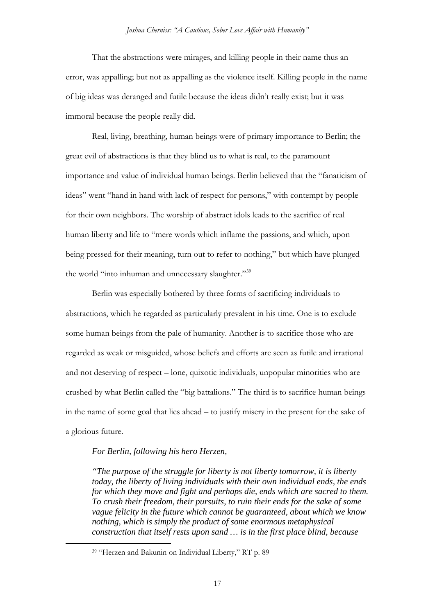That the abstractions were mirages, and killing people in their name thus an error, was appalling; but not as appalling as the violence itself. Killing people in the name of big ideas was deranged and futile because the ideas didn't really exist; but it was immoral because the people really did.

Real, living, breathing, human beings were of primary importance to Berlin; the great evil of abstractions is that they blind us to what is real, to the paramount importance and value of individual human beings. Berlin believed that the "fanaticism of ideas" went "hand in hand with lack of respect for persons," with contempt by people for their own neighbors. The worship of abstract idols leads to the sacrifice of real human liberty and life to "mere words which inflame the passions, and which, upon being pressed for their meaning, turn out to refer to nothing," but which have plunged the world "into inhuman and unnecessary slaughter."<sup>[39](#page-16-0)</sup>

Berlin was especially bothered by three forms of sacrificing individuals to abstractions, which he regarded as particularly prevalent in his time. One is to exclude some human beings from the pale of humanity. Another is to sacrifice those who are regarded as weak or misguided, whose beliefs and efforts are seen as futile and irrational and not deserving of respect – lone, quixotic individuals, unpopular minorities who are crushed by what Berlin called the "big battalions." The third is to sacrifice human beings in the name of some goal that lies ahead – to justify misery in the present for the sake of a glorious future.

#### *For Berlin, following his hero Herzen,*

*"The purpose of the struggle for liberty is not liberty tomorrow, it is liberty today, the liberty of living individuals with their own individual ends, the ends for which they move and fight and perhaps die, ends which are sacred to them. To crush their freedom, their pursuits, to ruin their ends for the sake of some vague felicity in the future which cannot be guaranteed, about which we know nothing, which is simply the product of some enormous metaphysical construction that itself rests upon sand … is in the first place blind, because* 

<span id="page-16-0"></span> <sup>39</sup> "Herzen and Bakunin on Individual Liberty," RT p. 89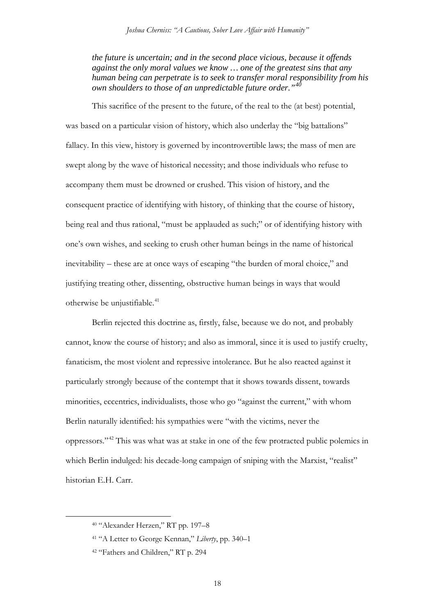*the future is uncertain; and in the second place vicious, because it offends against the only moral values we know … one of the greatest sins that any human being can perpetrate is to seek to transfer moral responsibility from his own shoulders to those of an unpredictable future order."[40](#page-17-0)*

This sacrifice of the present to the future, of the real to the (at best) potential, was based on a particular vision of history, which also underlay the "big battalions" fallacy. In this view, history is governed by incontrovertible laws; the mass of men are swept along by the wave of historical necessity; and those individuals who refuse to accompany them must be drowned or crushed. This vision of history, and the consequent practice of identifying with history, of thinking that the course of history, being real and thus rational, "must be applauded as such;" or of identifying history with one's own wishes, and seeking to crush other human beings in the name of historical inevitability – these are at once ways of escaping "the burden of moral choice," and justifying treating other, dissenting, obstructive human beings in ways that would otherwise be unjustifiable.<sup>[41](#page-17-1)</sup>

Berlin rejected this doctrine as, firstly, false, because we do not, and probably cannot, know the course of history; and also as immoral, since it is used to justify cruelty, fanaticism, the most violent and repressive intolerance. But he also reacted against it particularly strongly because of the contempt that it shows towards dissent, towards minorities, eccentrics, individualists, those who go "against the current," with whom Berlin naturally identified: his sympathies were "with the victims, never the oppressors."[42](#page-17-2) This was what was at stake in one of the few protracted public polemics in which Berlin indulged: his decade-long campaign of sniping with the Marxist, "realist" historian E.H. Carr.

<span id="page-17-0"></span> <sup>40</sup> "Alexander Herzen," RT pp. 197–8

<span id="page-17-1"></span><sup>41</sup> "A Letter to George Kennan," *Liberty*, pp. 340–1

<span id="page-17-2"></span><sup>42</sup> "Fathers and Children," RT p. 294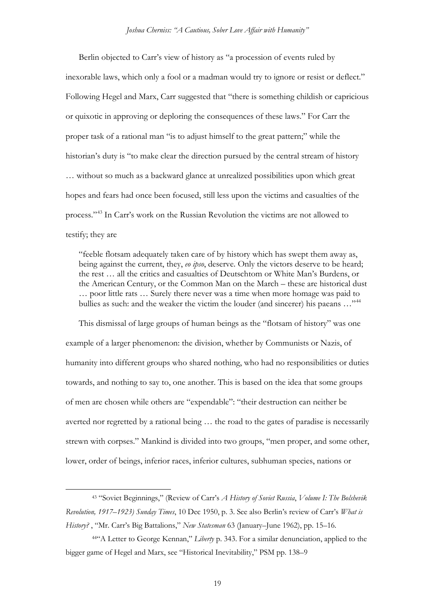Berlin objected to Carr's view of history as "a procession of events ruled by inexorable laws, which only a fool or a madman would try to ignore or resist or deflect." Following Hegel and Marx, Carr suggested that "there is something childish or capricious or quixotic in approving or deploring the consequences of these laws." For Carr the proper task of a rational man "is to adjust himself to the great pattern;" while the historian's duty is "to make clear the direction pursued by the central stream of history … without so much as a backward glance at unrealized possibilities upon which great hopes and fears had once been focused, still less upon the victims and casualties of the process."[43](#page-18-0) In Carr's work on the Russian Revolution the victims are not allowed to testify; they are

"feeble flotsam adequately taken care of by history which has swept them away as, being against the current, they, *eo ipso*, deserve. Only the victors deserve to be heard; the rest … all the critics and casualties of Deutschtom or White Man's Burdens, or the American Century, or the Common Man on the March – these are historical dust … poor little rats … Surely there never was a time when more homage was paid to bullies as such: and the weaker the victim the louder (and sincerer) his paeans ..."<sup>[44](#page-18-1)</sup>

This dismissal of large groups of human beings as the "flotsam of history" was one example of a larger phenomenon: the division, whether by Communists or Nazis, of humanity into different groups who shared nothing, who had no responsibilities or duties towards, and nothing to say to, one another. This is based on the idea that some groups of men are chosen while others are "expendable": "their destruction can neither be averted nor regretted by a rational being … the road to the gates of paradise is necessarily strewn with corpses." Mankind is divided into two groups, "men proper, and some other, lower, order of beings, inferior races, inferior cultures, subhuman species, nations or

<span id="page-18-0"></span> <sup>43</sup> "Soviet Beginnings," (Review of Carr's *A History of Soviet Russia*, *Volume I: The Bolshevik Revolution, 1917–1923) Sunday Times*, 10 Dec 1950, p. 3. See also Berlin's review of Carr's *What is History?* , "Mr. Carr's Big Battalions," *New Statesman* 63 (January–June 1962), pp. 15–16.

<span id="page-18-1"></span><sup>44&</sup>quot;A Letter to George Kennan," *Liberty* p. 343. For a similar denunciation, applied to the bigger game of Hegel and Marx, see "Historical Inevitability," PSM pp. 138–9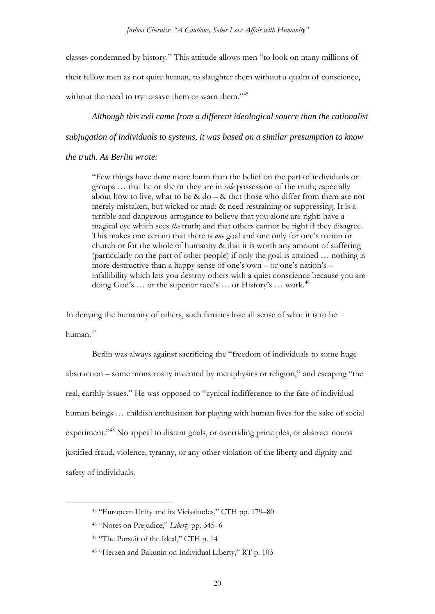classes condemned by history." This attitude allows men "to look on many millions of their fellow men as not quite human, to slaughter them without a qualm of conscience, without the need to try to save them or warn them."<sup>45</sup>

*Although this evil came from a different ideological source than the rationalist subjugation of individuals to systems, it was based on a similar presumption to know* 

#### *the truth. As Berlin wrote:*

"Few things have done more harm than the belief on the part of individuals or groups … that he or she or they are in *sole* possession of the truth; especially about how to live, what to be  $&$  do –  $&$  that those who differ from them are not merely mistaken, but wicked or mad: & need restraining or suppressing. It is a terrible and dangerous arrogance to believe that you alone are right: have a magical eye which sees *the* truth; and that others cannot be right if they disagree. This makes one certain that there is *one* goal and one only for one's nation or church or for the whole of humanity & that it is worth any amount of suffering (particularly on the part of other people) if only the goal is attained … nothing is more destructive than a happy sense of one's own – or one's nation's – infallibility which lets you destroy others with a quiet conscience because you are doing God's ... or the superior race's ... or History's ... work.<sup>[46](#page-19-1)</sup>

In denying the humanity of others, such fanatics lose all sense of what it is to be

human.[47](#page-19-2)

Berlin was always against sacrificing the "freedom of individuals to some huge abstraction – some monstrosity invented by metaphysics or religion," and escaping "the real, earthly issues." He was opposed to "cynical indifference to the fate of individual human beings ... childish enthusiasm for playing with human lives for the sake of social experiment."<sup>[48](#page-19-3)</sup> No appeal to distant goals, or overriding principles, or abstract nouns justified fraud, violence, tyranny, or any other violation of the liberty and dignity and safety of individuals.

<span id="page-19-0"></span> <sup>45</sup> "European Unity and its Vicissitudes," CTH pp. 179–80

<span id="page-19-1"></span><sup>46</sup> "Notes on Prejudice," *Liberty* pp. 345–6

<span id="page-19-2"></span><sup>&</sup>lt;sup>47</sup> "The Pursuit of the Ideal," CTH p. 14

<span id="page-19-3"></span><sup>48</sup> "Herzen and Bakunin on Individual Liberty," RT p. 103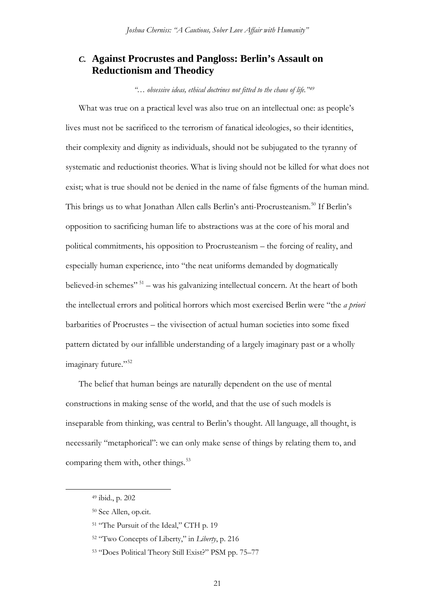### *C.* **Against Procrustes and Pangloss: Berlin's Assault on Reductionism and Theodicy**

*"… obsessive ideas, ethical doctrines not fitted to the chaos of life."[49](#page-20-0)*

What was true on a practical level was also true on an intellectual one: as people's lives must not be sacrificed to the terrorism of fanatical ideologies, so their identities, their complexity and dignity as individuals, should not be subjugated to the tyranny of systematic and reductionist theories. What is living should not be killed for what does not exist; what is true should not be denied in the name of false figments of the human mind. This brings us to what Jonathan Allen calls Berlin's anti-Procrusteanism.<sup>[50](#page-20-1)</sup> If Berlin's opposition to sacrificing human life to abstractions was at the core of his moral and political commitments, his opposition to Procrusteanism – the forcing of reality, and especially human experience, into "the neat uniforms demanded by dogmatically believed-in schemes" [51](#page-20-2) – was his galvanizing intellectual concern. At the heart of both the intellectual errors and political horrors which most exercised Berlin were "the *a priori* barbarities of Procrustes – the vivisection of actual human societies into some fixed pattern dictated by our infallible understanding of a largely imaginary past or a wholly imaginary future."<sup>52</sup>

The belief that human beings are naturally dependent on the use of mental constructions in making sense of the world, and that the use of such models is inseparable from thinking, was central to Berlin's thought. All language, all thought, is necessarily "metaphorical": we can only make sense of things by relating them to, and comparing them with, other things.<sup>[53](#page-20-4)</sup>

<span id="page-20-0"></span> <sup>49</sup> ibid., p. 202

<span id="page-20-1"></span><sup>50</sup> See Allen, op.cit.

<span id="page-20-2"></span><sup>&</sup>lt;sup>51</sup> "The Pursuit of the Ideal," CTH p. 19

<span id="page-20-3"></span><sup>52</sup> "Two Concepts of Liberty," in *Liberty*, p. 216

<span id="page-20-4"></span><sup>53</sup> "Does Political Theory Still Exist?" PSM pp. 75–77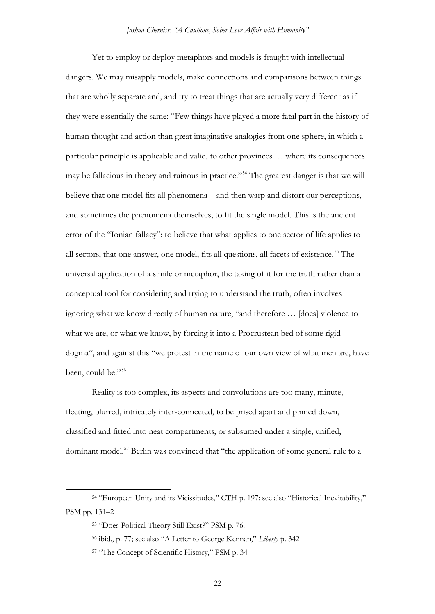Yet to employ or deploy metaphors and models is fraught with intellectual dangers. We may misapply models, make connections and comparisons between things that are wholly separate and, and try to treat things that are actually very different as if they were essentially the same: "Few things have played a more fatal part in the history of human thought and action than great imaginative analogies from one sphere, in which a particular principle is applicable and valid, to other provinces … where its consequences may be fallacious in theory and ruinous in practice."[54](#page-21-0) The greatest danger is that we will believe that one model fits all phenomena – and then warp and distort our perceptions, and sometimes the phenomena themselves, to fit the single model. This is the ancient error of the "Ionian fallacy": to believe that what applies to one sector of life applies to all sectors, that one answer, one model, fits all questions, all facets of existence.<sup>[55](#page-21-1)</sup> The universal application of a simile or metaphor, the taking of it for the truth rather than a conceptual tool for considering and trying to understand the truth, often involves ignoring what we know directly of human nature, "and therefore … [does] violence to what we are, or what we know, by forcing it into a Procrustean bed of some rigid dogma", and against this "we protest in the name of our own view of what men are, have been, could be."<sup>[56](#page-21-2)</sup>

Reality is too complex, its aspects and convolutions are too many, minute, fleeting, blurred, intricately inter-connected, to be prised apart and pinned down, classified and fitted into neat compartments, or subsumed under a single, unified, dominant model.[57](#page-21-3) Berlin was convinced that "the application of some general rule to a

<span id="page-21-3"></span><span id="page-21-2"></span><span id="page-21-1"></span><span id="page-21-0"></span> <sup>54</sup> "European Unity and its Vicissitudes," CTH p. 197; see also "Historical Inevitability," PSM pp. 131–2

<sup>55</sup> "Does Political Theory Still Exist?" PSM p. 76.

<sup>56</sup> ibid., p. 77; see also "A Letter to George Kennan," *Liberty* p. 342

<sup>57</sup> "The Concept of Scientific History," PSM p. 34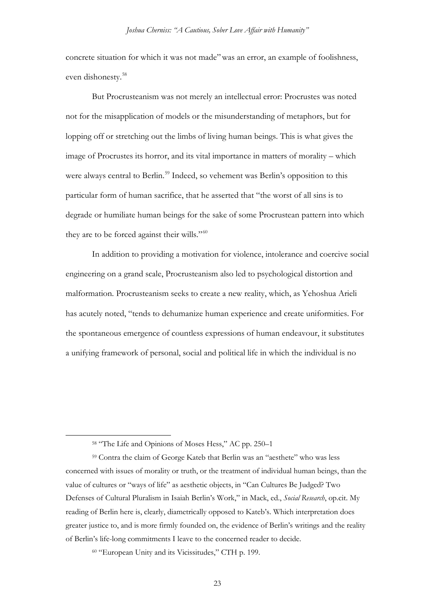concrete situation for which it was not made"was an error, an example of foolishness, even dishonesty.[58](#page-22-0)

But Procrusteanism was not merely an intellectual error: Procrustes was noted not for the misapplication of models or the misunderstanding of metaphors, but for lopping off or stretching out the limbs of living human beings. This is what gives the image of Procrustes its horror, and its vital importance in matters of morality – which were always central to Berlin.<sup>[59](#page-22-1)</sup> Indeed, so vehement was Berlin's opposition to this particular form of human sacrifice, that he asserted that "the worst of all sins is to degrade or humiliate human beings for the sake of some Procrustean pattern into which they are to be forced against their wills."<sup>[60](#page-22-2)</sup>

In addition to providing a motivation for violence, intolerance and coercive social engineering on a grand scale, Procrusteanism also led to psychological distortion and malformation. Procrusteanism seeks to create a new reality, which, as Yehoshua Arieli has acutely noted, "tends to dehumanize human experience and create uniformities. For the spontaneous emergence of countless expressions of human endeavour, it substitutes a unifying framework of personal, social and political life in which the individual is no

 <sup>58</sup> "The Life and Opinions of Moses Hess," AC pp. 250–1

<span id="page-22-1"></span><span id="page-22-0"></span><sup>59</sup> Contra the claim of George Kateb that Berlin was an "aesthete" who was less concerned with issues of morality or truth, or the treatment of individual human beings, than the value of cultures or "ways of life" as aesthetic objects, in "Can Cultures Be Judged? Two Defenses of Cultural Pluralism in Isaiah Berlin's Work," in Mack, ed., *Social Research*, op.cit. My reading of Berlin here is, clearly, diametrically opposed to Kateb's. Which interpretation does greater justice to, and is more firmly founded on, the evidence of Berlin's writings and the reality of Berlin's life-long commitments I leave to the concerned reader to decide.

<span id="page-22-2"></span><sup>60</sup> "European Unity and its Vicissitudes," CTH p. 199.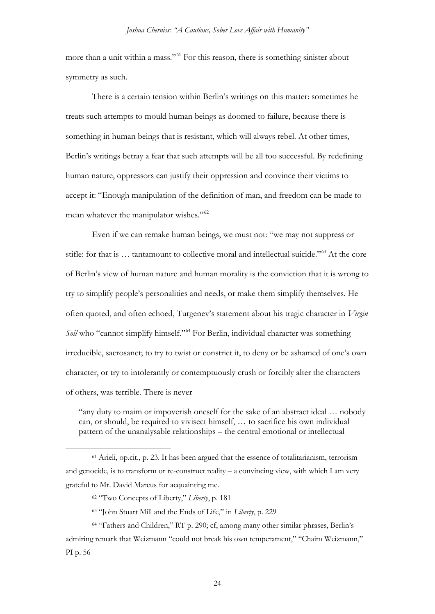more than a unit within a mass."[61](#page-23-0) For this reason, there is something sinister about symmetry as such.

There is a certain tension within Berlin's writings on this matter: sometimes he treats such attempts to mould human beings as doomed to failure, because there is something in human beings that is resistant, which will always rebel. At other times, Berlin's writings betray a fear that such attempts will be all too successful. By redefining human nature, oppressors can justify their oppression and convince their victims to accept it: "Enough manipulation of the definition of man, and freedom can be made to mean whatever the manipulator wishes."<sup>[62](#page-23-1)</sup>

Even if we can remake human beings, we must not: "we may not suppress or stifle: for that is … tantamount to collective moral and intellectual suicide."[63](#page-23-2) At the core of Berlin's view of human nature and human morality is the conviction that it is wrong to try to simplify people's personalities and needs, or make them simplify themselves. He often quoted, and often echoed, Turgenev's statement about his tragic character in *Virgin Soil* who "cannot simplify himself."[64](#page-23-3) For Berlin, individual character was something irreducible, sacrosanct; to try to twist or constrict it, to deny or be ashamed of one's own character, or try to intolerantly or contemptuously crush or forcibly alter the characters of others, was terrible. There is never

"any duty to maim or impoverish oneself for the sake of an abstract ideal … nobody can, or should, be required to vivisect himself, … to sacrifice his own individual pattern of the unanalysable relationships – the central emotional or intellectual

<span id="page-23-0"></span> <sup>61</sup> Arieli, op.cit., p. 23. It has been argued that the essence of totalitarianism, terrorism and genocide, is to transform or re-construct reality – a convincing view, with which I am very grateful to Mr. David Marcus for acquainting me.

<sup>62</sup> "Two Concepts of Liberty," *Liberty*, p. 181

<sup>63</sup> "John Stuart Mill and the Ends of Life," in *Liberty*, p. 229

<span id="page-23-3"></span><span id="page-23-2"></span><span id="page-23-1"></span><sup>64</sup> "Fathers and Children," RT p. 290; cf, among many other similar phrases, Berlin's admiring remark that Weizmann "could not break his own temperament," "Chaim Weizmann," PI p. 56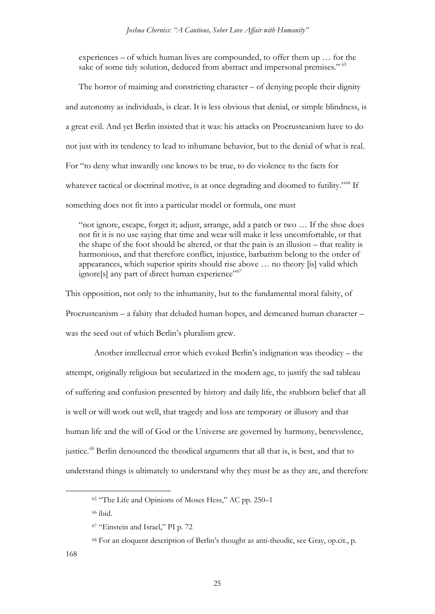experiences – of which human lives are compounded, to offer them up … for the sake of some tidy solution, deduced from abstract and impersonal premises." <sup>[65](#page-24-0)</sup>

The horror of maiming and constricting character – of denying people their dignity and autonomy as individuals, is clear. It is less obvious that denial, or simple blindness, is a great evil. And yet Berlin insisted that it was: his attacks on Procrusteanism have to do not just with its tendency to lead to inhumane behavior, but to the denial of what is real. For "to deny what inwardly one knows to be true, to do violence to the facts for whatever tactical or doctrinal motive, is at once degrading and doomed to futility."<sup>[66](#page-24-1)</sup> If something does not fit into a particular model or formula, one must

"not ignore, escape, forget it; adjust, arrange, add a patch or two … If the shoe does not fit it is no use saying that time and wear will make it less uncomfortable, or that the shape of the foot should be altered, or that the pain is an illusion – that reality is harmonious, and that therefore conflict, injustice, barbarism belong to the order of appearances, which superior spirits should rise above … no theory [is] valid which ignore[s] any part of direct human experience"<sup>67</sup>

This opposition, not only to the inhumanity, but to the fundamental moral falsity, of Procrusteanism – a falsity that deluded human hopes, and demeaned human character – was the seed out of which Berlin's pluralism grew.

Another intellectual error which evoked Berlin's indignation was theodicy – the attempt, originally religious but secularized in the modern age, to justify the sad tableau of suffering and confusion presented by history and daily life, the stubborn belief that all is well or will work out well, that tragedy and loss are temporary or illusory and that human life and the will of God or the Universe are governed by harmony, benevolence, justice.<sup>[68](#page-24-3)</sup> Berlin denounced the theodical arguments that all that is, is best, and that to understand things is ultimately to understand why they must be as they are, and therefore

<span id="page-24-0"></span><sup>&</sup>lt;sup>65</sup> "The Life and Opinions of Moses Hess," AC pp. 250–1

<span id="page-24-1"></span><sup>66</sup> ibid.

<span id="page-24-2"></span><sup>67</sup> "Einstein and Israel," PI p. 72

<span id="page-24-3"></span><sup>68</sup> For an eloquent description of Berlin's thought as anti-theodic, see Gray, op.cit., p.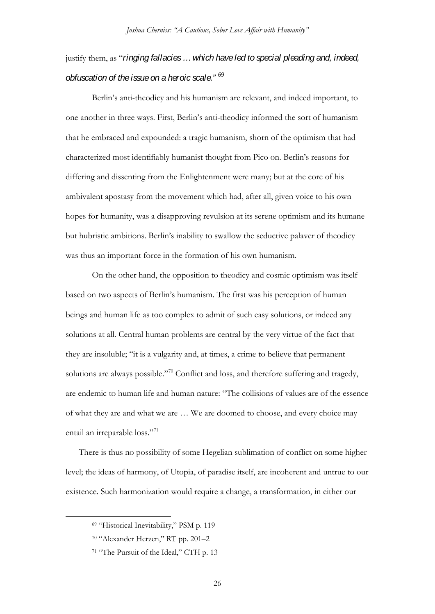## justify them, as "*ringing fallacies … which have led to special pleading and, indeed, obfuscation of the issue on a heroic scale." [69](#page-25-0)*

Berlin's anti-theodicy and his humanism are relevant, and indeed important, to one another in three ways. First, Berlin's anti-theodicy informed the sort of humanism that he embraced and expounded: a tragic humanism, shorn of the optimism that had characterized most identifiably humanist thought from Pico on. Berlin's reasons for differing and dissenting from the Enlightenment were many; but at the core of his ambivalent apostasy from the movement which had, after all, given voice to his own hopes for humanity, was a disapproving revulsion at its serene optimism and its humane but hubristic ambitions. Berlin's inability to swallow the seductive palaver of theodicy was thus an important force in the formation of his own humanism.

On the other hand, the opposition to theodicy and cosmic optimism was itself based on two aspects of Berlin's humanism. The first was his perception of human beings and human life as too complex to admit of such easy solutions, or indeed any solutions at all. Central human problems are central by the very virtue of the fact that they are insoluble; "it is a vulgarity and, at times, a crime to believe that permanent solutions are always possible."[70](#page-25-1) Conflict and loss, and therefore suffering and tragedy, are endemic to human life and human nature: "The collisions of values are of the essence of what they are and what we are … We are doomed to choose, and every choice may entail an irreparable loss."<sup>[71](#page-25-2)</sup>

There is thus no possibility of some Hegelian sublimation of conflict on some higher level; the ideas of harmony, of Utopia, of paradise itself, are incoherent and untrue to our existence. Such harmonization would require a change, a transformation, in either our

<span id="page-25-0"></span> <sup>69</sup> "Historical Inevitability," PSM p. 119

<span id="page-25-1"></span><sup>70</sup> "Alexander Herzen," RT pp. 201–2

<span id="page-25-2"></span><sup>&</sup>lt;sup>71</sup> "The Pursuit of the Ideal," CTH p. 13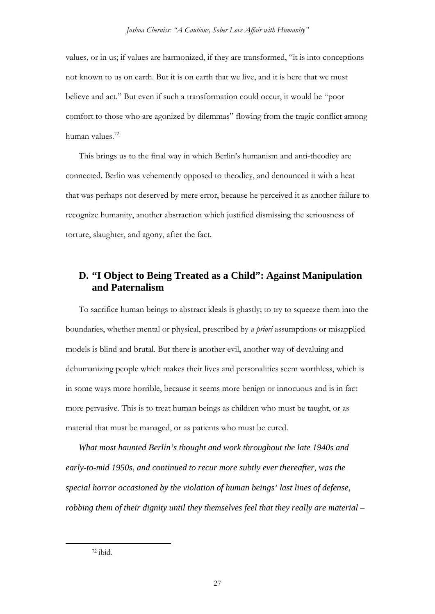values, or in us; if values are harmonized, if they are transformed, "it is into conceptions not known to us on earth. But it is on earth that we live, and it is here that we must believe and act." But even if such a transformation could occur, it would be "poor comfort to those who are agonized by dilemmas" flowing from the tragic conflict among human values.[72](#page-26-0)

This brings us to the final way in which Berlin's humanism and anti-theodicy are connected. Berlin was vehemently opposed to theodicy, and denounced it with a heat that was perhaps not deserved by mere error, because he perceived it as another failure to recognize humanity, another abstraction which justified dismissing the seriousness of torture, slaughter, and agony, after the fact.

## **D. "I Object to Being Treated as a Child": Against Manipulation and Paternalism**

To sacrifice human beings to abstract ideals is ghastly; to try to squeeze them into the boundaries, whether mental or physical, prescribed by *a priori* assumptions or misapplied models is blind and brutal. But there is another evil, another way of devaluing and dehumanizing people which makes their lives and personalities seem worthless, which is in some ways more horrible, because it seems more benign or innocuous and is in fact more pervasive. This is to treat human beings as children who must be taught, or as material that must be managed, or as patients who must be cured.

*What most haunted Berlin's thought and work throughout the late 1940s and early-to-mid 1950s, and continued to recur more subtly ever thereafter, was the special horror occasioned by the violation of human beings' last lines of defense, robbing them of their dignity until they themselves feel that they really are material –*

<span id="page-26-0"></span> <sup>72</sup> ibid.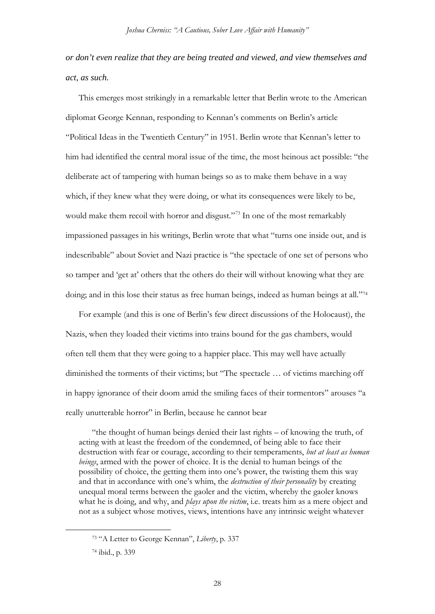*or don't even realize that they are being treated and viewed, and view themselves and act, as such.*

This emerges most strikingly in a remarkable letter that Berlin wrote to the American diplomat George Kennan, responding to Kennan's comments on Berlin's article "Political Ideas in the Twentieth Century" in 1951. Berlin wrote that Kennan's letter to him had identified the central moral issue of the time, the most heinous act possible: "the deliberate act of tampering with human beings so as to make them behave in a way which, if they knew what they were doing, or what its consequences were likely to be, would make them recoil with horror and disgust."<sup>[73](#page-27-0)</sup> In one of the most remarkably impassioned passages in his writings, Berlin wrote that what "turns one inside out, and is indescribable" about Soviet and Nazi practice is "the spectacle of one set of persons who so tamper and 'get at' others that the others do their will without knowing what they are doing; and in this lose their status as free human beings, indeed as human beings at all."[74](#page-27-1)

For example (and this is one of Berlin's few direct discussions of the Holocaust), the Nazis, when they loaded their victims into trains bound for the gas chambers, would often tell them that they were going to a happier place. This may well have actually diminished the torments of their victims; but "The spectacle … of victims marching off in happy ignorance of their doom amid the smiling faces of their tormentors" arouses "a really unutterable horror" in Berlin, because he cannot bear

"the thought of human beings denied their last rights – of knowing the truth, of acting with at least the freedom of the condemned, of being able to face their destruction with fear or courage, according to their temperaments, *but at least as human beings*, armed with the power of choice. It is the denial to human beings of the possibility of choice, the getting them into one's power, the twisting them this way and that in accordance with one's whim, the *destruction of their personality* by creating unequal moral terms between the gaoler and the victim, whereby the gaoler knows what he is doing, and why, and *plays upon the victim*, i.e. treats him as a mere object and not as a subject whose motives, views, intentions have any intrinsic weight whatever

<span id="page-27-0"></span> <sup>73</sup> "A Letter to George Kennan", *Liberty*, p. 337

<span id="page-27-1"></span><sup>74</sup> ibid., p. 339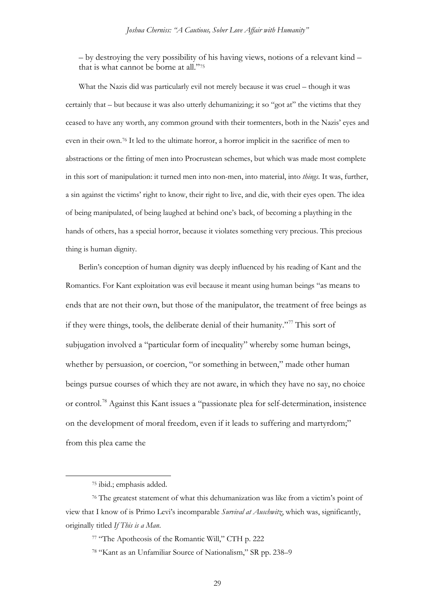– by destroying the very possibility of his having views, notions of a relevant kind – that is what cannot be borne at all."[75](#page-28-0)

What the Nazis did was particularly evil not merely because it was cruel – though it was certainly that – but because it was also utterly dehumanizing; it so "got at" the victims that they ceased to have any worth, any common ground with their tormenters, both in the Nazis' eyes and even in their own.[76](#page-28-1) It led to the ultimate horror, a horror implicit in the sacrifice of men to abstractions or the fitting of men into Procrustean schemes, but which was made most complete in this sort of manipulation: it turned men into non-men, into material, into *things*. It was, further, a sin against the victims' right to know, their right to live, and die, with their eyes open. The idea of being manipulated, of being laughed at behind one's back, of becoming a plaything in the hands of others, has a special horror, because it violates something very precious. This precious thing is human dignity.

Berlin's conception of human dignity was deeply influenced by his reading of Kant and the Romantics. For Kant exploitation was evil because it meant using human beings "as means to ends that are not their own, but those of the manipulator, the treatment of free beings as if they were things, tools, the deliberate denial of their humanity."[77](#page-28-2) This sort of subjugation involved a "particular form of inequality" whereby some human beings, whether by persuasion, or coercion, "or something in between," made other human beings pursue courses of which they are not aware, in which they have no say, no choice or control.[78](#page-28-3) Against this Kant issues a "passionate plea for self-determination, insistence on the development of moral freedom, even if it leads to suffering and martyrdom;" from this plea came the

29

 <sup>75</sup> ibid.; emphasis added.

<span id="page-28-3"></span><span id="page-28-2"></span><span id="page-28-1"></span><span id="page-28-0"></span><sup>76</sup> The greatest statement of what this dehumanization was like from a victim's point of view that I know of is Primo Levi's incomparable *Survival at Auschwitz*, which was, significantly, originally titled *If This is a Man*.

<sup>77</sup> "The Apotheosis of the Romantic Will," CTH p. 222

<sup>78</sup> "Kant as an Unfamiliar Source of Nationalism," SR pp. 238–9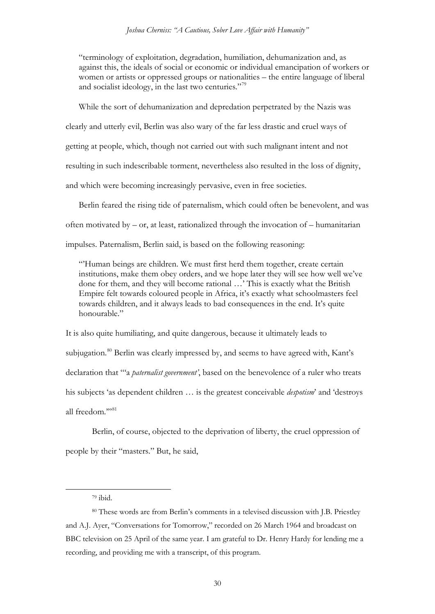"terminology of exploitation, degradation, humiliation, dehumanization and, as against this, the ideals of social or economic or individual emancipation of workers or women or artists or oppressed groups or nationalities – the entire language of liberal and socialist ideology, in the last two centuries."[79](#page-29-0)

While the sort of dehumanization and depredation perpetrated by the Nazis was clearly and utterly evil, Berlin was also wary of the far less drastic and cruel ways of getting at people, which, though not carried out with such malignant intent and not resulting in such indescribable torment, nevertheless also resulted in the loss of dignity, and which were becoming increasingly pervasive, even in free societies.

Berlin feared the rising tide of paternalism, which could often be benevolent, and was often motivated by – or, at least, rationalized through the invocation of – humanitarian impulses. Paternalism, Berlin said, is based on the following reasoning:

"'Human beings are children. We must first herd them together, create certain institutions, make them obey orders, and we hope later they will see how well we've done for them, and they will become rational …' This is exactly what the British Empire felt towards coloured people in Africa, it's exactly what schoolmasters feel towards children, and it always leads to bad consequences in the end. It's quite honourable."

It is also quite humiliating, and quite dangerous, because it ultimately leads to subjugation.<sup>[80](#page-29-1)</sup> Berlin was clearly impressed by, and seems to have agreed with, Kant's declaration that "'a *paternalist government'*, based on the benevolence of a ruler who treats his subjects 'as dependent children … is the greatest conceivable *despotism*' and 'destroys all freedom.""[81](#page-29-2)

<span id="page-29-2"></span>Berlin, of course, objected to the deprivation of liberty, the cruel oppression of people by their "masters." But, he said,

 <sup>79</sup> ibid.

<span id="page-29-1"></span><span id="page-29-0"></span><sup>80</sup> These words are from Berlin's comments in a televised discussion with J.B. Priestley and A.J. Ayer, "Conversations for Tomorrow," recorded on 26 March 1964 and broadcast on BBC television on 25 April of the same year. I am grateful to Dr. Henry Hardy for lending me a recording, and providing me with a transcript, of this program.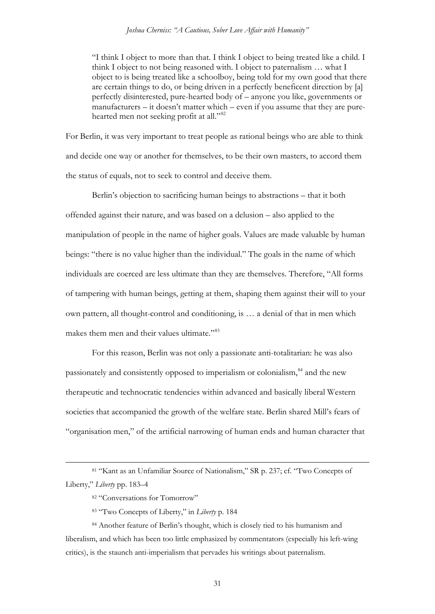"I think I object to more than that. I think I object to being treated like a child. I think I object to not being reasoned with. I object to paternalism … what I object to is being treated like a schoolboy, being told for my own good that there are certain things to do, or being driven in a perfectly beneficent direction by [a] perfectly disinterested, pure-hearted body of – anyone you like, governments or manufacturers – it doesn't matter which – even if you assume that they are pure-hearted men not seeking profit at all."<sup>[82](#page-30-0)</sup>

For Berlin, it was very important to treat people as rational beings who are able to think and decide one way or another for themselves, to be their own masters, to accord them the status of equals, not to seek to control and deceive them.

Berlin's objection to sacrificing human beings to abstractions – that it both offended against their nature, and was based on a delusion – also applied to the manipulation of people in the name of higher goals. Values are made valuable by human beings: "there is no value higher than the individual." The goals in the name of which individuals are coerced are less ultimate than they are themselves. Therefore, "All forms of tampering with human beings, getting at them, shaping them against their will to your own pattern, all thought-control and conditioning, is … a denial of that in men which makes them men and their values ultimate."<sup>[83](#page-30-1)</sup>

For this reason, Berlin was not only a passionate anti-totalitarian: he was also passionately and consistently opposed to imperialism or colonialism,[84](#page-30-2) and the new therapeutic and technocratic tendencies within advanced and basically liberal Western societies that accompanied the growth of the welfare state. Berlin shared Mill's fears of "organisation men," of the artificial narrowing of human ends and human character that

<span id="page-30-0"></span> <sup>81</sup> "Kant as an Unfamiliar Source of Nationalism," SR p. 237; cf. "Two Concepts of Liberty," *Liberty* pp. 183–4

<sup>82 &</sup>quot;Conversations for Tomorrow"

<sup>83</sup> "Two Concepts of Liberty," in *Liberty* p. 184

<span id="page-30-2"></span><span id="page-30-1"></span><sup>84</sup> Another feature of Berlin's thought, which is closely tied to his humanism and liberalism, and which has been too little emphasized by commentators (especially his left-wing critics), is the staunch anti-imperialism that pervades his writings about paternalism.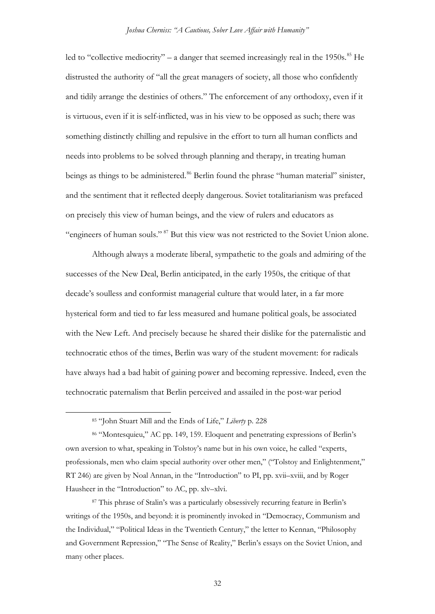led to "collective mediocrity" – a danger that seemed increasingly real in the 1950s.<sup>[85](#page-31-0)</sup> He distrusted the authority of "all the great managers of society, all those who confidently and tidily arrange the destinies of others." The enforcement of any orthodoxy, even if it is virtuous, even if it is self-inflicted, was in his view to be opposed as such; there was something distinctly chilling and repulsive in the effort to turn all human conflicts and needs into problems to be solved through planning and therapy, in treating human beings as things to be administered.<sup>[86](#page-31-1)</sup> Berlin found the phrase "human material" sinister, and the sentiment that it reflected deeply dangerous. Soviet totalitarianism was prefaced on precisely this view of human beings, and the view of rulers and educators as "engineers of human souls." [87](#page-31-2) But this view was not restricted to the Soviet Union alone.

Although always a moderate liberal, sympathetic to the goals and admiring of the successes of the New Deal, Berlin anticipated, in the early 1950s, the critique of that decade's soulless and conformist managerial culture that would later, in a far more hysterical form and tied to far less measured and humane political goals, be associated with the New Left. And precisely because he shared their dislike for the paternalistic and technocratic ethos of the times, Berlin was wary of the student movement: for radicals have always had a bad habit of gaining power and becoming repressive. Indeed, even the technocratic paternalism that Berlin perceived and assailed in the post-war period

 <sup>85</sup> "John Stuart Mill and the Ends of Life," *Liberty* p. 228

<span id="page-31-1"></span><span id="page-31-0"></span><sup>86</sup> "Montesquieu," AC pp. 149, 159. Eloquent and penetrating expressions of Berlin's own aversion to what, speaking in Tolstoy's name but in his own voice, he called "experts, professionals, men who claim special authority over other men," ("Tolstoy and Enlightenment," RT 246) are given by Noal Annan, in the "Introduction" to PI, pp. xvii–xviii, and by Roger Hausheer in the "Introduction" to AC, pp. xlv–xlvi.

<span id="page-31-2"></span><sup>87</sup> This phrase of Stalin's was a particularly obsessively recurring feature in Berlin's writings of the 1950s, and beyond: it is prominently invoked in "Democracy, Communism and the Individual," "Political Ideas in the Twentieth Century," the letter to Kennan, "Philosophy and Government Repression," "The Sense of Reality," Berlin's essays on the Soviet Union, and many other places.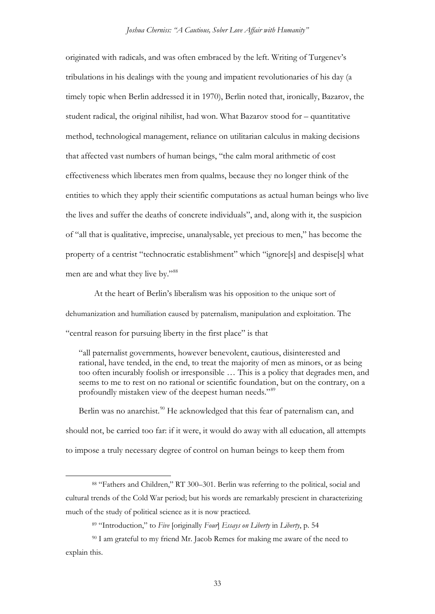originated with radicals, and was often embraced by the left. Writing of Turgenev's tribulations in his dealings with the young and impatient revolutionaries of his day (a timely topic when Berlin addressed it in 1970), Berlin noted that, ironically, Bazarov, the student radical, the original nihilist, had won. What Bazarov stood for – quantitative method, technological management, reliance on utilitarian calculus in making decisions that affected vast numbers of human beings, "the calm moral arithmetic of cost effectiveness which liberates men from qualms, because they no longer think of the entities to which they apply their scientific computations as actual human beings who live the lives and suffer the deaths of concrete individuals", and, along with it, the suspicion of "all that is qualitative, imprecise, unanalysable, yet precious to men," has become the property of a centrist "technocratic establishment" which "ignore[s] and despise[s] what men are and what they live by."<sup>[88](#page-32-0)</sup>

At the heart of Berlin's liberalism was his opposition to the unique sort of dehumanization and humiliation caused by paternalism, manipulation and exploitation. The "central reason for pursuing liberty in the first place" is that

"all paternalist governments, however benevolent, cautious, disinterested and rational, have tended, in the end, to treat the majority of men as minors, or as being too often incurably foolish or irresponsible … This is a policy that degrades men, and seems to me to rest on no rational or scientific foundation, but on the contrary, on a profoundly mistaken view of the deepest human needs."[89](#page-32-1)

Berlin was no anarchist.<sup>[90](#page-32-2)</sup> He acknowledged that this fear of paternalism can, and should not, be carried too far: if it were, it would do away with all education, all attempts to impose a truly necessary degree of control on human beings to keep them from

33

<span id="page-32-0"></span> <sup>88</sup> "Fathers and Children," RT 300–301. Berlin was referring to the political, social and cultural trends of the Cold War period; but his words are remarkably prescient in characterizing much of the study of political science as it is now practiced.

<sup>89</sup> "Introduction," to *Five* [originally *Four*] *Essays on Liberty* in *Liberty*, p. 54

<span id="page-32-2"></span><span id="page-32-1"></span><sup>&</sup>lt;sup>90</sup> I am grateful to my friend Mr. Jacob Remes for making me aware of the need to explain this.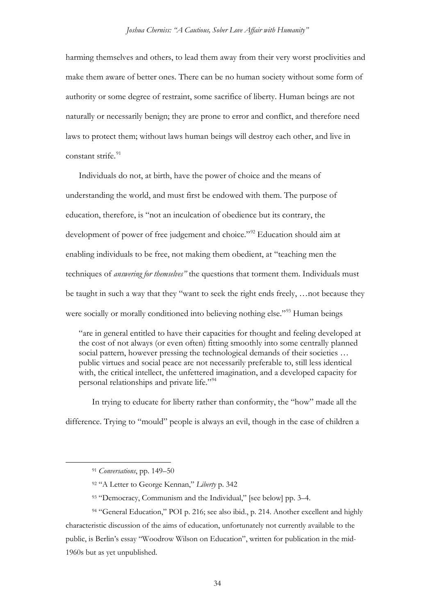harming themselves and others, to lead them away from their very worst proclivities and make them aware of better ones. There can be no human society without some form of authority or some degree of restraint, some sacrifice of liberty. Human beings are not naturally or necessarily benign; they are prone to error and conflict, and therefore need laws to protect them; without laws human beings will destroy each other, and live in constant strife.<sup>[91](#page-33-0)</sup>

Individuals do not, at birth, have the power of choice and the means of understanding the world, and must first be endowed with them. The purpose of education, therefore, is "not an inculcation of obedience but its contrary, the development of power of free judgement and choice."<sup>[92](#page-33-1)</sup> Education should aim at enabling individuals to be free, not making them obedient, at "teaching men the techniques of *answering for themselves"* the questions that torment them. Individuals must be taught in such a way that they "want to seek the right ends freely, …not because they were socially or morally conditioned into believing nothing else."<sup>[93](#page-33-2)</sup> Human beings

"are in general entitled to have their capacities for thought and feeling developed at the cost of not always (or even often) fitting smoothly into some centrally planned social pattern, however pressing the technological demands of their societies ... public virtues and social peace are not necessarily preferable to, still less identical with, the critical intellect, the unfettered imagination, and a developed capacity for personal relationships and private life."[94](#page-33-3)

In trying to educate for liberty rather than conformity, the "how" made all the difference. Trying to "mould" people is always an evil, though in the case of children a

 <sup>91</sup> *Conversations*, pp. 149–50

<sup>92</sup> "A Letter to George Kennan," *Liberty* p. 342

<sup>93</sup> "Democracy, Communism and the Individual," [see below] pp. 3–4.

<span id="page-33-3"></span><span id="page-33-2"></span><span id="page-33-1"></span><span id="page-33-0"></span><sup>&</sup>lt;sup>94</sup> "General Education," POI p. 216; see also ibid., p. 214. Another excellent and highly characteristic discussion of the aims of education, unfortunately not currently available to the public, is Berlin's essay "Woodrow Wilson on Education", written for publication in the mid-1960s but as yet unpublished.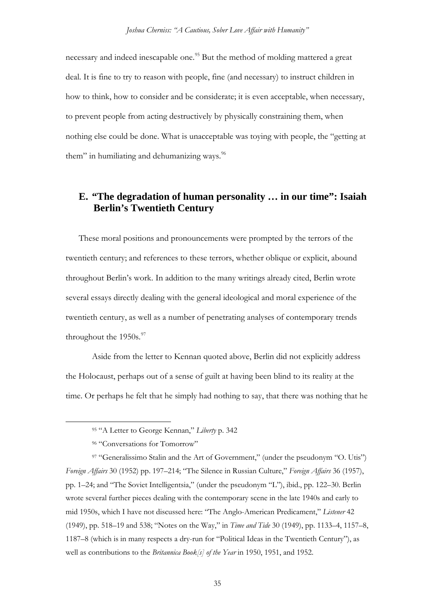necessary and indeed inescapable one.<sup>[95](#page-34-0)</sup> But the method of molding mattered a great deal. It is fine to try to reason with people, fine (and necessary) to instruct children in how to think, how to consider and be considerate; it is even acceptable, when necessary, to prevent people from acting destructively by physically constraining them, when nothing else could be done. What is unacceptable was toying with people, the "getting at them" in humiliating and dehumanizing ways.<sup>[96](#page-34-1)</sup>

## **E. "The degradation of human personality … in our time": Isaiah Berlin's Twentieth Century**

These moral positions and pronouncements were prompted by the terrors of the twentieth century; and references to these terrors, whether oblique or explicit, abound throughout Berlin's work. In addition to the many writings already cited, Berlin wrote several essays directly dealing with the general ideological and moral experience of the twentieth century, as well as a number of penetrating analyses of contemporary trends throughout the 1950s.<sup>[97](#page-34-2)</sup>

Aside from the letter to Kennan quoted above, Berlin did not explicitly address the Holocaust, perhaps out of a sense of guilt at having been blind to its reality at the time. Or perhaps he felt that he simply had nothing to say, that there was nothing that he

 <sup>95</sup> "A Letter to George Kennan," *Liberty* p. 342

<sup>96 &</sup>quot;Conversations for Tomorrow"

<span id="page-34-2"></span><span id="page-34-1"></span><span id="page-34-0"></span><sup>97</sup> "Generalissimo Stalin and the Art of Government," (under the pseudonym "O. Utis") *Foreign Affairs* 30 (1952) pp. 197–214; "The Silence in Russian Culture," *Foreign Affairs* 36 (1957), pp. 1–24; and "The Soviet Intelligentsia," (under the pseudonym "L"), ibid., pp. 122–30. Berlin wrote several further pieces dealing with the contemporary scene in the late 1940s and early to mid 1950s, which I have not discussed here: "The Anglo-American Predicament," *Listener* 42 (1949), pp. 518–19 and 538; "Notes on the Way," in *Time and Tide* 30 (1949), pp. 1133–4, 1157–8, 1187–8 (which is in many respects a dry-run for "Political Ideas in the Twentieth Century"), as well as contributions to the *Britannica Book[s] of the Year* in 1950, 1951, and 1952.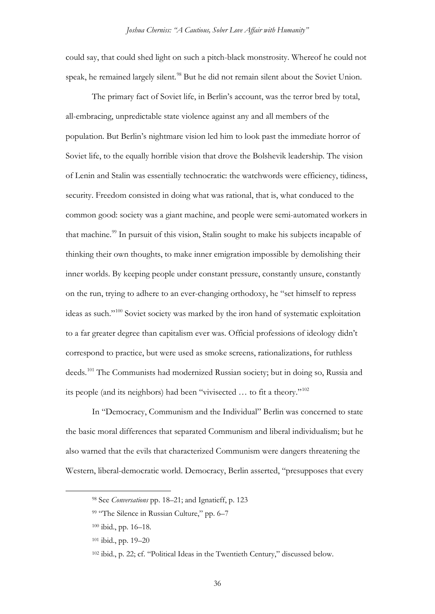could say, that could shed light on such a pitch-black monstrosity. Whereof he could not speak, he remained largely silent.<sup>[98](#page-35-0)</sup> But he did not remain silent about the Soviet Union.

The primary fact of Soviet life, in Berlin's account, was the terror bred by total, all-embracing, unpredictable state violence against any and all members of the population. But Berlin's nightmare vision led him to look past the immediate horror of Soviet life, to the equally horrible vision that drove the Bolshevik leadership. The vision of Lenin and Stalin was essentially technocratic: the watchwords were efficiency, tidiness, security. Freedom consisted in doing what was rational, that is, what conduced to the common good: society was a giant machine, and people were semi-automated workers in that machine.<sup>[99](#page-35-1)</sup> In pursuit of this vision, Stalin sought to make his subjects incapable of thinking their own thoughts, to make inner emigration impossible by demolishing their inner worlds. By keeping people under constant pressure, constantly unsure, constantly on the run, trying to adhere to an ever-changing orthodoxy, he "set himself to repress ideas as such."[100](#page-35-2) Soviet society was marked by the iron hand of systematic exploitation to a far greater degree than capitalism ever was. Official professions of ideology didn't correspond to practice, but were used as smoke screens, rationalizations, for ruthless deeds.<sup>[101](#page-35-3)</sup> The Communists had modernized Russian society; but in doing so, Russia and its people (and its neighbors) had been "vivisected … to fit a theory."[102](#page-35-4)

In "Democracy, Communism and the Individual" Berlin was concerned to state the basic moral differences that separated Communism and liberal individualism; but he also warned that the evils that characterized Communism were dangers threatening the Western, liberal-democratic world. Democracy, Berlin asserted, "presupposes that every

<span id="page-35-0"></span> <sup>98</sup> See *Conversations* pp. 18–21; and Ignatieff, p. 123

<span id="page-35-1"></span><sup>99 &</sup>quot;The Silence in Russian Culture," pp. 6–7

<span id="page-35-2"></span><sup>100</sup> ibid., pp. 16–18.

<span id="page-35-3"></span><sup>101</sup> ibid., pp. 19–20

<span id="page-35-4"></span><sup>102</sup> ibid., p. 22; cf. "Political Ideas in the Twentieth Century," discussed below.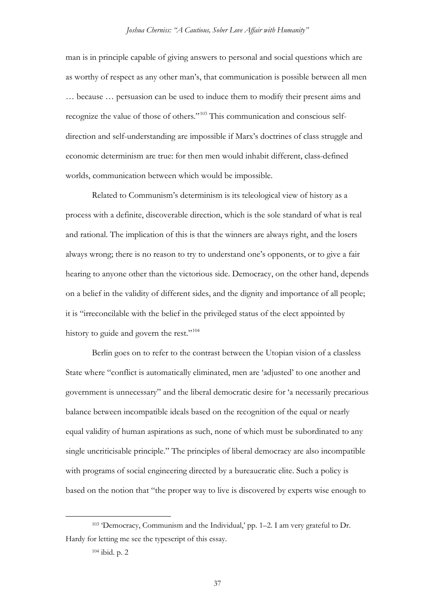man is in principle capable of giving answers to personal and social questions which are as worthy of respect as any other man's, that communication is possible between all men … because … persuasion can be used to induce them to modify their present aims and recognize the value of those of others."[103](#page-36-0) This communication and conscious selfdirection and self-understanding are impossible if Marx's doctrines of class struggle and economic determinism are true: for then men would inhabit different, class-defined worlds, communication between which would be impossible.

Related to Communism's determinism is its teleological view of history as a process with a definite, discoverable direction, which is the sole standard of what is real and rational. The implication of this is that the winners are always right, and the losers always wrong; there is no reason to try to understand one's opponents, or to give a fair hearing to anyone other than the victorious side. Democracy, on the other hand, depends on a belief in the validity of different sides, and the dignity and importance of all people; it is "irreconcilable with the belief in the privileged status of the elect appointed by history to guide and govern the rest."<sup>[104](#page-36-1)</sup>

Berlin goes on to refer to the contrast between the Utopian vision of a classless State where "conflict is automatically eliminated, men are 'adjusted' to one another and government is unnecessary" and the liberal democratic desire for 'a necessarily precarious balance between incompatible ideals based on the recognition of the equal or nearly equal validity of human aspirations as such, none of which must be subordinated to any single uncriticisable principle." The principles of liberal democracy are also incompatible with programs of social engineering directed by a bureaucratic elite. Such a policy is based on the notion that "the proper way to live is discovered by experts wise enough to

<span id="page-36-1"></span><span id="page-36-0"></span> <sup>103</sup> 'Democracy, Communism and the Individual,' pp. 1–2. I am very grateful to Dr. Hardy for letting me see the typescript of this essay.

<sup>104</sup> ibid. p. 2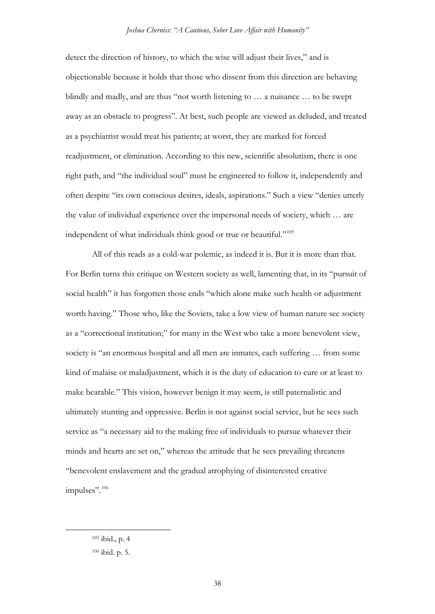detect the direction of history, to which the wise will adjust their lives," and is objectionable because it holds that those who dissent from this direction are behaving blindly and madly, and are thus "not worth listening to … a nuisance … to be swept away as an obstacle to progress". At best, such people are viewed as deluded, and treated as a psychiatrist would treat his patients; at worst, they are marked for forced readjustment, or elimination. According to this new, scientific absolutism, there is one right path, and "the individual soul" must be engineered to follow it, independently and often despite "its own conscious desires, ideals, aspirations." Such a view "denies utterly the value of individual experience over the impersonal needs of society, which … are independent of what individuals think good or true or beautiful."<sup>[105](#page-37-0)</sup>

All of this reads as a cold-war polemic, as indeed it is. But it is more than that. For Berlin turns this critique on Western society as well, lamenting that, in its "pursuit of social health" it has forgotten those ends "which alone make such health or adjustment worth having." Those who, like the Soviets, take a low view of human nature see society as a "correctional institution;" for many in the West who take a more benevolent view, society is "an enormous hospital and all men are inmates, each suffering … from some kind of malaise or maladjustment, which it is the duty of education to cure or at least to make bearable." This vision, however benign it may seem, is still paternalistic and ultimately stunting and oppressive. Berlin is not against social service, but he sees such service as "a necessary aid to the making free of individuals to pursue whatever their minds and hearts are set on," whereas the attitude that he sees prevailing threatens "benevolent enslavement and the gradual atrophying of disinterested creative impulses".<sup>[106](#page-37-1)</sup>

<span id="page-37-0"></span> <sup>105</sup> ibid., p. 4

<span id="page-37-1"></span><sup>106</sup> ibid. p. 5.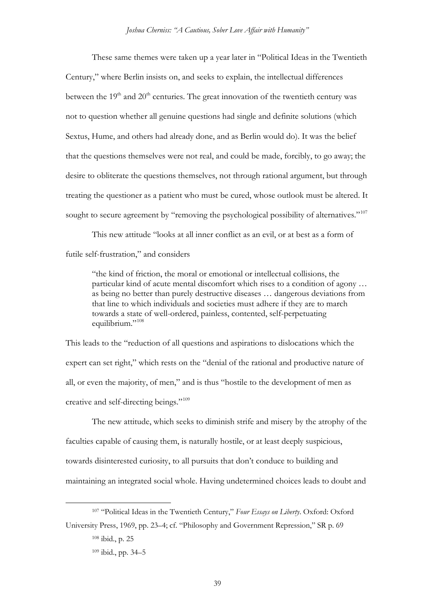These same themes were taken up a year later in "Political Ideas in the Twentieth Century," where Berlin insists on, and seeks to explain, the intellectual differences between the  $19<sup>th</sup>$  and  $20<sup>th</sup>$  centuries. The great innovation of the twentieth century was not to question whether all genuine questions had single and definite solutions (which Sextus, Hume, and others had already done, and as Berlin would do). It was the belief that the questions themselves were not real, and could be made, forcibly, to go away; the desire to obliterate the questions themselves, not through rational argument, but through treating the questioner as a patient who must be cured, whose outlook must be altered. It sought to secure agreement by "removing the psychological possibility of alternatives."<sup>[107](#page-38-0)</sup>

This new attitude "looks at all inner conflict as an evil, or at best as a form of futile self-frustration," and considers

"the kind of friction, the moral or emotional or intellectual collisions, the particular kind of acute mental discomfort which rises to a condition of agony … as being no better than purely destructive diseases … dangerous deviations from that line to which individuals and societies must adhere if they are to march towards a state of well-ordered, painless, contented, self-perpetuating equilibrium."<sup>[108](#page-38-1)</sup>

This leads to the "reduction of all questions and aspirations to dislocations which the expert can set right," which rests on the "denial of the rational and productive nature of all, or even the majority, of men," and is thus "hostile to the development of men as creative and self-directing beings."[109](#page-38-2)

The new attitude, which seeks to diminish strife and misery by the atrophy of the faculties capable of causing them, is naturally hostile, or at least deeply suspicious, towards disinterested curiosity, to all pursuits that don't conduce to building and maintaining an integrated social whole. Having undetermined choices leads to doubt and

 <sup>107</sup> "Political Ideas in the Twentieth Century," *Four Essays on Liberty*. Oxford: Oxford

<span id="page-38-2"></span><span id="page-38-1"></span><span id="page-38-0"></span>University Press, 1969, pp. 23–4; cf. "Philosophy and Government Repression," SR p. 69 <sup>108</sup> ibid., p. 25

<sup>109</sup> ibid., pp. 34–5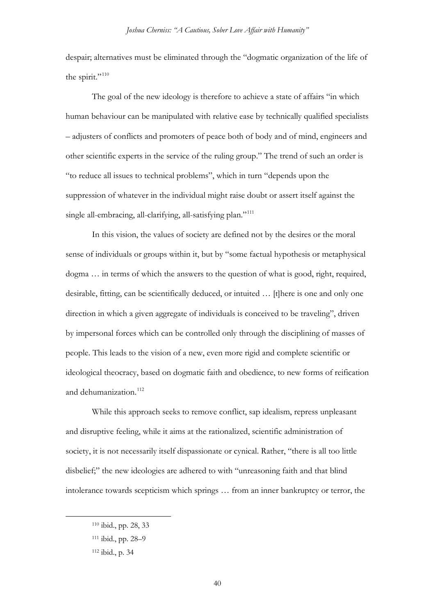despair; alternatives must be eliminated through the "dogmatic organization of the life of the spirit."<sup>[110](#page-39-0)</sup>

The goal of the new ideology is therefore to achieve a state of affairs "in which human behaviour can be manipulated with relative ease by technically qualified specialists – adjusters of conflicts and promoters of peace both of body and of mind, engineers and other scientific experts in the service of the ruling group." The trend of such an order is "to reduce all issues to technical problems", which in turn "depends upon the suppression of whatever in the individual might raise doubt or assert itself against the single all-embracing, all-clarifying, all-satisfying plan."<sup>[111](#page-39-1)</sup>

In this vision, the values of society are defined not by the desires or the moral sense of individuals or groups within it, but by "some factual hypothesis or metaphysical dogma … in terms of which the answers to the question of what is good, right, required, desirable, fitting, can be scientifically deduced, or intuited … [t]here is one and only one direction in which a given aggregate of individuals is conceived to be traveling", driven by impersonal forces which can be controlled only through the disciplining of masses of people. This leads to the vision of a new, even more rigid and complete scientific or ideological theocracy, based on dogmatic faith and obedience, to new forms of reification and dehumanization.<sup>[112](#page-39-2)</sup>

While this approach seeks to remove conflict, sap idealism, repress unpleasant and disruptive feeling, while it aims at the rationalized, scientific administration of society, it is not necessarily itself dispassionate or cynical. Rather, "there is all too little disbelief;" the new ideologies are adhered to with "unreasoning faith and that blind intolerance towards scepticism which springs … from an inner bankruptcy or terror, the

<span id="page-39-0"></span> <sup>110</sup> ibid., pp. 28, 33

<span id="page-39-1"></span><sup>111</sup> ibid., pp. 28–9

<span id="page-39-2"></span><sup>112</sup> ibid., p. 34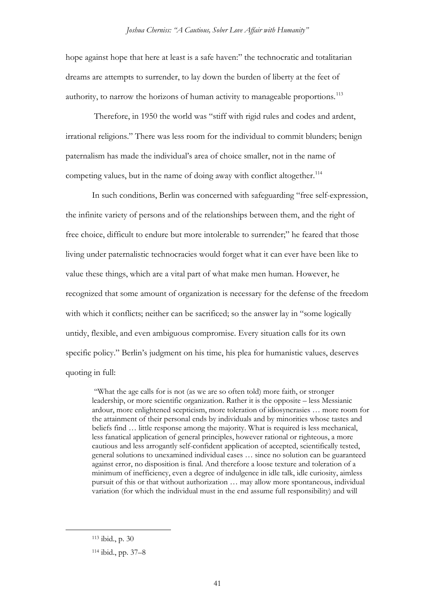hope against hope that here at least is a safe haven:" the technocratic and totalitarian dreams are attempts to surrender, to lay down the burden of liberty at the feet of authority, to narrow the horizons of human activity to manageable proportions.<sup>[113](#page-40-0)</sup>

Therefore, in 1950 the world was "stiff with rigid rules and codes and ardent, irrational religions." There was less room for the individual to commit blunders; benign paternalism has made the individual's area of choice smaller, not in the name of competing values, but in the name of doing away with conflict altogether.<sup>114</sup>

In such conditions, Berlin was concerned with safeguarding "free self-expression, the infinite variety of persons and of the relationships between them, and the right of free choice, difficult to endure but more intolerable to surrender;" he feared that those living under paternalistic technocracies would forget what it can ever have been like to value these things, which are a vital part of what make men human. However, he recognized that some amount of organization is necessary for the defense of the freedom with which it conflicts; neither can be sacrificed; so the answer lay in "some logically untidy, flexible, and even ambiguous compromise. Every situation calls for its own specific policy." Berlin's judgment on his time, his plea for humanistic values, deserves quoting in full:

"What the age calls for is not (as we are so often told) more faith, or stronger leadership, or more scientific organization. Rather it is the opposite – less Messianic ardour, more enlightened scepticism, more toleration of idiosyncrasies … more room for the attainment of their personal ends by individuals and by minorities whose tastes and beliefs find … little response among the majority. What is required is less mechanical, less fanatical application of general principles, however rational or righteous, a more cautious and less arrogantly self-confident application of accepted, scientifically tested, general solutions to unexamined individual cases … since no solution can be guaranteed against error, no disposition is final. And therefore a loose texture and toleration of a minimum of inefficiency, even a degree of indulgence in idle talk, idle curiosity, aimless pursuit of this or that without authorization … may allow more spontaneous, individual variation (for which the individual must in the end assume full responsibility) and will

<span id="page-40-0"></span> <sup>113</sup> ibid., p. 30

<span id="page-40-1"></span><sup>114</sup> ibid., pp. 37–8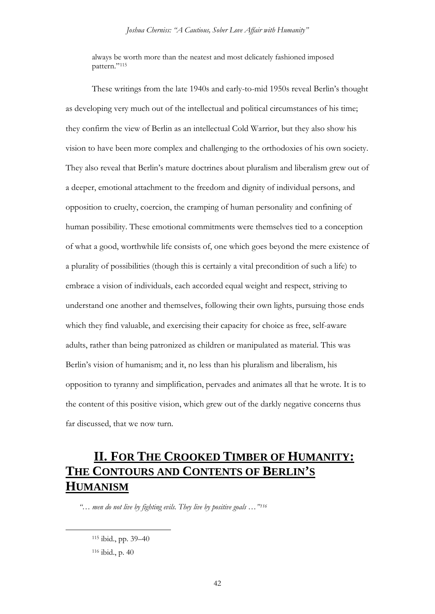always be worth more than the neatest and most delicately fashioned imposed pattern."<sup>[115](#page-41-0)</sup>

These writings from the late 1940s and early-to-mid 1950s reveal Berlin's thought as developing very much out of the intellectual and political circumstances of his time; they confirm the view of Berlin as an intellectual Cold Warrior, but they also show his vision to have been more complex and challenging to the orthodoxies of his own society. They also reveal that Berlin's mature doctrines about pluralism and liberalism grew out of a deeper, emotional attachment to the freedom and dignity of individual persons, and opposition to cruelty, coercion, the cramping of human personality and confining of human possibility. These emotional commitments were themselves tied to a conception of what a good, worthwhile life consists of, one which goes beyond the mere existence of a plurality of possibilities (though this is certainly a vital precondition of such a life) to embrace a vision of individuals, each accorded equal weight and respect, striving to understand one another and themselves, following their own lights, pursuing those ends which they find valuable, and exercising their capacity for choice as free, self-aware adults, rather than being patronized as children or manipulated as material. This was Berlin's vision of humanism; and it, no less than his pluralism and liberalism, his opposition to tyranny and simplification, pervades and animates all that he wrote. It is to the content of this positive vision, which grew out of the darkly negative concerns thus far discussed, that we now turn.

# **II. FOR THE CROOKED TIMBER OF HUMANITY: THE CONTOURS AND CONTENTS OF BERLIN'S HUMANISM**

<span id="page-41-1"></span><span id="page-41-0"></span>*"… men do not live by fighting evils. They live by positive goals …"[116](#page-41-1)*

 <sup>115</sup> ibid., pp. 39–40 <sup>116</sup> ibid., p. 40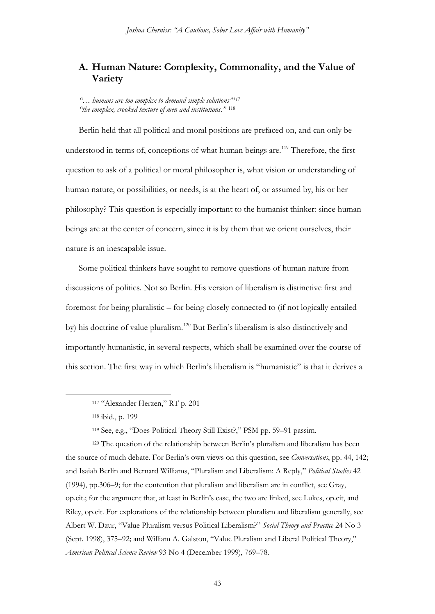## **A. Human Nature: Complexity, Commonality, and the Value of Variety**

*"… humans are too complex to demand simple solutions"[117](#page-42-0) "the complex, crooked texture of men and institutions."* [118](#page-42-1)

Berlin held that all political and moral positions are prefaced on, and can only be understood in terms of, conceptions of what human beings are.<sup>[119](#page-42-2)</sup> Therefore, the first question to ask of a political or moral philosopher is, what vision or understanding of human nature, or possibilities, or needs, is at the heart of, or assumed by, his or her philosophy? This question is especially important to the humanist thinker: since human beings are at the center of concern, since it is by them that we orient ourselves, their nature is an inescapable issue.

Some political thinkers have sought to remove questions of human nature from discussions of politics. Not so Berlin. His version of liberalism is distinctive first and foremost for being pluralistic – for being closely connected to (if not logically entailed by) his doctrine of value pluralism.[120](#page-42-3) But Berlin's liberalism is also distinctively and importantly humanistic, in several respects, which shall be examined over the course of this section. The first way in which Berlin's liberalism is "humanistic" is that it derives a

<sup>119</sup> See, e.g., "Does Political Theory Still Exist?," PSM pp. 59–91 passim.

<span id="page-42-3"></span><span id="page-42-2"></span><span id="page-42-1"></span><span id="page-42-0"></span><sup>120</sup> The question of the relationship between Berlin's pluralism and liberalism has been the source of much debate. For Berlin's own views on this question, see *Conversations*, pp. 44, 142; and Isaiah Berlin and Bernard Williams, "Pluralism and Liberalism: A Reply," *Political Studies* 42 (1994), pp.306–9; for the contention that pluralism and liberalism are in conflict, see Gray, op.cit.; for the argument that, at least in Berlin's case, the two are linked, see Lukes, op.cit, and Riley, op.cit. For explorations of the relationship between pluralism and liberalism generally, see Albert W. Dzur, "Value Pluralism versus Political Liberalism?" *Social Theory and Practice* 24 No 3 (Sept. 1998), 375–92; and William A. Galston, "Value Pluralism and Liberal Political Theory," *American Political Science Review* 93 No 4 (December 1999), 769–78.

 <sup>117</sup> "Alexander Herzen," RT p. 201

<sup>118</sup> ibid., p. 199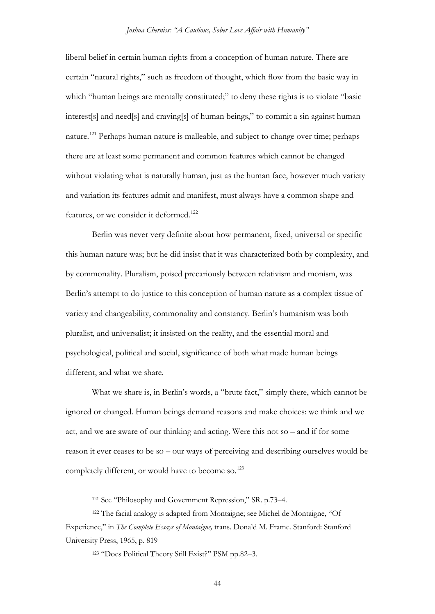liberal belief in certain human rights from a conception of human nature. There are certain "natural rights," such as freedom of thought, which flow from the basic way in which "human beings are mentally constituted;" to deny these rights is to violate "basic interest[s] and need[s] and craving[s] of human beings," to commit a sin against human nature.<sup>[121](#page-43-0)</sup> Perhaps human nature is malleable, and subject to change over time; perhaps there are at least some permanent and common features which cannot be changed without violating what is naturally human, just as the human face, however much variety and variation its features admit and manifest, must always have a common shape and features, or we consider it deformed.<sup>[122](#page-43-1)</sup>

Berlin was never very definite about how permanent, fixed, universal or specific this human nature was; but he did insist that it was characterized both by complexity, and by commonality. Pluralism, poised precariously between relativism and monism, was Berlin's attempt to do justice to this conception of human nature as a complex tissue of variety and changeability, commonality and constancy. Berlin's humanism was both pluralist, and universalist; it insisted on the reality, and the essential moral and psychological, political and social, significance of both what made human beings different, and what we share.

What we share is, in Berlin's words, a "brute fact," simply there, which cannot be ignored or changed. Human beings demand reasons and make choices: we think and we act, and we are aware of our thinking and acting. Were this not so – and if for some reason it ever ceases to be so – our ways of perceiving and describing ourselves would be completely different, or would have to become so.<sup>[123](#page-43-2)</sup>

44

 <sup>121</sup> See "Philosophy and Government Repression," SR. p.73–4.

<span id="page-43-2"></span><span id="page-43-1"></span><span id="page-43-0"></span><sup>122</sup> The facial analogy is adapted from Montaigne; see Michel de Montaigne, "Of Experience," in *The Complete Essays of Montaigne,* trans. Donald M. Frame. Stanford: Stanford University Press, 1965, p. 819

<sup>123</sup> "Does Political Theory Still Exist?" PSM pp.82–3.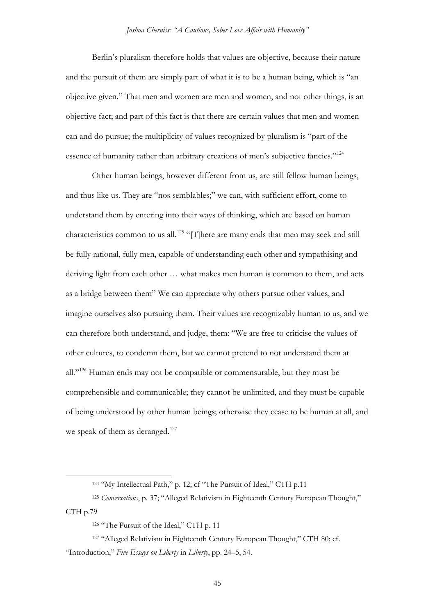Berlin's pluralism therefore holds that values are objective, because their nature and the pursuit of them are simply part of what it is to be a human being, which is "an objective given." That men and women are men and women, and not other things, is an objective fact; and part of this fact is that there are certain values that men and women can and do pursue; the multiplicity of values recognized by pluralism is "part of the essence of humanity rather than arbitrary creations of men's subjective fancies."[124](#page-44-0)

Other human beings, however different from us, are still fellow human beings, and thus like us. They are "nos semblables;" we can, with sufficient effort, come to understand them by entering into their ways of thinking, which are based on human characteristics common to us all.<sup>[125](#page-44-1)</sup> "[T]here are many ends that men may seek and still be fully rational, fully men, capable of understanding each other and sympathising and deriving light from each other … what makes men human is common to them, and acts as a bridge between them" We can appreciate why others pursue other values, and imagine ourselves also pursuing them. Their values are recognizably human to us, and we can therefore both understand, and judge, them: "We are free to criticise the values of other cultures, to condemn them, but we cannot pretend to not understand them at all."<sup>[126](#page-44-2)</sup> Human ends may not be compatible or commensurable, but they must be comprehensible and communicable; they cannot be unlimited, and they must be capable of being understood by other human beings; otherwise they cease to be human at all, and we speak of them as deranged.<sup>[127](#page-44-3)</sup>

<sup>124 &</sup>quot;My Intellectual Path," p. 12; cf "The Pursuit of Ideal," CTH p.11

<span id="page-44-1"></span><span id="page-44-0"></span><sup>125</sup> *Conversations*, p. 37; "Alleged Relativism in Eighteenth Century European Thought," CTH p.79

<sup>126 &</sup>quot;The Pursuit of the Ideal," CTH p. 11

<span id="page-44-3"></span><span id="page-44-2"></span><sup>127</sup> "Alleged Relativism in Eighteenth Century European Thought," CTH 80; cf. "Introduction," *Five Essays on Liberty* in *Liberty*, pp. 24–5, 54.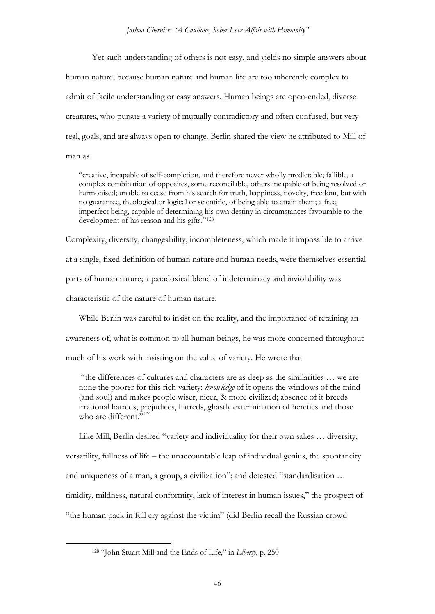Yet such understanding of others is not easy, and yields no simple answers about human nature, because human nature and human life are too inherently complex to admit of facile understanding or easy answers. Human beings are open-ended, diverse creatures, who pursue a variety of mutually contradictory and often confused, but very real, goals, and are always open to change. Berlin shared the view he attributed to Mill of man as

"creative, incapable of self-completion, and therefore never wholly predictable; fallible, a complex combination of opposites, some reconcilable, others incapable of being resolved or harmonised; unable to cease from his search for truth, happiness, novelty, freedom, but with no guarantee, theological or logical or scientific, of being able to attain them; a free, imperfect being, capable of determining his own destiny in circumstances favourable to the development of his reason and his gifts."<sup>[128](#page-45-0)</sup>

Complexity, diversity, changeability, incompleteness, which made it impossible to arrive at a single, fixed definition of human nature and human needs, were themselves essential parts of human nature; a paradoxical blend of indeterminacy and inviolability was characteristic of the nature of human nature.

While Berlin was careful to insist on the reality, and the importance of retaining an

awareness of, what is common to all human beings, he was more concerned throughout

much of his work with insisting on the value of variety. He wrote that

"the differences of cultures and characters are as deep as the similarities … we are none the poorer for this rich variety: *knowledge* of it opens the windows of the mind (and soul) and makes people wiser, nicer, & more civilized; absence of it breeds irrational hatreds, prejudices, hatreds, ghastly extermination of heretics and those who are different."<sup>[129](#page-45-1)</sup>

Like Mill, Berlin desired "variety and individuality for their own sakes … diversity,

versatility, fullness of life – the unaccountable leap of individual genius, the spontaneity

and uniqueness of a man, a group, a civilization"; and detested "standardisation …

<span id="page-45-1"></span>timidity, mildness, natural conformity, lack of interest in human issues," the prospect of

<span id="page-45-0"></span>"the human pack in full cry against the victim" (did Berlin recall the Russian crowd

 <sup>128</sup> "John Stuart Mill and the Ends of Life," in *Liberty*, p. 250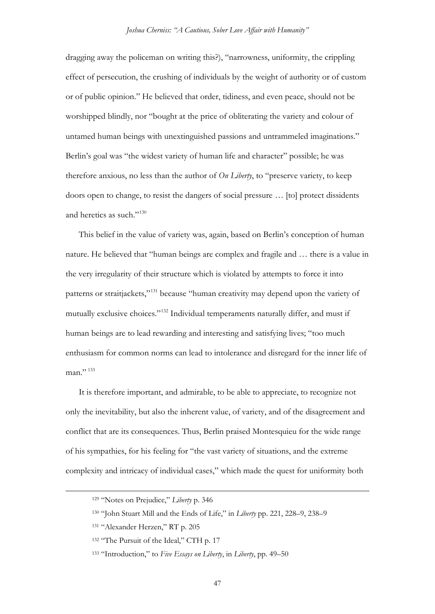dragging away the policeman on writing this?), "narrowness, uniformity, the crippling effect of persecution, the crushing of individuals by the weight of authority or of custom or of public opinion." He believed that order, tidiness, and even peace, should not be worshipped blindly, nor "bought at the price of obliterating the variety and colour of untamed human beings with unextinguished passions and untrammeled imaginations." Berlin's goal was "the widest variety of human life and character" possible; he was therefore anxious, no less than the author of *On Liberty*, to "preserve variety, to keep doors open to change, to resist the dangers of social pressure … [to] protect dissidents and heretics as such."<sup>[130](#page-46-0)</sup>

This belief in the value of variety was, again, based on Berlin's conception of human nature. He believed that "human beings are complex and fragile and … there is a value in the very irregularity of their structure which is violated by attempts to force it into patterns or straitjackets,"[131](#page-46-1) because "human creativity may depend upon the variety of mutually exclusive choices."[132](#page-46-2) Individual temperaments naturally differ, and must if human beings are to lead rewarding and interesting and satisfying lives; "too much enthusiasm for common norms can lead to intolerance and disregard for the inner life of  $man$ <sup>"</sup>

It is therefore important, and admirable, to be able to appreciate, to recognize not only the inevitability, but also the inherent value, of variety, and of the disagreement and conflict that are its consequences. Thus, Berlin praised Montesquieu for the wide range of his sympathies, for his feeling for "the vast variety of situations, and the extreme complexity and intricacy of individual cases," which made the quest for uniformity both

 <sup>129</sup> "Notes on Prejudice," *Liberty* p. <sup>346</sup>

<span id="page-46-0"></span><sup>130</sup> "John Stuart Mill and the Ends of Life," in *Liberty* pp. 221, 228–9, 238–9

<span id="page-46-1"></span><sup>131</sup> "Alexander Herzen," RT p. 205

<span id="page-46-2"></span><sup>132 &</sup>quot;The Pursuit of the Ideal," CTH p. 17

<span id="page-46-3"></span><sup>133</sup> "Introduction," to *Five Essays on Liberty*, in *Liberty*, pp. 49–50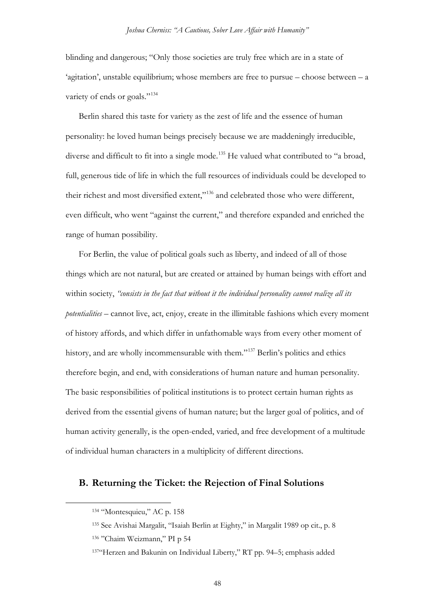blinding and dangerous; "Only those societies are truly free which are in a state of 'agitation', unstable equilibrium; whose members are free to pursue – choose between – a variety of ends or goals."<sup>[134](#page-47-0)</sup>

Berlin shared this taste for variety as the zest of life and the essence of human personality: he loved human beings precisely because we are maddeningly irreducible, diverse and difficult to fit into a single mode.<sup>[135](#page-47-1)</sup> He valued what contributed to "a broad, full, generous tide of life in which the full resources of individuals could be developed to their richest and most diversified extent,"[136](#page-47-2) and celebrated those who were different, even difficult, who went "against the current," and therefore expanded and enriched the range of human possibility.

For Berlin, the value of political goals such as liberty, and indeed of all of those things which are not natural, but are created or attained by human beings with effort and within society, *"consists in the fact that without it the individual personality cannot realize all its potentialities* – cannot live, act, enjoy, create in the illimitable fashions which every moment of history affords, and which differ in unfathomable ways from every other moment of history, and are wholly incommensurable with them."[137](#page-47-3) Berlin's politics and ethics therefore begin, and end, with considerations of human nature and human personality. The basic responsibilities of political institutions is to protect certain human rights as derived from the essential givens of human nature; but the larger goal of politics, and of human activity generally, is the open-ended, varied, and free development of a multitude of individual human characters in a multiplicity of different directions.

### <span id="page-47-1"></span><span id="page-47-0"></span>**B. Returning the Ticket: the Rejection of Final Solutions**

 <sup>134</sup> "Montesquieu," AC p. 158

<sup>135</sup> See Avishai Margalit, "Isaiah Berlin at Eighty," in Margalit 1989 op cit., p. 8

<span id="page-47-2"></span><sup>136</sup> "Chaim Weizmann," PI p 54

<span id="page-47-3"></span><sup>137&</sup>quot;Herzen and Bakunin on Individual Liberty," RT pp. 94–5; emphasis added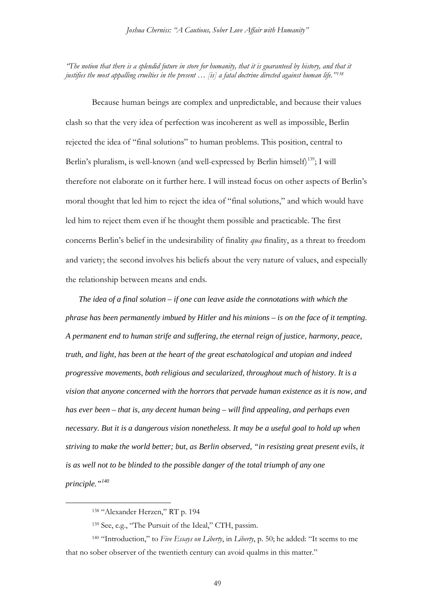*"The notion that there is a splendid future in store for humanity, that it is guaranteed by history, and that it justifies the most appalling cruelties in the present … [is] a fatal doctrine directed against human life."[138](#page-48-0)*

Because human beings are complex and unpredictable, and because their values clash so that the very idea of perfection was incoherent as well as impossible, Berlin rejected the idea of "final solutions" to human problems. This position, central to Berlin's pluralism, is well-known (and well-expressed by Berlin himself)<sup>139</sup>; I will therefore not elaborate on it further here. I will instead focus on other aspects of Berlin's moral thought that led him to reject the idea of "final solutions," and which would have led him to reject them even if he thought them possible and practicable. The first concerns Berlin's belief in the undesirability of finality *qua* finality, as a threat to freedom and variety; the second involves his beliefs about the very nature of values, and especially the relationship between means and ends.

*The idea of a final solution – if one can leave aside the connotations with which the phrase has been permanently imbued by Hitler and his minions – is on the face of it tempting. A permanent end to human strife and suffering, the eternal reign of justice, harmony, peace, truth, and light, has been at the heart of the great eschatological and utopian and indeed progressive movements, both religious and secularized, throughout much of history. It is a vision that anyone concerned with the horrors that pervade human existence as it is now, and has ever been – that is, any decent human being – will find appealing, and perhaps even necessary. But it is a dangerous vision nonetheless. It may be a useful goal to hold up when striving to make the world better; but, as Berlin observed, "in resisting great present evils, it is as well not to be blinded to the possible danger of the total triumph of any one principle."[140](#page-48-2)*

 <sup>138</sup> "Alexander Herzen," RT p. 194

<sup>139</sup> See, e.g., "The Pursuit of the Ideal," CTH, passim.

<span id="page-48-2"></span><span id="page-48-1"></span><span id="page-48-0"></span><sup>140</sup> "Introduction," to *Five Essays on Liberty*, in *Liberty*, p. 50; he added: "It seems to me that no sober observer of the twentieth century can avoid qualms in this matter."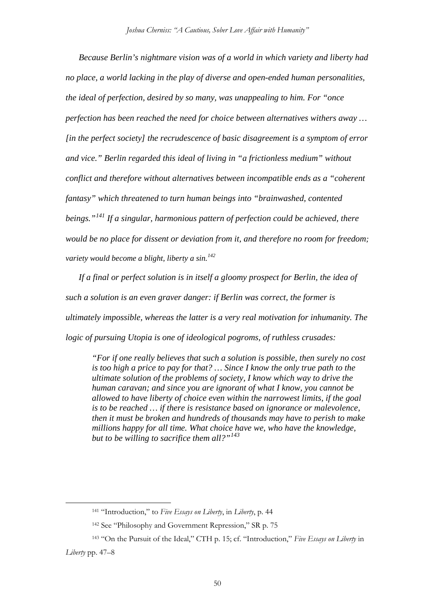*Because Berlin's nightmare vision was of a world in which variety and liberty had no place, a world lacking in the play of diverse and open-ended human personalities, the ideal of perfection, desired by so many, was unappealing to him. For "once perfection has been reached the need for choice between alternatives withers away … [in the perfect society] the recrudescence of basic disagreement is a symptom of error and vice." Berlin regarded this ideal of living in "a frictionless medium" without conflict and therefore without alternatives between incompatible ends as a "coherent fantasy" which threatened to turn human beings into "brainwashed, contented beings."[141](#page-49-0) If a singular, harmonious pattern of perfection could be achieved, there would be no place for dissent or deviation from it, and therefore no room for freedom; variety would become a blight, liberty a sin.[142](#page-49-1)*

*If a final or perfect solution is in itself a gloomy prospect for Berlin, the idea of such a solution is an even graver danger: if Berlin was correct, the former is ultimately impossible, whereas the latter is a very real motivation for inhumanity. The logic of pursuing Utopia is one of ideological pogroms, of ruthless crusades:*

*"For if one really believes that such a solution is possible, then surely no cost is too high a price to pay for that? … Since I know the only true path to the ultimate solution of the problems of society, I know which way to drive the human caravan; and since you are ignorant of what I know, you cannot be allowed to have liberty of choice even within the narrowest limits, if the goal is to be reached … if there is resistance based on ignorance or malevolence, then it must be broken and hundreds of thousands may have to perish to make millions happy for all time. What choice have we, who have the knowledge, but to be willing to sacrifice them all?"[143](#page-49-2)*

 <sup>141</sup> "Introduction," to *Five Essays on Liberty*, in *Liberty*, p. 44

<sup>142</sup> See "Philosophy and Government Repression," SR p. 75

<span id="page-49-2"></span><span id="page-49-1"></span><span id="page-49-0"></span><sup>143</sup> "On the Pursuit of the Ideal," CTH p. 15; cf. "Introduction," *Five Essays on Liberty* in *Liberty* pp. 47–8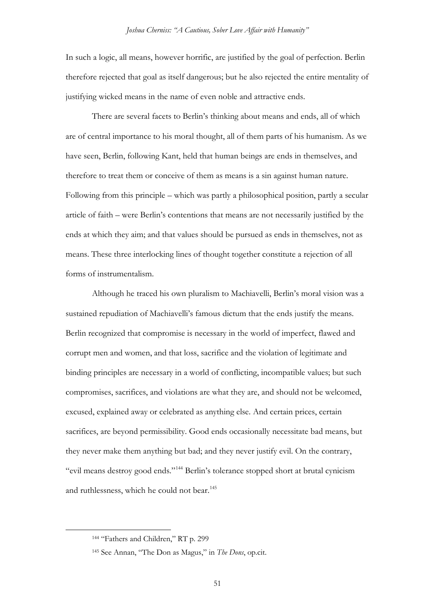In such a logic, all means, however horrific, are justified by the goal of perfection. Berlin therefore rejected that goal as itself dangerous; but he also rejected the entire mentality of justifying wicked means in the name of even noble and attractive ends.

There are several facets to Berlin's thinking about means and ends, all of which are of central importance to his moral thought, all of them parts of his humanism. As we have seen, Berlin, following Kant, held that human beings are ends in themselves, and therefore to treat them or conceive of them as means is a sin against human nature. Following from this principle – which was partly a philosophical position, partly a secular article of faith – were Berlin's contentions that means are not necessarily justified by the ends at which they aim; and that values should be pursued as ends in themselves, not as means. These three interlocking lines of thought together constitute a rejection of all forms of instrumentalism.

Although he traced his own pluralism to Machiavelli, Berlin's moral vision was a sustained repudiation of Machiavelli's famous dictum that the ends justify the means. Berlin recognized that compromise is necessary in the world of imperfect, flawed and corrupt men and women, and that loss, sacrifice and the violation of legitimate and binding principles are necessary in a world of conflicting, incompatible values; but such compromises, sacrifices, and violations are what they are, and should not be welcomed, excused, explained away or celebrated as anything else. And certain prices, certain sacrifices, are beyond permissibility. Good ends occasionally necessitate bad means, but they never make them anything but bad; and they never justify evil. On the contrary, "evil means destroy good ends."[144](#page-50-0) Berlin's tolerance stopped short at brutal cynicism and ruthlessness, which he could not bear.<sup>[145](#page-50-1)</sup>

<span id="page-50-1"></span><span id="page-50-0"></span><sup>144 &</sup>quot;Fathers and Children," RT p. 299

<sup>145</sup> See Annan, "The Don as Magus," in *The Dons*, op.cit.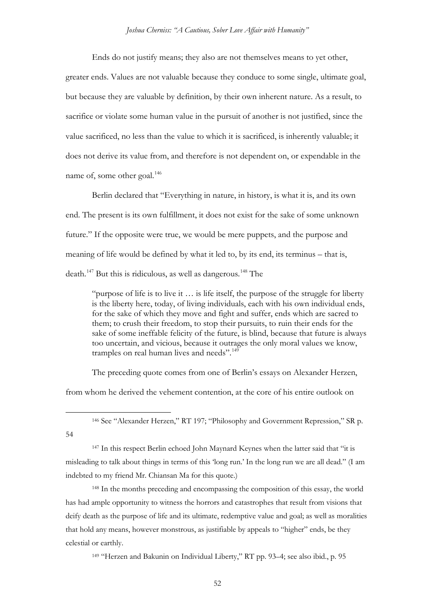Ends do not justify means; they also are not themselves means to yet other, greater ends. Values are not valuable because they conduce to some single, ultimate goal, but because they are valuable by definition, by their own inherent nature. As a result, to sacrifice or violate some human value in the pursuit of another is not justified, since the value sacrificed, no less than the value to which it is sacrificed, is inherently valuable; it does not derive its value from, and therefore is not dependent on, or expendable in the name of, some other goal.<sup>[146](#page-51-0)</sup>

Berlin declared that "Everything in nature, in history, is what it is, and its own end. The present is its own fulfillment, it does not exist for the sake of some unknown future." If the opposite were true, we would be mere puppets, and the purpose and meaning of life would be defined by what it led to, by its end, its terminus – that is, death.<sup>[147](#page-51-1)</sup> But this is ridiculous, as well as dangerous.<sup>[148](#page-51-2)</sup> The

"purpose of life is to live it … is life itself, the purpose of the struggle for liberty is the liberty here, today, of living individuals, each with his own individual ends, for the sake of which they move and fight and suffer, ends which are sacred to them; to crush their freedom, to stop their pursuits, to ruin their ends for the sake of some ineffable felicity of the future, is blind, because that future is always too uncertain, and vicious, because it outrages the only moral values we know, tramples on real human lives and needs".<sup>[149](#page-51-3)</sup>

The preceding quote comes from one of Berlin's essays on Alexander Herzen,

from whom he derived the vehement contention, at the core of his entire outlook on

146 See "Alexander Herzen," RT 197; "Philosophy and Government Repression," SR p.

<span id="page-51-0"></span>54

<span id="page-51-1"></span><sup>147</sup> In this respect Berlin echoed John Maynard Keynes when the latter said that "it is misleading to talk about things in terms of this 'long run.' In the long run we are all dead." (I am indebted to my friend Mr. Chiansan Ma for this quote.)

<span id="page-51-2"></span><sup>148</sup> In the months preceding and encompassing the composition of this essay, the world has had ample opportunity to witness the horrors and catastrophes that result from visions that deify death as the purpose of life and its ultimate, redemptive value and goal; as well as moralities that hold any means, however monstrous, as justifiable by appeals to "higher" ends, be they celestial or earthly.

<span id="page-51-3"></span><sup>149</sup> "Herzen and Bakunin on Individual Liberty," RT pp. 93–4; see also ibid., p. 95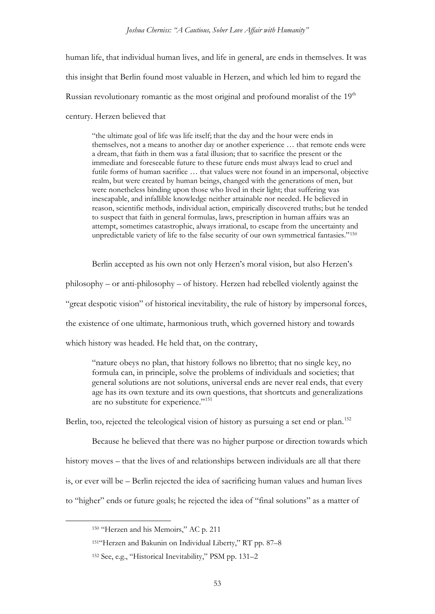*Joshua Cherniss: "A Cautious, Sober Love Affair with Humanity"*

human life, that individual human lives, and life in general, are ends in themselves. It was this insight that Berlin found most valuable in Herzen, and which led him to regard the Russian revolutionary romantic as the most original and profound moralist of the  $19<sup>th</sup>$ century. Herzen believed that

"the ultimate goal of life was life itself; that the day and the hour were ends in themselves, not a means to another day or another experience … that remote ends were a dream, that faith in them was a fatal illusion; that to sacrifice the present or the immediate and foreseeable future to these future ends must always lead to cruel and futile forms of human sacrifice … that values were not found in an impersonal, objective realm, but were created by human beings, changed with the generations of men, but were nonetheless binding upon those who lived in their light; that suffering was inescapable, and infallible knowledge neither attainable nor needed. He believed in reason, scientific methods, individual action, empirically discovered truths; but he tended to suspect that faith in general formulas, laws, prescription in human affairs was an attempt, sometimes catastrophic, always irrational, to escape from the uncertainty and unpredictable variety of life to the false security of our own symmetrical fantasies."[150](#page-52-0)

Berlin accepted as his own not only Herzen's moral vision, but also Herzen's philosophy – or anti-philosophy – of history. Herzen had rebelled violently against the "great despotic vision" of historical inevitability, the rule of history by impersonal forces, the existence of one ultimate, harmonious truth, which governed history and towards which history was headed. He held that, on the contrary,

"nature obeys no plan, that history follows no libretto; that no single key, no formula can, in principle, solve the problems of individuals and societies; that general solutions are not solutions, universal ends are never real ends, that every age has its own texture and its own questions, that shortcuts and generalizations are no substitute for experience."<sup>[151](#page-52-1)</sup>

Berlin, too, rejected the teleological vision of history as pursuing a set end or plan.<sup>[152](#page-52-2)</sup>

Because he believed that there was no higher purpose or direction towards which history moves – that the lives of and relationships between individuals are all that there is, or ever will be – Berlin rejected the idea of sacrificing human values and human lives to "higher" ends or future goals; he rejected the idea of "final solutions" as a matter of

<span id="page-52-0"></span><sup>150 &</sup>quot;Herzen and his Memoirs," AC p. 211

<span id="page-52-1"></span><sup>151&</sup>quot;Herzen and Bakunin on Individual Liberty," RT pp. 87–8

<span id="page-52-2"></span><sup>152</sup> See, e.g., "Historical Inevitability," PSM pp. 131–2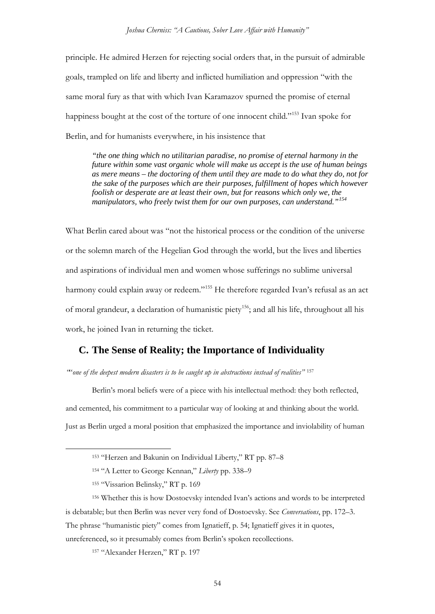principle. He admired Herzen for rejecting social orders that, in the pursuit of admirable goals, trampled on life and liberty and inflicted humiliation and oppression "with the same moral fury as that with which Ivan Karamazov spurned the promise of eternal happiness bought at the cost of the torture of one innocent child."<sup>[153](#page-53-0)</sup> Ivan spoke for Berlin, and for humanists everywhere, in his insistence that

*"the one thing which no utilitarian paradise, no promise of eternal harmony in the future within some vast organic whole will make us accept is the use of human beings as mere means – the doctoring of them until they are made to do what they do, not for the sake of the purposes which are their purposes, fulfillment of hopes which however foolish or desperate are at least their own, but for reasons which only we, the manipulators, who freely twist them for our own purposes, can understand."[154](#page-53-1)*

What Berlin cared about was "not the historical process or the condition of the universe or the solemn march of the Hegelian God through the world, but the lives and liberties and aspirations of individual men and women whose sufferings no sublime universal harmony could explain away or redeem."<sup>[155](#page-53-2)</sup> He therefore regarded Ivan's refusal as an act of moral grandeur, a declaration of humanistic piety<sup>156</sup>; and all his life, throughout all his work, he joined Ivan in returning the ticket.

## **C. The Sense of Reality; the Importance of Individuality**

*"*"*one of the deepest modern disasters is to be caught up in abstractions instead of realities"* [157](#page-53-4)

Berlin's moral beliefs were of a piece with his intellectual method: they both reflected, and cemented, his commitment to a particular way of looking at and thinking about the world. Just as Berlin urged a moral position that emphasized the importance and inviolability of human

<sup>157</sup> "Alexander Herzen," RT p. 197

 <sup>153</sup> "Herzen and Bakunin on Individual Liberty," RT pp. 87–8

<sup>154</sup> "A Letter to George Kennan," *Liberty* pp. 338–9

<sup>155</sup> "Vissarion Belinsky," RT p. 169

<span id="page-53-4"></span><span id="page-53-3"></span><span id="page-53-2"></span><span id="page-53-1"></span><span id="page-53-0"></span><sup>156</sup> Whether this is how Dostoevsky intended Ivan's actions and words to be interpreted is debatable; but then Berlin was never very fond of Dostoevsky. See *Conversations*, pp. 172–3. The phrase "humanistic piety" comes from Ignatieff, p. 54; Ignatieff gives it in quotes, unreferenced, so it presumably comes from Berlin's spoken recollections.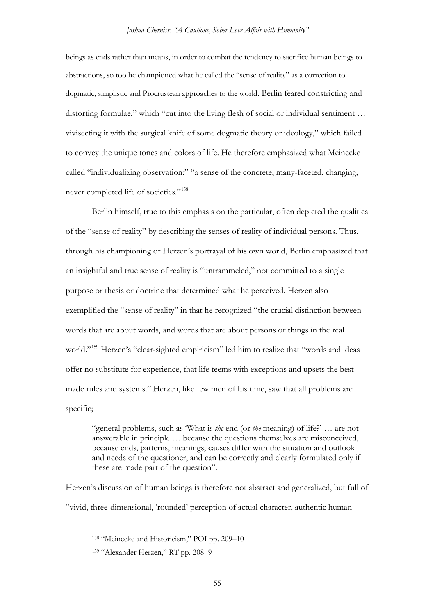beings as ends rather than means, in order to combat the tendency to sacrifice human beings to abstractions, so too he championed what he called the "sense of reality" as a correction to dogmatic, simplistic and Procrustean approaches to the world. Berlin feared constricting and distorting formulae," which "cut into the living flesh of social or individual sentiment … vivisecting it with the surgical knife of some dogmatic theory or ideology," which failed to convey the unique tones and colors of life. He therefore emphasized what Meinecke called "individualizing observation:" "a sense of the concrete, many-faceted, changing, never completed life of societies."[158](#page-54-0)

Berlin himself, true to this emphasis on the particular, often depicted the qualities of the "sense of reality" by describing the senses of reality of individual persons. Thus, through his championing of Herzen's portrayal of his own world, Berlin emphasized that an insightful and true sense of reality is "untrammeled," not committed to a single purpose or thesis or doctrine that determined what he perceived. Herzen also exemplified the "sense of reality" in that he recognized "the crucial distinction between words that are about words, and words that are about persons or things in the real world."[159](#page-54-1) Herzen's "clear-sighted empiricism" led him to realize that "words and ideas offer no substitute for experience, that life teems with exceptions and upsets the bestmade rules and systems." Herzen, like few men of his time, saw that all problems are specific;

"general problems, such as 'What is *the* end (or *the* meaning) of life?' … are not answerable in principle … because the questions themselves are misconceived, because ends, patterns, meanings, causes differ with the situation and outlook and needs of the questioner, and can be correctly and clearly formulated only if these are made part of the question".

<span id="page-54-0"></span>Herzen's discussion of human beings is therefore not abstract and generalized, but full of "vivid, three-dimensional, 'rounded' perception of actual character, authentic human

 <sup>158</sup> "Meinecke and Historicism," POI pp. 209–10

<span id="page-54-1"></span><sup>159</sup> "Alexander Herzen," RT pp. 208–9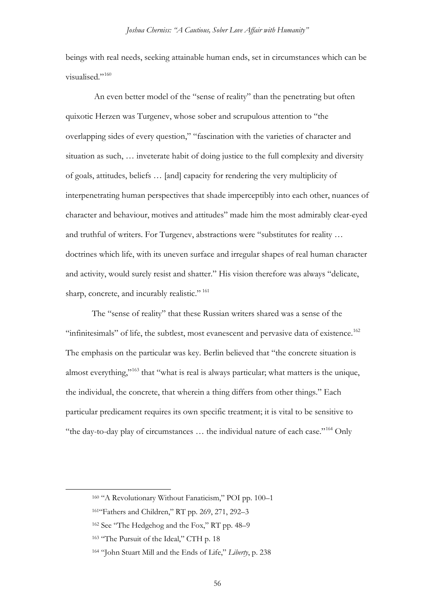beings with real needs, seeking attainable human ends, set in circumstances which can be visualised."[160](#page-55-0)

An even better model of the "sense of reality" than the penetrating but often quixotic Herzen was Turgenev, whose sober and scrupulous attention to "the overlapping sides of every question," "fascination with the varieties of character and situation as such, … inveterate habit of doing justice to the full complexity and diversity of goals, attitudes, beliefs … [and] capacity for rendering the very multiplicity of interpenetrating human perspectives that shade imperceptibly into each other, nuances of character and behaviour, motives and attitudes" made him the most admirably clear-eyed and truthful of writers. For Turgenev, abstractions were "substitutes for reality … doctrines which life, with its uneven surface and irregular shapes of real human character and activity, would surely resist and shatter." His vision therefore was always "delicate, sharp, concrete, and incurably realistic."<sup>[161](#page-55-1)</sup>

The "sense of reality" that these Russian writers shared was a sense of the "infinitesimals" of life, the subtlest, most evanescent and pervasive data of existence.<sup>162</sup> The emphasis on the particular was key. Berlin believed that "the concrete situation is almost everything,"[163](#page-55-3) that "what is real is always particular; what matters is the unique, the individual, the concrete, that wherein a thing differs from other things." Each particular predicament requires its own specific treatment; it is vital to be sensitive to "the day-to-day play of circumstances … the individual nature of each case."[164](#page-55-4) Only

<span id="page-55-0"></span> <sup>160</sup> "A Revolutionary Without Fanaticism," POI pp. 100–1

<span id="page-55-1"></span><sup>161&</sup>quot;Fathers and Children," RT pp. 269, 271, 292–3

<span id="page-55-2"></span><sup>162</sup> See "The Hedgehog and the Fox," RT pp. 48–9

<span id="page-55-3"></span><sup>&</sup>lt;sup>163</sup> "The Pursuit of the Ideal," CTH p. 18

<span id="page-55-4"></span><sup>164</sup> "John Stuart Mill and the Ends of Life," *Liberty*, p. 238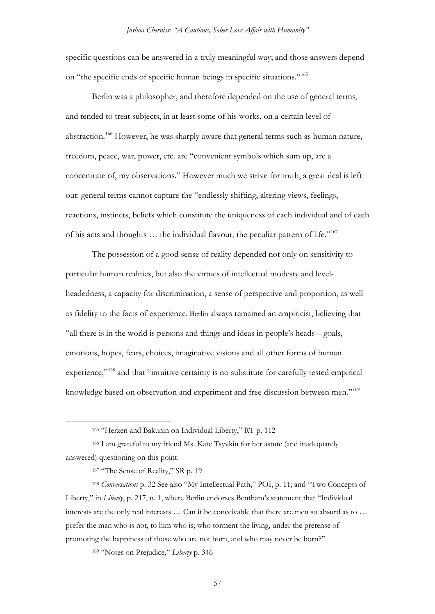specific questions can be answered in a truly meaningful way; and those answers depend on "the specific ends of specific human beings in specific situations."[165](#page-56-0)

Berlin was a philosopher, and therefore depended on the use of general terms, and tended to treat subjects, in at least some of his works, on a certain level of abstraction.<sup>[166](#page-56-1)</sup> However, he was sharply aware that general terms such as human nature, freedom, peace, war, power, etc. are "convenient symbols which sum up, are a concentrate of, my observations." However much we strive for truth, a great deal is left out: general terms cannot capture the "endlessly shifting, altering views, feelings, reactions, instincts, beliefs which constitute the uniqueness of each individual and of each of his acts and thoughts … the individual flavour, the peculiar pattern of life."[167](#page-56-2)

The possession of a good sense of reality depended not only on sensitivity to particular human realities, but also the virtues of intellectual modesty and levelheadedness, a capacity for discrimination, a sense of perspective and proportion, as well as fidelity to the facts of experience. Berlin always remained an empiricist, believing that "all there is in the world is persons and things and ideas in people's heads – goals, emotions, hopes, fears, choices, imaginative visions and all other forms of human experience,"<sup>[168](#page-56-3)</sup> and that "intuitive certainty is no substitute for carefully tested empirical knowledge based on observation and experiment and free discussion between men."<sup>[169](#page-56-4)</sup>

<span id="page-56-3"></span><span id="page-56-2"></span><sup>168</sup> *Conversations* p. 32 See also "My Intellectual Path," POI, p. 11; and "Two Concepts of Liberty," in *Liberty*, p. 217, n. 1, where Berlin endorses Bentham's statement that "Individual interests are the only real interests … Can it be conceivable that there are men so absurd as to … prefer the man who is not, to him who is; who torment the living, under the pretense of promoting the happiness of those who are not born, and who may never be born?"

<span id="page-56-4"></span><sup>169</sup> "Notes on Prejudice," *Liberty* p. 346

 <sup>165</sup> "Herzen and Bakunin on Individual Liberty," RT p. 112

<span id="page-56-1"></span><span id="page-56-0"></span><sup>166</sup> I am grateful to my friend Ms. Kate Tsyvkin for her astute (and inadequately answered) questioning on this point.

<sup>&</sup>lt;sup>167</sup> "The Sense of Reality," SR p. 19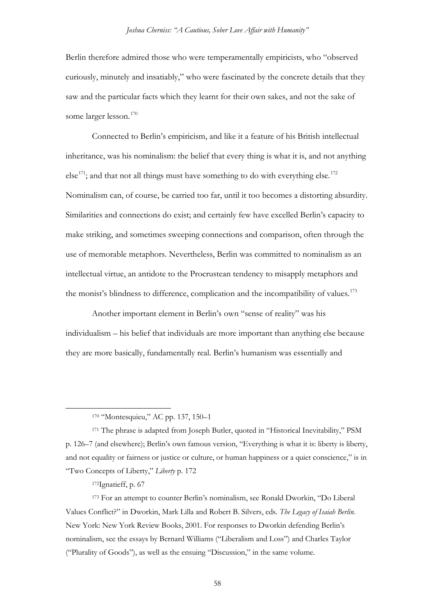Berlin therefore admired those who were temperamentally empiricists, who "observed curiously, minutely and insatiably," who were fascinated by the concrete details that they saw and the particular facts which they learnt for their own sakes, and not the sake of some larger lesson.<sup>[170](#page-57-0)</sup>

Connected to Berlin's empiricism, and like it a feature of his British intellectual inheritance, was his nominalism: the belief that every thing is what it is, and not anything  $e^{\frac{1}{7}}$ ; and that not all things must have something to do with everything else.<sup>[172](#page-57-2)</sup> Nominalism can, of course, be carried too far, until it too becomes a distorting absurdity. Similarities and connections do exist; and certainly few have excelled Berlin's capacity to make striking, and sometimes sweeping connections and comparison, often through the use of memorable metaphors. Nevertheless, Berlin was committed to nominalism as an intellectual virtue, an antidote to the Procrustean tendency to misapply metaphors and the monist's blindness to difference, complication and the incompatibility of values.<sup>[173](#page-57-3)</sup>

Another important element in Berlin's own "sense of reality" was his individualism – his belief that individuals are more important than anything else because they are more basically, fundamentally real. Berlin's humanism was essentially and

 <sup>170</sup> "Montesquieu," AC pp. 137, 150–1

<span id="page-57-1"></span><span id="page-57-0"></span><sup>171</sup> The phrase is adapted from Joseph Butler, quoted in "Historical Inevitability," PSM p. 126–7 (and elsewhere); Berlin's own famous version, "Everything is what it is: liberty is liberty, and not equality or fairness or justice or culture, or human happiness or a quiet conscience," is in "Two Concepts of Liberty," *Liberty* p. 172

<sup>172</sup>Ignatieff, p. 67

<span id="page-57-3"></span><span id="page-57-2"></span><sup>173</sup> For an attempt to counter Berlin's nominalism, see Ronald Dworkin, "Do Liberal Values Conflict?" in Dworkin, Mark Lilla and Robert B. Silvers, eds. *The Legacy of Isaiah Berlin*. New York: New York Review Books, 2001. For responses to Dworkin defending Berlin's nominalism, see the essays by Bernard Williams ("Liberalism and Loss") and Charles Taylor ("Plurality of Goods"), as well as the ensuing "Discussion," in the same volume.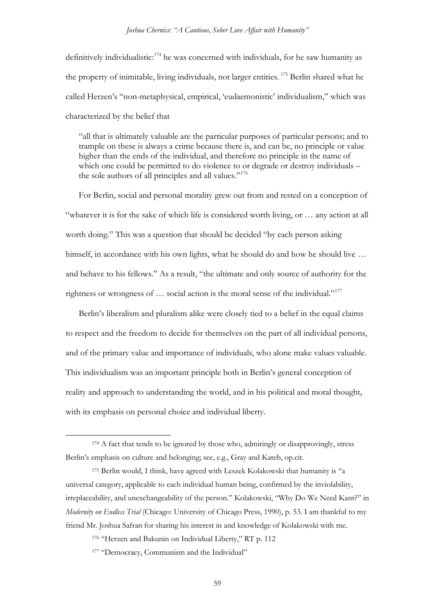#### *Joshua Cherniss: "A Cautious, Sober Love Affair with Humanity"*

definitively individualistic: $174$  he was concerned with individuals, for he saw humanity as the property of inimitable, living individuals, not larger entities. [175](#page-58-1) Berlin shared what he called Herzen's "non-metaphysical, empirical, 'eudaemonistic' individualism," which was characterized by the belief that

"all that is ultimately valuable are the particular purposes of particular persons; and to trample on these is always a crime because there is, and can be, no principle or value higher than the ends of the individual, and therefore no principle in the name of which one could be permitted to do violence to or degrade or destroy individuals – the sole authors of all principles and all values."<sup>176</sup>

For Berlin, social and personal morality grew out from and rested on a conception of "whatever it is for the sake of which life is considered worth living, or … any action at all worth doing." This was a question that should be decided "by each person asking himself, in accordance with his own lights, what he should do and how he should live ... and behave to his fellows." As a result, "the ultimate and only source of authority for the rightness or wrongness of … social action is the moral sense of the individual."[177](#page-58-3)

Berlin's liberalism and pluralism alike were closely tied to a belief in the equal claims to respect and the freedom to decide for themselves on the part of all individual persons, and of the primary value and importance of individuals, who alone make values valuable. This individualism was an important principle both in Berlin's general conception of reality and approach to understanding the world, and in his political and moral thought, with its emphasis on personal choice and individual liberty.

<span id="page-58-0"></span><sup>&</sup>lt;sup>174</sup> A fact that tends to be ignored by those who, admiringly or disapprovingly, stress Berlin's emphasis on culture and belonging; see, e.g., Gray and Kateb, op.cit.

<span id="page-58-1"></span><sup>175</sup> Berlin would, I think, have agreed with Leszek Kolakowski that humanity is "a universal category, applicable to each individual human being, confirmed by the inviolability, irreplaceability, and unexchangeability of the person." Kolakowski, "Why Do We Need Kant?" in *Modernity on Endless Trial* (Chicago: University of Chicago Press, 1990), p. 53. I am thankful to my friend Mr. Joshua Safran for sharing his interest in and knowledge of Kolakowski with me.

<span id="page-58-2"></span><sup>176</sup> "Herzen and Bakunin on Individual Liberty," RT p. 112

<span id="page-58-3"></span><sup>177 &</sup>quot;Democracy, Communism and the Individual"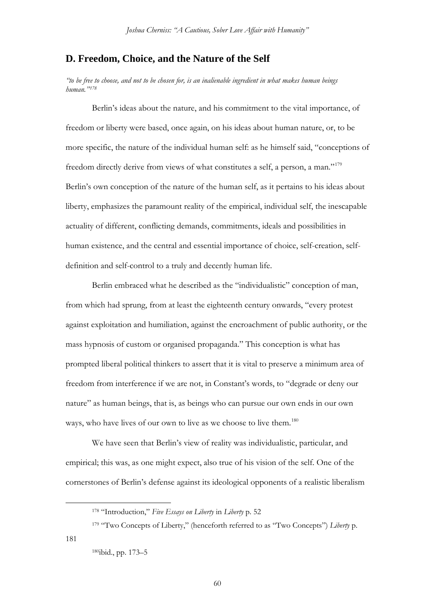### **D. Freedom, Choice, and the Nature of the Self**

*"to be free to choose, and not to be chosen for, is an inalienable ingredient in what makes human beings human."[178](#page-59-0)*

Berlin's ideas about the nature, and his commitment to the vital importance, of freedom or liberty were based, once again, on his ideas about human nature, or, to be more specific, the nature of the individual human self: as he himself said, "conceptions of freedom directly derive from views of what constitutes a self, a person, a man."[179](#page-59-1) Berlin's own conception of the nature of the human self, as it pertains to his ideas about liberty, emphasizes the paramount reality of the empirical, individual self, the inescapable actuality of different, conflicting demands, commitments, ideals and possibilities in human existence, and the central and essential importance of choice, self-creation, selfdefinition and self-control to a truly and decently human life.

Berlin embraced what he described as the "individualistic" conception of man, from which had sprung, from at least the eighteenth century onwards, "every protest against exploitation and humiliation, against the encroachment of public authority, or the mass hypnosis of custom or organised propaganda." This conception is what has prompted liberal political thinkers to assert that it is vital to preserve a minimum area of freedom from interference if we are not, in Constant's words, to "degrade or deny our nature" as human beings, that is, as beings who can pursue our own ends in our own ways, who have lives of our own to live as we choose to live them.<sup>[180](#page-59-2)</sup>

We have seen that Berlin's view of reality was individualistic, particular, and empirical; this was, as one might expect, also true of his vision of the self. One of the cornerstones of Berlin's defense against its ideological opponents of a realistic liberalism

<span id="page-59-2"></span><span id="page-59-1"></span><span id="page-59-0"></span>181

60

 <sup>178</sup> "Introduction," *Five Essays on Liberty* in *Liberty* p. 52

<sup>179</sup> "Two Concepts of Liberty," (henceforth referred to as "Two Concepts") *Liberty* p.

<sup>180</sup>ibid., pp. 173–5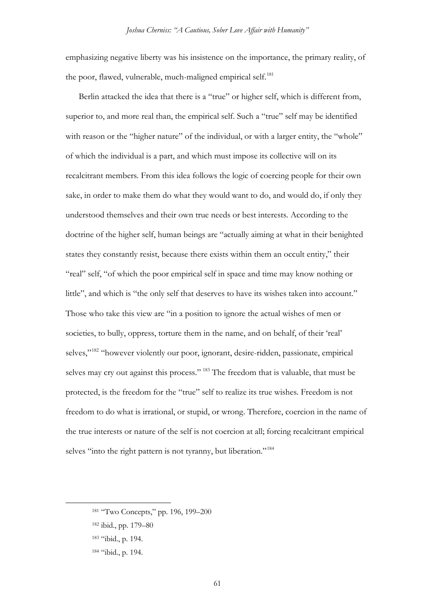emphasizing negative liberty was his insistence on the importance, the primary reality, of the poor, flawed, vulnerable, much-maligned empirical self.<sup>[181](#page-60-0)</sup>

Berlin attacked the idea that there is a "true" or higher self, which is different from, superior to, and more real than, the empirical self. Such a "true" self may be identified with reason or the "higher nature" of the individual, or with a larger entity, the "whole" of which the individual is a part, and which must impose its collective will on its recalcitrant members. From this idea follows the logic of coercing people for their own sake, in order to make them do what they would want to do, and would do, if only they understood themselves and their own true needs or best interests. According to the doctrine of the higher self, human beings are "actually aiming at what in their benighted states they constantly resist, because there exists within them an occult entity," their "real" self, "of which the poor empirical self in space and time may know nothing or little", and which is "the only self that deserves to have its wishes taken into account." Those who take this view are "in a position to ignore the actual wishes of men or societies, to bully, oppress, torture them in the name, and on behalf, of their 'real' selves,"[182](#page-60-1) "however violently our poor, ignorant, desire-ridden, passionate, empirical selves may cry out against this process." [183](#page-60-2) The freedom that is valuable, that must be protected, is the freedom for the "true" self to realize its true wishes. Freedom is not freedom to do what is irrational, or stupid, or wrong. Therefore, coercion in the name of the true interests or nature of the self is not coercion at all; forcing recalcitrant empirical selves "into the right pattern is not tyranny, but liberation."<sup>[184](#page-60-3)</sup>

<span id="page-60-0"></span><sup>181 &</sup>quot;Two Concepts," pp. 196, 199–200

<span id="page-60-1"></span><sup>182</sup> ibid., pp. 179–80

<span id="page-60-2"></span><sup>183</sup> "ibid., p. 194.

<span id="page-60-3"></span><sup>184</sup> "ibid., p. 194.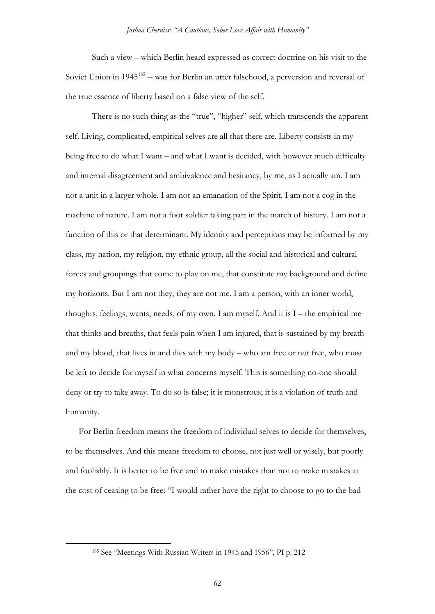Such a view – which Berlin heard expressed as correct doctrine on his visit to the Soviet Union in 1945<sup>[185](#page-61-0)</sup> -- was for Berlin an utter falsehood, a perversion and reversal of the true essence of liberty based on a false view of the self.

There is no such thing as the "true", "higher" self, which transcends the apparent self. Living, complicated, empirical selves are all that there are. Liberty consists in my being free to do what I want – and what I want is decided, with however much difficulty and internal disagreement and ambivalence and hesitancy, by me, as I actually am. I am not a unit in a larger whole. I am not an emanation of the Spirit. I am not a cog in the machine of nature. I am not a foot soldier taking part in the march of history. I am not a function of this or that determinant. My identity and perceptions may be informed by my class, my nation, my religion, my ethnic group, all the social and historical and cultural forces and groupings that come to play on me, that constitute my background and define my horizons. But I am not they, they are not me. I am a person, with an inner world, thoughts, feelings, wants, needs, of my own. I am myself. And it is I – the empirical me that thinks and breaths, that feels pain when I am injured, that is sustained by my breath and my blood, that lives in and dies with my body – who am free or not free, who must be left to decide for myself in what concerns myself. This is something no-one should deny or try to take away. To do so is false; it is monstrous; it is a violation of truth and humanity.

For Berlin freedom means the freedom of individual selves to decide for themselves, to be themselves. And this means freedom to choose, not just well or wisely, but poorly and foolishly. It is better to be free and to make mistakes than not to make mistakes at the cost of ceasing to be free: "I would rather have the right to choose to go to the bad

<span id="page-61-0"></span> <sup>185</sup> See "Meetings With Russian Writers in 1945 and 1956", PI p. 212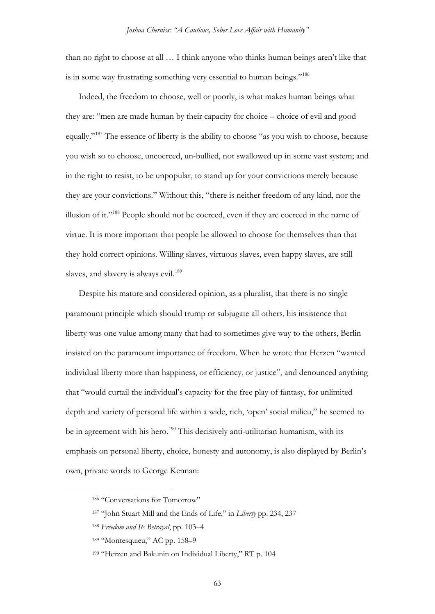than no right to choose at all … I think anyone who thinks human beings aren't like that is in some way frustrating something very essential to human beings."<sup>[186](#page-62-0)</sup>

Indeed, the freedom to choose, well or poorly, is what makes human beings what they are: "men are made human by their capacity for choice – choice of evil and good equally."[187](#page-62-1) The essence of liberty is the ability to choose "as you wish to choose, because you wish so to choose, uncoerced, un-bullied, not swallowed up in some vast system; and in the right to resist, to be unpopular, to stand up for your convictions merely because they are your convictions." Without this, "there is neither freedom of any kind, nor the illusion of it."[188](#page-62-2) People should not be coerced, even if they are coerced in the name of virtue. It is more important that people be allowed to choose for themselves than that they hold correct opinions. Willing slaves, virtuous slaves, even happy slaves, are still slaves, and slavery is always evil.<sup>[189](#page-62-3)</sup>

Despite his mature and considered opinion, as a pluralist, that there is no single paramount principle which should trump or subjugate all others, his insistence that liberty was one value among many that had to sometimes give way to the others, Berlin insisted on the paramount importance of freedom. When he wrote that Herzen "wanted individual liberty more than happiness, or efficiency, or justice", and denounced anything that "would curtail the individual's capacity for the free play of fantasy, for unlimited depth and variety of personal life within a wide, rich, 'open' social milieu," he seemed to be in agreement with his hero.<sup>[190](#page-62-4)</sup> This decisively anti-utilitarian humanism, with its emphasis on personal liberty, choice, honesty and autonomy, is also displayed by Berlin's own, private words to George Kennan:

<span id="page-62-0"></span><sup>186 &</sup>quot;Conversations for Tomorrow"

<span id="page-62-1"></span><sup>187</sup> "John Stuart Mill and the Ends of Life," in *Liberty* pp. 234, 237

<span id="page-62-2"></span><sup>188</sup> *Freedom and Its Betrayal*, pp. 103–4

<span id="page-62-3"></span><sup>189</sup> "Montesquieu," AC pp. 158–9

<span id="page-62-4"></span><sup>190</sup> "Herzen and Bakunin on Individual Liberty," RT p. 104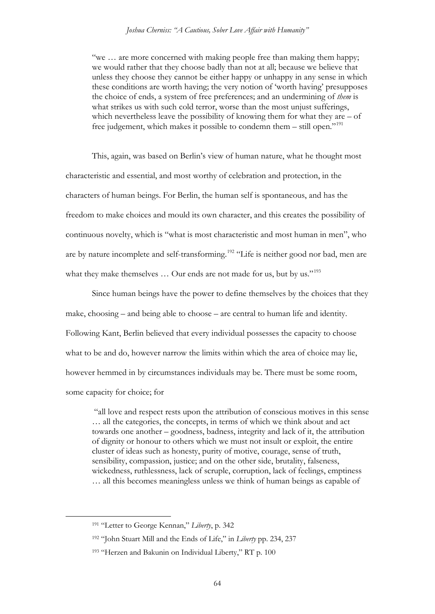"we … are more concerned with making people free than making them happy; we would rather that they choose badly than not at all; because we believe that unless they choose they cannot be either happy or unhappy in any sense in which these conditions are worth having; the very notion of 'worth having' presupposes the choice of ends, a system of free preferences; and an undermining of *them* is what strikes us with such cold terror, worse than the most unjust sufferings, which nevertheless leave the possibility of knowing them for what they are – of free judgement, which makes it possible to condemn them – still open."<sup>[191](#page-63-0)</sup>

This, again, was based on Berlin's view of human nature, what he thought most characteristic and essential, and most worthy of celebration and protection, in the characters of human beings. For Berlin, the human self is spontaneous, and has the freedom to make choices and mould its own character, and this creates the possibility of continuous novelty, which is "what is most characteristic and most human in men", who are by nature incomplete and self-transforming.<sup>[192](#page-63-1)</sup> "Life is neither good nor bad, men are what they make themselves ... Our ends are not made for us, but by us."<sup>[193](#page-63-2)</sup>

Since human beings have the power to define themselves by the choices that they make, choosing – and being able to choose – are central to human life and identity. Following Kant, Berlin believed that every individual possesses the capacity to choose what to be and do, however narrow the limits within which the area of choice may lie, however hemmed in by circumstances individuals may be. There must be some room, some capacity for choice; for

"all love and respect rests upon the attribution of conscious motives in this sense … all the categories, the concepts, in terms of which we think about and act towards one another – goodness, badness, integrity and lack of it, the attribution of dignity or honour to others which we must not insult or exploit, the entire cluster of ideas such as honesty, purity of motive, courage, sense of truth, sensibility, compassion, justice; and on the other side, brutality, falseness, wickedness, ruthlessness, lack of scruple, corruption, lack of feelings, emptiness … all this becomes meaningless unless we think of human beings as capable of

<span id="page-63-1"></span><span id="page-63-0"></span> <sup>191</sup> "Letter to George Kennan," *Liberty*, p. 342

<sup>192</sup> "John Stuart Mill and the Ends of Life," in *Liberty* pp. 234, 237

<span id="page-63-2"></span><sup>193</sup> "Herzen and Bakunin on Individual Liberty," RT p. 100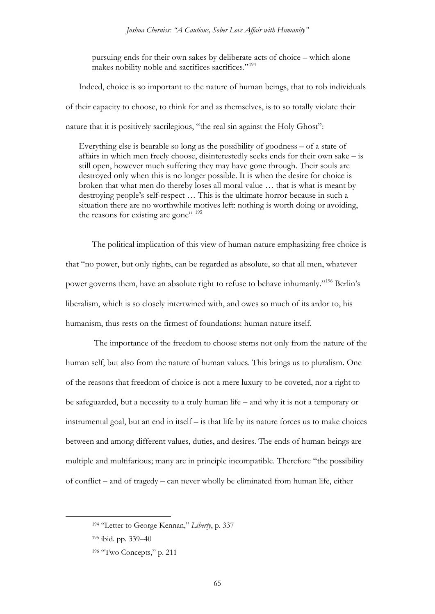pursuing ends for their own sakes by deliberate acts of choice – which alone makes nobility noble and sacrifices sacrifices."<sup>[194](#page-64-0)</sup>

Indeed, choice is so important to the nature of human beings, that to rob individuals of their capacity to choose, to think for and as themselves, is to so totally violate their nature that it is positively sacrilegious, "the real sin against the Holy Ghost":

Everything else is bearable so long as the possibility of goodness – of a state of affairs in which men freely choose, disinterestedly seeks ends for their own sake – is still open, however much suffering they may have gone through. Their souls are destroyed only when this is no longer possible. It is when the desire for choice is broken that what men do thereby loses all moral value … that is what is meant by destroying people's self-respect … This is the ultimate horror because in such a situation there are no worthwhile motives left: nothing is worth doing or avoiding, the reasons for existing are gone" <sup>[195](#page-64-1)</sup>

The political implication of this view of human nature emphasizing free choice is that "no power, but only rights, can be regarded as absolute, so that all men, whatever power governs them, have an absolute right to refuse to behave inhumanly."[196](#page-64-2) Berlin's liberalism, which is so closely intertwined with, and owes so much of its ardor to, his humanism, thus rests on the firmest of foundations: human nature itself.

The importance of the freedom to choose stems not only from the nature of the human self, but also from the nature of human values. This brings us to pluralism. One of the reasons that freedom of choice is not a mere luxury to be coveted, nor a right to be safeguarded, but a necessity to a truly human life – and why it is not a temporary or instrumental goal, but an end in itself – is that life by its nature forces us to make choices between and among different values, duties, and desires. The ends of human beings are multiple and multifarious; many are in principle incompatible. Therefore "the possibility of conflict – and of tragedy – can never wholly be eliminated from human life, either

<span id="page-64-1"></span><span id="page-64-0"></span> <sup>194</sup> "Letter to George Kennan," *Liberty*, p. 337

<sup>195</sup> ibid. pp. 339–40

<span id="page-64-2"></span><sup>196 &</sup>quot;Two Concepts," p. 211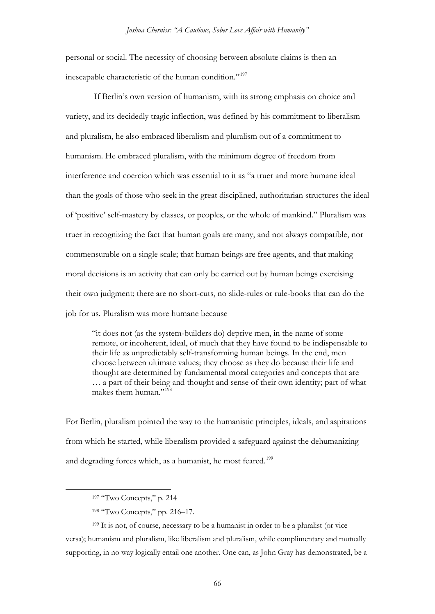personal or social. The necessity of choosing between absolute claims is then an inescapable characteristic of the human condition."[197](#page-65-0)

If Berlin's own version of humanism, with its strong emphasis on choice and variety, and its decidedly tragic inflection, was defined by his commitment to liberalism and pluralism, he also embraced liberalism and pluralism out of a commitment to humanism. He embraced pluralism, with the minimum degree of freedom from interference and coercion which was essential to it as "a truer and more humane ideal than the goals of those who seek in the great disciplined, authoritarian structures the ideal of 'positive' self-mastery by classes, or peoples, or the whole of mankind." Pluralism was truer in recognizing the fact that human goals are many, and not always compatible, nor commensurable on a single scale; that human beings are free agents, and that making moral decisions is an activity that can only be carried out by human beings exercising their own judgment; there are no short-cuts, no slide-rules or rule-books that can do the job for us. Pluralism was more humane because

"it does not (as the system-builders do) deprive men, in the name of some remote, or incoherent, ideal, of much that they have found to be indispensable to their life as unpredictably self-transforming human beings. In the end, men choose between ultimate values; they choose as they do because their life and thought are determined by fundamental moral categories and concepts that are … a part of their being and thought and sense of their own identity; part of what makes them human."<sup>[198](#page-65-1)</sup>

For Berlin, pluralism pointed the way to the humanistic principles, ideals, and aspirations from which he started, while liberalism provided a safeguard against the dehumanizing and degrading forces which, as a humanist, he most feared.<sup>[199](#page-65-2)</sup>

<sup>197 &</sup>quot;Two Concepts," p. 214

<sup>198</sup> "Two Concepts," pp. 216–17.

<span id="page-65-2"></span><span id="page-65-1"></span><span id="page-65-0"></span><sup>199</sup> It is not, of course, necessary to be a humanist in order to be a pluralist (or vice versa); humanism and pluralism, like liberalism and pluralism, while complimentary and mutually supporting, in no way logically entail one another. One can, as John Gray has demonstrated, be a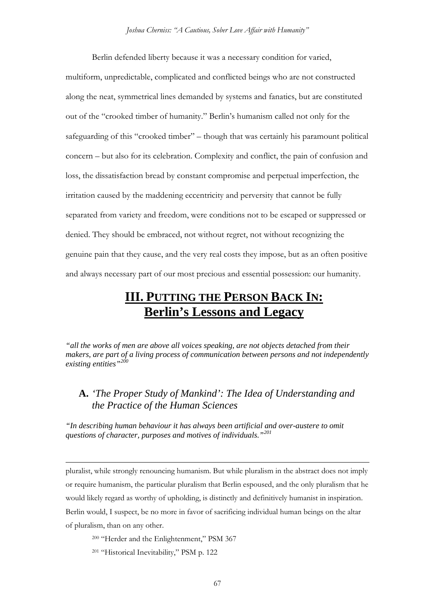Berlin defended liberty because it was a necessary condition for varied, multiform, unpredictable, complicated and conflicted beings who are not constructed along the neat, symmetrical lines demanded by systems and fanatics, but are constituted out of the "crooked timber of humanity." Berlin's humanism called not only for the safeguarding of this "crooked timber" – though that was certainly his paramount political concern – but also for its celebration. Complexity and conflict, the pain of confusion and loss, the dissatisfaction bread by constant compromise and perpetual imperfection, the irritation caused by the maddening eccentricity and perversity that cannot be fully separated from variety and freedom, were conditions not to be escaped or suppressed or denied. They should be embraced, not without regret, not without recognizing the genuine pain that they cause, and the very real costs they impose, but as an often positive and always necessary part of our most precious and essential possession: our humanity.

# **III. PUTTING THE PERSON BACK IN: Berlin's Lessons and Legacy**

*"all the works of men are above all voices speaking, are not objects detached from their makers, are part of a living process of communication between persons and not independently existing entities"[200](#page-66-0)*

## **A.** *'The Proper Study of Mankind': The Idea of Understanding and the Practice of the Human Sciences*

*"In describing human behaviour it has always been artificial and over-austere to omit questions of character, purposes and motives of individuals."[201](#page-66-1)*

pluralist, while strongly renouncing humanism. But while pluralism in the abstract does not imply or require humanism, the particular pluralism that Berlin espoused, and the only pluralism that he would likely regard as worthy of upholding, is distinctly and definitively humanist in inspiration. Berlin would, I suspect, be no more in favor of sacrificing individual human beings on the altar of pluralism, than on any other.

<span id="page-66-0"></span><sup>200</sup> "Herder and the Enlightenment," PSM 367

<span id="page-66-1"></span><sup>201</sup> "Historical Inevitability," PSM p. 122

 $\overline{a}$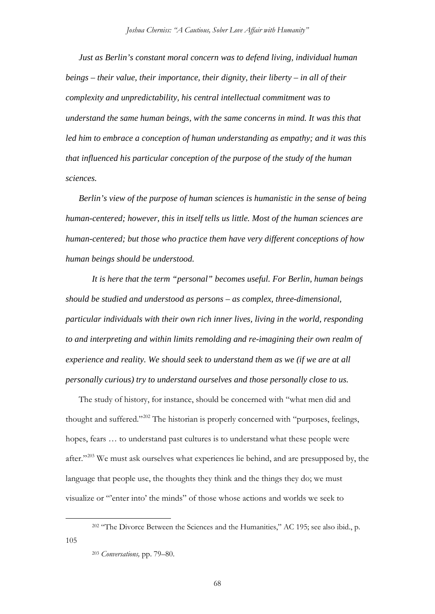*Just as Berlin's constant moral concern was to defend living, individual human beings – their value, their importance, their dignity, their liberty – in all of their complexity and unpredictability, his central intellectual commitment was to understand the same human beings, with the same concerns in mind. It was this that led him to embrace a conception of human understanding as empathy; and it was this that influenced his particular conception of the purpose of the study of the human sciences.*

*Berlin's view of the purpose of human sciences is humanistic in the sense of being human-centered; however, this in itself tells us little. Most of the human sciences are human-centered; but those who practice them have very different conceptions of how human beings should be understood.*

*It is here that the term "personal" becomes useful. For Berlin, human beings should be studied and understood as persons – as complex, three-dimensional, particular individuals with their own rich inner lives, living in the world, responding to and interpreting and within limits remolding and re-imagining their own realm of experience and reality. We should seek to understand them as we (if we are at all personally curious) try to understand ourselves and those personally close to us.*

The study of history, for instance, should be concerned with "what men did and thought and suffered."[202](#page-67-0) The historian is properly concerned with "purposes, feelings, hopes, fears … to understand past cultures is to understand what these people were after."[203](#page-67-1) We must ask ourselves what experiences lie behind, and are presupposed by, the language that people use, the thoughts they think and the things they do; we must visualize or "'enter into' the minds" of those whose actions and worlds we seek to

<sup>&</sup>lt;sup>202</sup> "The Divorce Between the Sciences and the Humanities," AC 195; see also ibid., p.

<span id="page-67-1"></span><span id="page-67-0"></span><sup>105</sup>

<sup>203</sup> *Conversations,* pp. 79–80.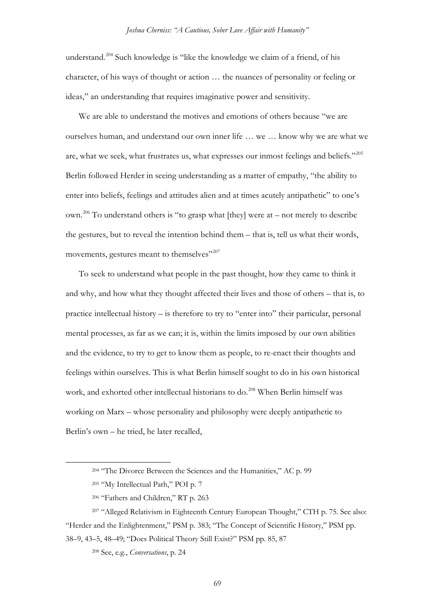understand.<sup>[204](#page-68-0)</sup> Such knowledge is "like the knowledge we claim of a friend, of his character, of his ways of thought or action … the nuances of personality or feeling or ideas," an understanding that requires imaginative power and sensitivity.

We are able to understand the motives and emotions of others because "we are ourselves human, and understand our own inner life … we … know why we are what we are, what we seek, what frustrates us, what expresses our inmost feelings and beliefs."<sup>[205](#page-68-1)</sup> Berlin followed Herder in seeing understanding as a matter of empathy, "the ability to enter into beliefs, feelings and attitudes alien and at times acutely antipathetic" to one's own.<sup>[206](#page-68-2)</sup> To understand others is "to grasp what [they] were at – not merely to describe the gestures, but to reveal the intention behind them – that is, tell us what their words, movements, gestures meant to themselves"<sup>[207](#page-68-3)</sup>

To seek to understand what people in the past thought, how they came to think it and why, and how what they thought affected their lives and those of others – that is, to practice intellectual history – is therefore to try to "enter into" their particular, personal mental processes, as far as we can; it is, within the limits imposed by our own abilities and the evidence, to try to get to know them as people, to re-enact their thoughts and feelings within ourselves. This is what Berlin himself sought to do in his own historical work, and exhorted other intellectual historians to do.<sup>[208](#page-68-4)</sup> When Berlin himself was working on Marx – whose personality and philosophy were deeply antipathetic to Berlin's own – he tried, he later recalled,

 <sup>204</sup> "The Divorce Between the Sciences and the Humanities," AC p. 99

<sup>205</sup> "My Intellectual Path," POI p. 7

<sup>206</sup> "Fathers and Children," RT p. 263

<span id="page-68-4"></span><span id="page-68-3"></span><span id="page-68-2"></span><span id="page-68-1"></span><span id="page-68-0"></span><sup>207</sup> "Alleged Relativism in Eighteenth Century European Thought," CTH p. 75. See also: "Herder and the Enlightenment," PSM p. 383; "The Concept of Scientific History," PSM pp. 38–9, 43–5, 48–49; "Does Political Theory Still Exist?" PSM pp. 85, 87

<sup>208</sup> See, e.g., *Conversations*, p. 24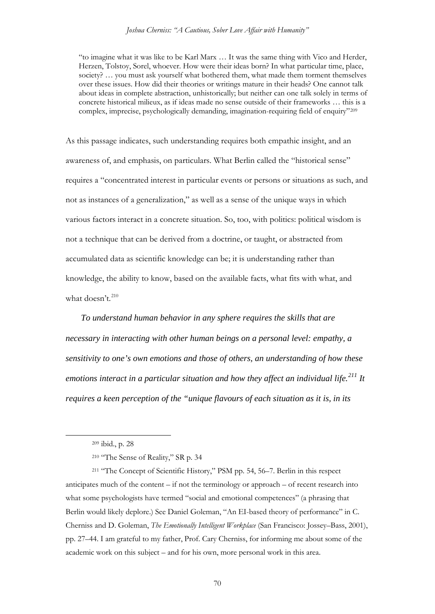"to imagine what it was like to be Karl Marx … It was the same thing with Vico and Herder, Herzen, Tolstoy, Sorel, whoever. How were their ideas born? In what particular time, place, society? ... you must ask yourself what bothered them, what made them torment themselves over these issues. How did their theories or writings mature in their heads? One cannot talk about ideas in complete abstraction, unhistorically; but neither can one talk solely in terms of concrete historical milieux, as if ideas made no sense outside of their frameworks … this is a complex, imprecise, psychologically demanding, imagination-requiring field of enquiry"[209](#page-69-0)

As this passage indicates, such understanding requires both empathic insight, and an awareness of, and emphasis, on particulars. What Berlin called the "historical sense" requires a "concentrated interest in particular events or persons or situations as such, and not as instances of a generalization," as well as a sense of the unique ways in which various factors interact in a concrete situation. So, too, with politics: political wisdom is not a technique that can be derived from a doctrine, or taught, or abstracted from accumulated data as scientific knowledge can be; it is understanding rather than knowledge, the ability to know, based on the available facts, what fits with what, and what doesn't. $^{210}$  $^{210}$  $^{210}$ 

*To understand human behavior in any sphere requires the skills that are necessary in interacting with other human beings on a personal level: empathy, a sensitivity to one's own emotions and those of others, an understanding of how these emotions interact in a particular situation and how they affect an individual life.[211](#page-69-2) It requires a keen perception of the "unique flavours of each situation as it is, in its* 

 <sup>209</sup> ibid., p. 28

<sup>210</sup> "The Sense of Reality," SR p. 34

<span id="page-69-2"></span><span id="page-69-1"></span><span id="page-69-0"></span><sup>211</sup> "The Concept of Scientific History," PSM pp. 54, 56–7. Berlin in this respect anticipates much of the content – if not the terminology or approach – of recent research into what some psychologists have termed "social and emotional competences" (a phrasing that Berlin would likely deplore.) See Daniel Goleman, "An EI-based theory of performance" in C. Cherniss and D. Goleman, *The Emotionally Intelligent Workplace* (San Francisco: Jossey–Bass, 2001), pp. 27–44. I am grateful to my father, Prof. Cary Cherniss, for informing me about some of the academic work on this subject – and for his own, more personal work in this area.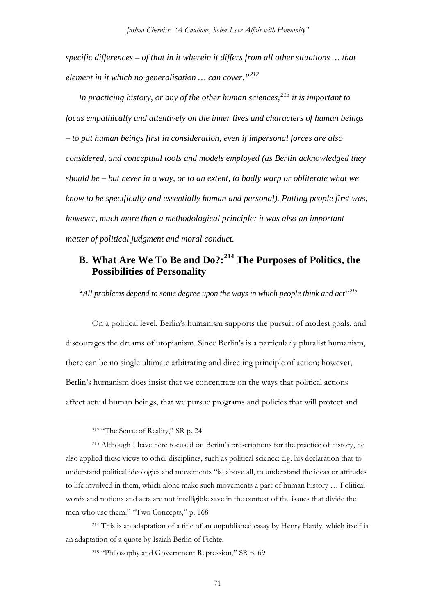*specific differences – of that in it wherein it differs from all other situations … that element in it which no generalisation … can cover."[212](#page-70-0)*

*In practicing history, or any of the other human sciences,[213](#page-70-1) it is important to focus empathically and attentively on the inner lives and characters of human beings – to put human beings first in consideration, even if impersonal forces are also considered, and conceptual tools and models employed (as Berlin acknowledged they should be – but never in a way, or to an extent, to badly warp or obliterate what we know to be specifically and essentially human and personal). Putting people first was, however, much more than a methodological principle: it was also an important matter of political judgment and moral conduct.* 

## **B. What Are We To Be and Do?:[214](#page-70-2) The Purposes of Politics, the Possibilities of Personality**

*"All problems depend to some degree upon the ways in which people think and act"[215](#page-70-3)*

On a political level, Berlin's humanism supports the pursuit of modest goals, and discourages the dreams of utopianism. Since Berlin's is a particularly pluralist humanism, there can be no single ultimate arbitrating and directing principle of action; however, Berlin's humanism does insist that we concentrate on the ways that political actions affect actual human beings, that we pursue programs and policies that will protect and

 <sup>212</sup> "The Sense of Reality," SR p. 24

<span id="page-70-1"></span><span id="page-70-0"></span><sup>213</sup> Although I have here focused on Berlin's prescriptions for the practice of history, he also applied these views to other disciplines, such as political science: e.g. his declaration that to understand political ideologies and movements "is, above all, to understand the ideas or attitudes to life involved in them, which alone make such movements a part of human history … Political words and notions and acts are not intelligible save in the context of the issues that divide the men who use them." "Two Concepts," p. 168

<span id="page-70-3"></span><span id="page-70-2"></span><sup>214</sup> This is an adaptation of a title of an unpublished essay by Henry Hardy, which itself is an adaptation of a quote by Isaiah Berlin of Fichte.

<sup>215</sup> "Philosophy and Government Repression," SR p. 69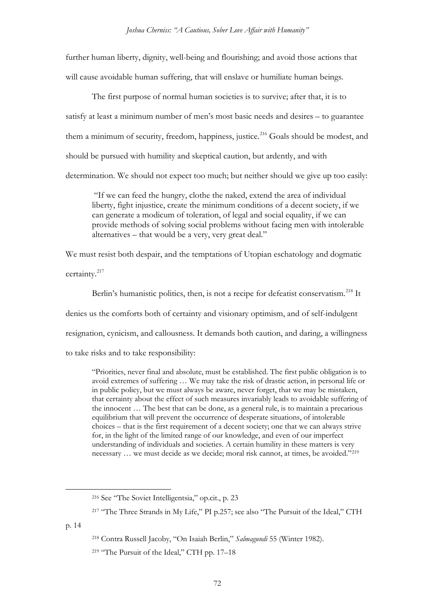further human liberty, dignity, well-being and flourishing; and avoid those actions that will cause avoidable human suffering, that will enslave or humiliate human beings.

The first purpose of normal human societies is to survive; after that, it is to satisfy at least a minimum number of men's most basic needs and desires – to guarantee them a minimum of security, freedom, happiness, justice.<sup>[216](#page-71-0)</sup> Goals should be modest, and should be pursued with humility and skeptical caution, but ardently, and with determination. We should not expect too much; but neither should we give up too easily:

"If we can feed the hungry, clothe the naked, extend the area of individual liberty, fight injustice, create the minimum conditions of a decent society, if we can generate a modicum of toleration, of legal and social equality, if we can provide methods of solving social problems without facing men with intolerable alternatives – that would be a very, very great deal."

We must resist both despair, and the temptations of Utopian eschatology and dogmatic certainty.[217](#page-71-1)

Berlin's humanistic politics, then, is not a recipe for defeatist conservatism.<sup>[218](#page-71-2)</sup> It denies us the comforts both of certainty and visionary optimism, and of self-indulgent resignation, cynicism, and callousness. It demands both caution, and daring, a willingness to take risks and to take responsibility:

"Priorities, never final and absolute, must be established. The first public obligation is to avoid extremes of suffering … We may take the risk of drastic action, in personal life or in public policy, but we must always be aware, never forget, that we may be mistaken, that certainty about the effect of such measures invariably leads to avoidable suffering of the innocent … The best that can be done, as a general rule, is to maintain a precarious equilibrium that will prevent the occurrence of desperate situations, of intolerable choices – that is the first requirement of a decent society; one that we can always strive for, in the light of the limited range of our knowledge, and even of our imperfect understanding of individuals and societies. A certain humility in these matters is very necessary … we must decide as we decide; moral risk cannot, at times, be avoided."[219](#page-71-3)

<span id="page-71-3"></span><span id="page-71-2"></span><span id="page-71-1"></span><span id="page-71-0"></span>p. 14

 <sup>216</sup> See "The Soviet Intelligentsia," op.cit., p. 23

<sup>&</sup>lt;sup>217</sup> "The Three Strands in My Life," PI p.257; see also "The Pursuit of the Ideal," CTH

<sup>218</sup> Contra Russell Jacoby, "On Isaiah Berlin," *Salmagundi* 55 (Winter 1982).

<sup>&</sup>lt;sup>219</sup> "The Pursuit of the Ideal," CTH pp. 17-18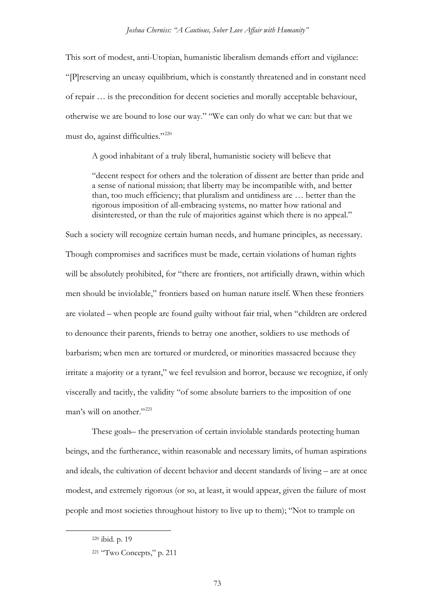This sort of modest, anti-Utopian, humanistic liberalism demands effort and vigilance: "[P]reserving an uneasy equilibrium, which is constantly threatened and in constant need of repair … is the precondition for decent societies and morally acceptable behaviour, otherwise we are bound to lose our way." "We can only do what we can: but that we must do, against difficulties."<sup>[220](#page-72-0)</sup>

A good inhabitant of a truly liberal, humanistic society will believe that

"decent respect for others and the toleration of dissent are better than pride and a sense of national mission; that liberty may be incompatible with, and better than, too much efficiency; that pluralism and untidiness are … better than the rigorous imposition of all-embracing systems, no matter how rational and disinterested, or than the rule of majorities against which there is no appeal."

Such a society will recognize certain human needs, and humane principles, as necessary. Though compromises and sacrifices must be made, certain violations of human rights will be absolutely prohibited, for "there are frontiers, not artificially drawn, within which men should be inviolable," frontiers based on human nature itself. When these frontiers are violated – when people are found guilty without fair trial, when "children are ordered to denounce their parents, friends to betray one another, soldiers to use methods of barbarism; when men are tortured or murdered, or minorities massacred because they irritate a majority or a tyrant," we feel revulsion and horror, because we recognize, if only viscerally and tacitly, the validity "of some absolute barriers to the imposition of one man's will on another."<sup>[221](#page-72-1)</sup>

These goals– the preservation of certain inviolable standards protecting human beings, and the furtherance, within reasonable and necessary limits, of human aspirations and ideals, the cultivation of decent behavior and decent standards of living – are at once modest, and extremely rigorous (or so, at least, it would appear, given the failure of most people and most societies throughout history to live up to them); "Not to trample on

<span id="page-72-0"></span> <sup>220</sup> ibid. p. 19

<span id="page-72-1"></span><sup>221</sup> "Two Concepts," p. 211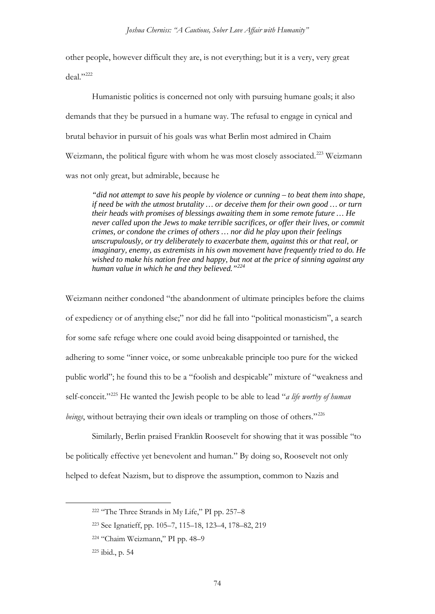other people, however difficult they are, is not everything; but it is a very, very great deal."<sup>[222](#page-73-0)</sup>

Humanistic politics is concerned not only with pursuing humane goals; it also demands that they be pursued in a humane way. The refusal to engage in cynical and brutal behavior in pursuit of his goals was what Berlin most admired in Chaim Weizmann, the political figure with whom he was most closely associated.<sup>[223](#page-73-1)</sup> Weizmann was not only great, but admirable, because he

*"did not attempt to save his people by violence or cunning – to beat them into shape, if need be with the utmost brutality … or deceive them for their own good … or turn their heads with promises of blessings awaiting them in some remote future … He never called upon the Jews to make terrible sacrifices, or offer their lives, or commit crimes, or condone the crimes of others … nor did he play upon their feelings unscrupulously, or try deliberately to exacerbate them, against this or that real, or imaginary, enemy, as extremists in his own movement have frequently tried to do. He wished to make his nation free and happy, but not at the price of sinning against any human value in which he and they believed."[224](#page-73-2)*

Weizmann neither condoned "the abandonment of ultimate principles before the claims of expediency or of anything else;" nor did he fall into "political monasticism", a search for some safe refuge where one could avoid being disappointed or tarnished, the adhering to some "inner voice, or some unbreakable principle too pure for the wicked public world"; he found this to be a "foolish and despicable" mixture of "weakness and self-conceit."[225](#page-73-3) He wanted the Jewish people to be able to lead "*a life worthy of human beings*, without betraying their own ideals or trampling on those of others."<sup>[226](#page-73-4)</sup>

<span id="page-73-4"></span>Similarly, Berlin praised Franklin Roosevelt for showing that it was possible "to be politically effective yet benevolent and human." By doing so, Roosevelt not only helped to defeat Nazism, but to disprove the assumption, common to Nazis and

<span id="page-73-0"></span> <sup>222</sup> "The Three Strands in My Life," PI pp. 257–8

<span id="page-73-1"></span><sup>223</sup> See Ignatieff, pp. 105–7, 115–18, 123–4, 178–82, 219

<span id="page-73-2"></span><sup>224</sup> "Chaim Weizmann," PI pp. 48–9

<span id="page-73-3"></span><sup>225</sup> ibid., p. 54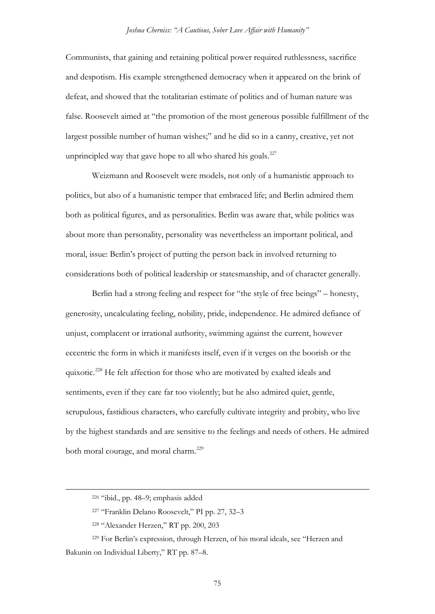Communists, that gaining and retaining political power required ruthlessness, sacrifice and despotism. His example strengthened democracy when it appeared on the brink of defeat, and showed that the totalitarian estimate of politics and of human nature was false. Roosevelt aimed at "the promotion of the most generous possible fulfillment of the largest possible number of human wishes;" and he did so in a canny, creative, yet not unprincipled way that gave hope to all who shared his goals. $227$ 

Weizmann and Roosevelt were models, not only of a humanistic approach to politics, but also of a humanistic temper that embraced life; and Berlin admired them both as political figures, and as personalities. Berlin was aware that, while politics was about more than personality, personality was nevertheless an important political, and moral, issue: Berlin's project of putting the person back in involved returning to considerations both of political leadership or statesmanship, and of character generally.

Berlin had a strong feeling and respect for "the style of free beings" – honesty, generosity, uncalculating feeling, nobility, pride, independence. He admired defiance of unjust, complacent or irrational authority, swimming against the current, however eccentric the form in which it manifests itself, even if it verges on the boorish or the quixotic.[228](#page-74-1) He felt affection for those who are motivated by exalted ideals and sentiments, even if they care far too violently; but he also admired quiet, gentle, scrupulous, fastidious characters, who carefully cultivate integrity and probity, who live by the highest standards and are sensitive to the feelings and needs of others. He admired both moral courage, and moral charm.<sup>[229](#page-74-2)</sup>

 <sup>226</sup> "ibid., pp. 48–9; emphasis added

<sup>227</sup> "Franklin Delano Roosevelt," PI pp. 27, 32–3

<sup>228</sup> "Alexander Herzen," RT pp. 200, 203

<span id="page-74-2"></span><span id="page-74-1"></span><span id="page-74-0"></span><sup>229</sup> For Berlin's expression, through Herzen, of his moral ideals, see "Herzen and Bakunin on Individual Liberty," RT pp. 87–8.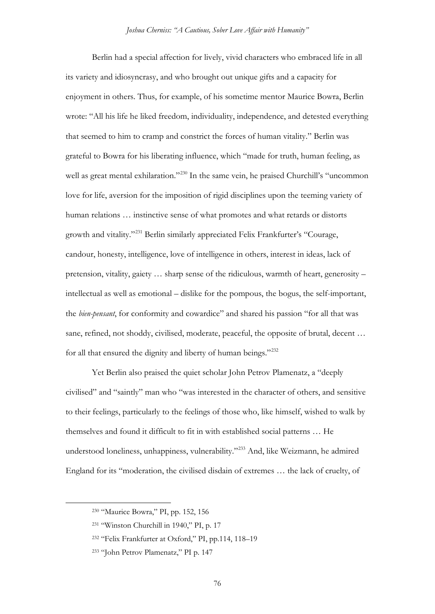Berlin had a special affection for lively, vivid characters who embraced life in all its variety and idiosyncrasy, and who brought out unique gifts and a capacity for enjoyment in others. Thus, for example, of his sometime mentor Maurice Bowra, Berlin wrote: "All his life he liked freedom, individuality, independence, and detested everything that seemed to him to cramp and constrict the forces of human vitality." Berlin was grateful to Bowra for his liberating influence, which "made for truth, human feeling, as well as great mental exhilaration."<sup>[230](#page-75-0)</sup> In the same vein, he praised Churchill's "uncommon love for life, aversion for the imposition of rigid disciplines upon the teeming variety of human relations ... instinctive sense of what promotes and what retards or distorts growth and vitality."[231](#page-75-1) Berlin similarly appreciated Felix Frankfurter's "Courage, candour, honesty, intelligence, love of intelligence in others, interest in ideas, lack of pretension, vitality, gaiety … sharp sense of the ridiculous, warmth of heart, generosity – intellectual as well as emotional – dislike for the pompous, the bogus, the self-important, the *bien-pensant*, for conformity and cowardice" and shared his passion "for all that was sane, refined, not shoddy, civilised, moderate, peaceful, the opposite of brutal, decent … for all that ensured the dignity and liberty of human beings."[232](#page-75-2)

Yet Berlin also praised the quiet scholar John Petrov Plamenatz, a "deeply civilised" and "saintly" man who "was interested in the character of others, and sensitive to their feelings, particularly to the feelings of those who, like himself, wished to walk by themselves and found it difficult to fit in with established social patterns … He understood loneliness, unhappiness, vulnerability."[233](#page-75-3) And, like Weizmann, he admired England for its "moderation, the civilised disdain of extremes … the lack of cruelty, of

<span id="page-75-0"></span> <sup>230</sup> "Maurice Bowra," PI, pp. 152, 156

<span id="page-75-1"></span><sup>231</sup> "Winston Churchill in 1940," PI, p. 17

<span id="page-75-2"></span><sup>232</sup> "Felix Frankfurter at Oxford," PI, pp.114, 118–19

<span id="page-75-3"></span><sup>233</sup> "John Petrov Plamenatz," PI p. 147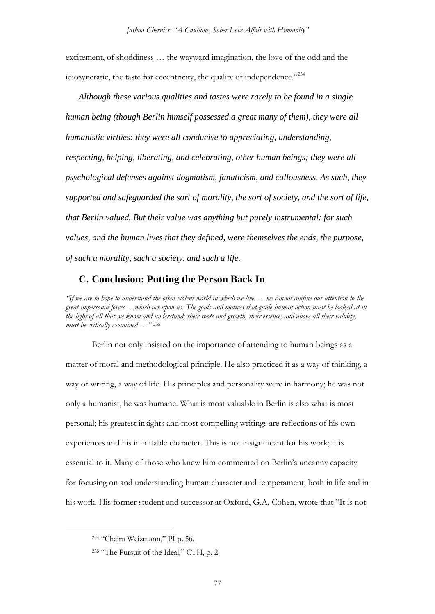excitement, of shoddiness … the wayward imagination, the love of the odd and the idiosyncratic, the taste for eccentricity, the quality of independence."<sup>[234](#page-76-0)</sup>

*Although these various qualities and tastes were rarely to be found in a single human being (though Berlin himself possessed a great many of them), they were all humanistic virtues: they were all conducive to appreciating, understanding, respecting, helping, liberating, and celebrating, other human beings; they were all psychological defenses against dogmatism, fanaticism, and callousness. As such, they supported and safeguarded the sort of morality, the sort of society, and the sort of life, that Berlin valued. But their value was anything but purely instrumental: for such values, and the human lives that they defined, were themselves the ends, the purpose, of such a morality, such a society, and such a life.* 

# **C. Conclusion: Putting the Person Back In**

*"If we are to hope to understand the often violent world in which we live … we cannot confine our attention to the great impersonal forces …which act upon us. The goals and motives that guide human action must be looked at in the light of all that we know and understand; their roots and growth, their essence, and above all their validity, must be critically examined …"* [235](#page-76-1)

Berlin not only insisted on the importance of attending to human beings as a matter of moral and methodological principle. He also practiced it as a way of thinking, a way of writing, a way of life. His principles and personality were in harmony; he was not only a humanist, he was humane. What is most valuable in Berlin is also what is most personal; his greatest insights and most compelling writings are reflections of his own experiences and his inimitable character. This is not insignificant for his work; it is essential to it. Many of those who knew him commented on Berlin's uncanny capacity for focusing on and understanding human character and temperament, both in life and in his work. His former student and successor at Oxford, G.A. Cohen, wrote that "It is not

<span id="page-76-0"></span> <sup>234</sup> "Chaim Weizmann," PI p. 56.

<span id="page-76-1"></span><sup>235 &</sup>quot;The Pursuit of the Ideal," CTH, p. 2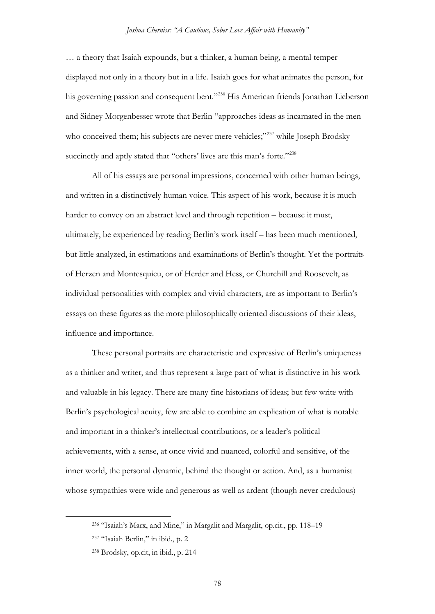… a theory that Isaiah expounds, but a thinker, a human being, a mental temper displayed not only in a theory but in a life. Isaiah goes for what animates the person, for his governing passion and consequent bent."<sup>[236](#page-77-0)</sup> His American friends Jonathan Lieberson and Sidney Morgenbesser wrote that Berlin "approaches ideas as incarnated in the men who conceived them; his subjects are never mere vehicles;"<sup>[237](#page-77-1)</sup> while Joseph Brodsky succinctly and aptly stated that "others' lives are this man's forte."<sup>[238](#page-77-2)</sup>

All of his essays are personal impressions, concerned with other human beings, and written in a distinctively human voice. This aspect of his work, because it is much harder to convey on an abstract level and through repetition – because it must, ultimately, be experienced by reading Berlin's work itself – has been much mentioned, but little analyzed, in estimations and examinations of Berlin's thought. Yet the portraits of Herzen and Montesquieu, or of Herder and Hess, or Churchill and Roosevelt, as individual personalities with complex and vivid characters, are as important to Berlin's essays on these figures as the more philosophically oriented discussions of their ideas, influence and importance.

These personal portraits are characteristic and expressive of Berlin's uniqueness as a thinker and writer, and thus represent a large part of what is distinctive in his work and valuable in his legacy. There are many fine historians of ideas; but few write with Berlin's psychological acuity, few are able to combine an explication of what is notable and important in a thinker's intellectual contributions, or a leader's political achievements, with a sense, at once vivid and nuanced, colorful and sensitive, of the inner world, the personal dynamic, behind the thought or action. And, as a humanist whose sympathies were wide and generous as well as ardent (though never credulous)

<span id="page-77-0"></span> <sup>236</sup> "Isaiah's Marx, and Mine," in Margalit and Margalit, op.cit., pp. 118–19

<span id="page-77-1"></span><sup>237</sup> "Isaiah Berlin," in ibid., p. 2

<span id="page-77-2"></span><sup>238</sup> Brodsky, op.cit, in ibid., p. 214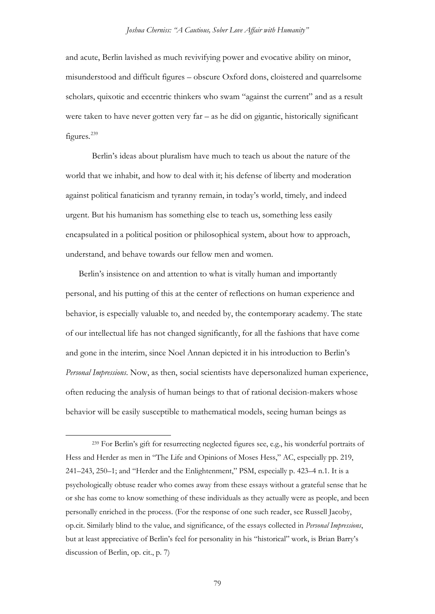and acute, Berlin lavished as much revivifying power and evocative ability on minor, misunderstood and difficult figures – obscure Oxford dons, cloistered and quarrelsome scholars, quixotic and eccentric thinkers who swam "against the current" and as a result were taken to have never gotten very far – as he did on gigantic, historically significant figures.<sup>[239](#page-78-0)</sup>

Berlin's ideas about pluralism have much to teach us about the nature of the world that we inhabit, and how to deal with it; his defense of liberty and moderation against political fanaticism and tyranny remain, in today's world, timely, and indeed urgent. But his humanism has something else to teach us, something less easily encapsulated in a political position or philosophical system, about how to approach, understand, and behave towards our fellow men and women.

Berlin's insistence on and attention to what is vitally human and importantly personal, and his putting of this at the center of reflections on human experience and behavior, is especially valuable to, and needed by, the contemporary academy. The state of our intellectual life has not changed significantly, for all the fashions that have come and gone in the interim, since Noel Annan depicted it in his introduction to Berlin's *Personal Impressions*. Now, as then, social scientists have depersonalized human experience, often reducing the analysis of human beings to that of rational decision-makers whose behavior will be easily susceptible to mathematical models, seeing human beings as

<span id="page-78-0"></span> <sup>239</sup> For Berlin's gift for resurrecting neglected figures see, e.g., his wonderful portraits of Hess and Herder as men in "The Life and Opinions of Moses Hess," AC, especially pp. 219, 241–243, 250–1; and "Herder and the Enlightenment," PSM, especially p. 423–4 n.1. It is a psychologically obtuse reader who comes away from these essays without a grateful sense that he or she has come to know something of these individuals as they actually were as people, and been personally enriched in the process. (For the response of one such reader, see Russell Jacoby, op.cit. Similarly blind to the value, and significance, of the essays collected in *Personal Impressions*, but at least appreciative of Berlin's feel for personality in his "historical" work, is Brian Barry's discussion of Berlin, op. cit., p. 7)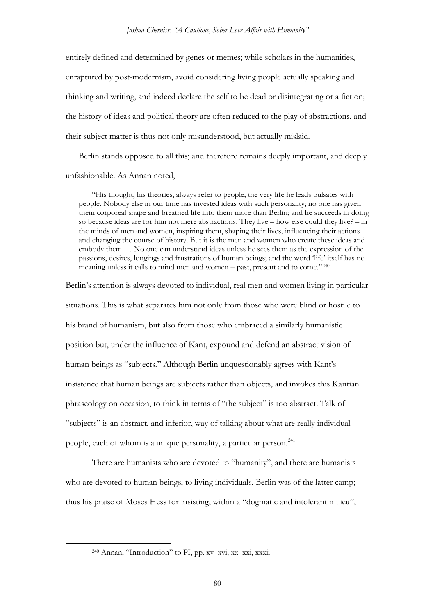entirely defined and determined by genes or memes; while scholars in the humanities, enraptured by post-modernism, avoid considering living people actually speaking and thinking and writing, and indeed declare the self to be dead or disintegrating or a fiction; the history of ideas and political theory are often reduced to the play of abstractions, and their subject matter is thus not only misunderstood, but actually mislaid.

Berlin stands opposed to all this; and therefore remains deeply important, and deeply unfashionable. As Annan noted,

"His thought, his theories, always refer to people; the very life he leads pulsates with people. Nobody else in our time has invested ideas with such personality; no one has given them corporeal shape and breathed life into them more than Berlin; and he succeeds in doing so because ideas are for him not mere abstractions. They live – how else could they live? – in the minds of men and women, inspiring them, shaping their lives, influencing their actions and changing the course of history. But it is the men and women who create these ideas and embody them … No one can understand ideas unless he sees them as the expression of the passions, desires, longings and frustrations of human beings; and the word 'life' itself has no meaning unless it calls to mind men and women – past, present and to come."[240](#page-79-0)

Berlin's attention is always devoted to individual, real men and women living in particular situations. This is what separates him not only from those who were blind or hostile to his brand of humanism, but also from those who embraced a similarly humanistic position but, under the influence of Kant, expound and defend an abstract vision of human beings as "subjects." Although Berlin unquestionably agrees with Kant's insistence that human beings are subjects rather than objects, and invokes this Kantian phraseology on occasion, to think in terms of "the subject" is too abstract. Talk of "subjects" is an abstract, and inferior, way of talking about what are really individual people, each of whom is a unique personality, a particular person.<sup>[241](#page-79-1)</sup>

<span id="page-79-1"></span>There are humanists who are devoted to "humanity", and there are humanists who are devoted to human beings, to living individuals. Berlin was of the latter camp; thus his praise of Moses Hess for insisting, within a "dogmatic and intolerant milieu",

<span id="page-79-0"></span> <sup>240</sup> Annan, "Introduction" to PI, pp. xv–xvi, xx–xxi, xxxii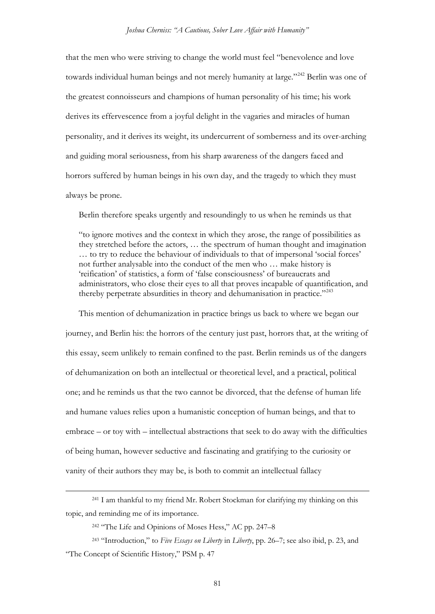that the men who were striving to change the world must feel "benevolence and love towards individual human beings and not merely humanity at large."<sup>[242](#page-80-0)</sup> Berlin was one of the greatest connoisseurs and champions of human personality of his time; his work derives its effervescence from a joyful delight in the vagaries and miracles of human personality, and it derives its weight, its undercurrent of somberness and its over-arching and guiding moral seriousness, from his sharp awareness of the dangers faced and horrors suffered by human beings in his own day, and the tragedy to which they must always be prone.

Berlin therefore speaks urgently and resoundingly to us when he reminds us that

"to ignore motives and the context in which they arose, the range of possibilities as they stretched before the actors, … the spectrum of human thought and imagination … to try to reduce the behaviour of individuals to that of impersonal 'social forces' not further analysable into the conduct of the men who … make history is 'reification' of statistics, a form of 'false consciousness' of bureaucrats and administrators, who close their eyes to all that proves incapable of quantification, and thereby perpetrate absurdities in theory and dehumanisation in practice."<sup>243</sup>

This mention of dehumanization in practice brings us back to where we began our journey, and Berlin his: the horrors of the century just past, horrors that, at the writing of this essay, seem unlikely to remain confined to the past. Berlin reminds us of the dangers of dehumanization on both an intellectual or theoretical level, and a practical, political one; and he reminds us that the two cannot be divorced, that the defense of human life and humane values relies upon a humanistic conception of human beings, and that to embrace – or toy with – intellectual abstractions that seek to do away with the difficulties of being human, however seductive and fascinating and gratifying to the curiosity or vanity of their authors they may be, is both to commit an intellectual fallacy

 <sup>241</sup> I am thankful to my friend Mr. Robert Stockman for clarifying my thinking on this topic, and reminding me of its importance.

<sup>242</sup> "The Life and Opinions of Moses Hess," AC pp. 247–8

<span id="page-80-1"></span><span id="page-80-0"></span><sup>243</sup> "Introduction," to *Five Essays on Liberty* in *Liberty*, pp. 26–7; see also ibid, p. 23, and "The Concept of Scientific History," PSM p. 47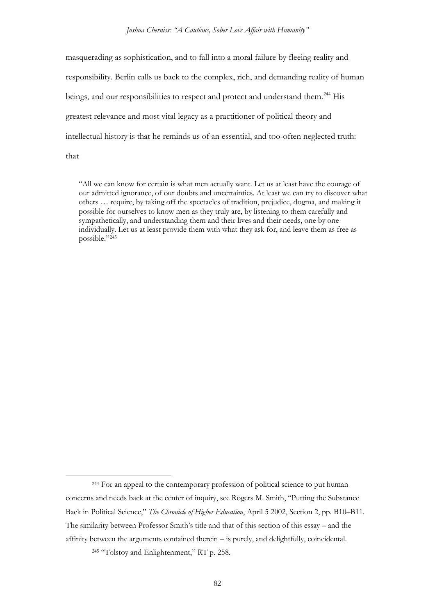*Joshua Cherniss: "A Cautious, Sober Love Affair with Humanity"*

masquerading as sophistication, and to fall into a moral failure by fleeing reality and responsibility. Berlin calls us back to the complex, rich, and demanding reality of human beings, and our responsibilities to respect and protect and understand them.<sup>[244](#page-81-0)</sup> His greatest relevance and most vital legacy as a practitioner of political theory and intellectual history is that he reminds us of an essential, and too-often neglected truth: that

"All we can know for certain is what men actually want. Let us at least have the courage of our admitted ignorance, of our doubts and uncertainties. At least we can try to discover what others … require, by taking off the spectacles of tradition, prejudice, dogma, and making it possible for ourselves to know men as they truly are, by listening to them carefully and sympathetically, and understanding them and their lives and their needs, one by one individually. Let us at least provide them with what they ask for, and leave them as free as possible."[245](#page-81-1)

<span id="page-81-0"></span> <sup>244</sup> For an appeal to the contemporary profession of political science to put human concerns and needs back at the center of inquiry, see Rogers M. Smith, "Putting the Substance Back in Political Science," *The Chronicle of Higher Education*, April 5 2002, Section 2, pp. B10–B11. The similarity between Professor Smith's title and that of this section of this essay – and the affinity between the arguments contained therein – is purely, and delightfully, coincidental.

<span id="page-81-1"></span><sup>&</sup>lt;sup>245</sup> "Tolstoy and Enlightenment," RT p. 258.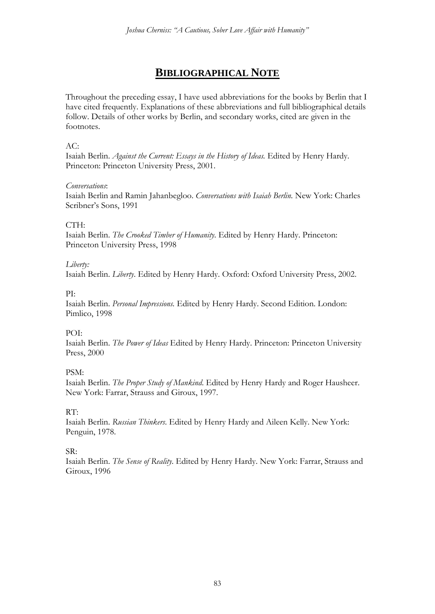# **BIBLIOGRAPHICAL NOTE**

Throughout the preceding essay, I have used abbreviations for the books by Berlin that I have cited frequently. Explanations of these abbreviations and full bibliographical details follow. Details of other works by Berlin, and secondary works, cited are given in the footnotes.

## $AC:$

Isaiah Berlin. *Against the Current: Essays in the History of Ideas.* Edited by Henry Hardy. Princeton: Princeton University Press, 2001.

### *Conversations*:

Isaiah Berlin and Ramin Jahanbegloo. *Conversations with Isaiah Berlin.* New York: Charles Scribner's Sons, 1991

### CTH:

Isaiah Berlin. *The Crooked Timber of Humanity*. Edited by Henry Hardy. Princeton: Princeton University Press, 1998

### *Liberty:*

Isaiah Berlin. *Liberty*. Edited by Henry Hardy. Oxford: Oxford University Press, 2002.

### PI:

Isaiah Berlin. *Personal Impressions.* Edited by Henry Hardy. Second Edition. London: Pimlico, 1998

# POI:

Isaiah Berlin. *The Power of Ideas* Edited by Henry Hardy. Princeton: Princeton University Press, 2000

# PSM:

Isaiah Berlin. *The Proper Study of Mankind*. Edited by Henry Hardy and Roger Hausheer. New York: Farrar, Strauss and Giroux, 1997.

# RT:

Isaiah Berlin. *Russian Thinkers*. Edited by Henry Hardy and Aileen Kelly. New York: Penguin, 1978.

# SR:

Isaiah Berlin. *The Sense of Reality*. Edited by Henry Hardy. New York: Farrar, Strauss and Giroux, 1996